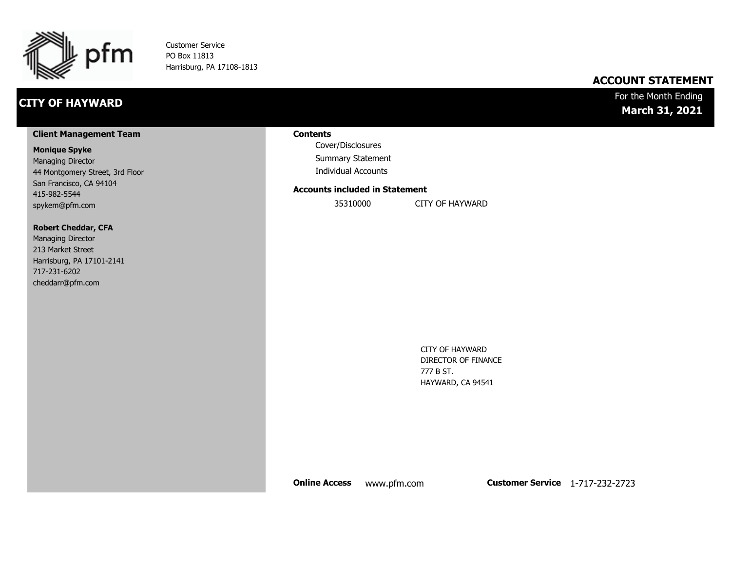

Customer Service PO Box 11813 Harrisburg, PA 17108-1813

### **CITY OF HAYWARD**

### **ACCOUNT STATEMENT**

### For the Month Ending **March 31, 2021**

#### **Client Management Team**

#### **Monique Spyke**

Managing Director 44 Montgomery Street, 3rd Floor San Francisco, CA 94104 415-982-5544 spykem@pfm.com

#### **Robert Cheddar, CFA**

| <b>Managing Director</b>  |
|---------------------------|
| 213 Market Street         |
| Harrisburg, PA 17101-2141 |
| 717-231-6202              |
| cheddarr@pfm.com          |

#### **Contents**

Cover/Disclosures Summary Statement Individual Accounts

#### **Accounts included in Statement**

35310000 CITY OF HAYWARD

CITY OF HAYWARD DIRECTOR OF FINANCE 777 B ST. HAYWARD, CA 94541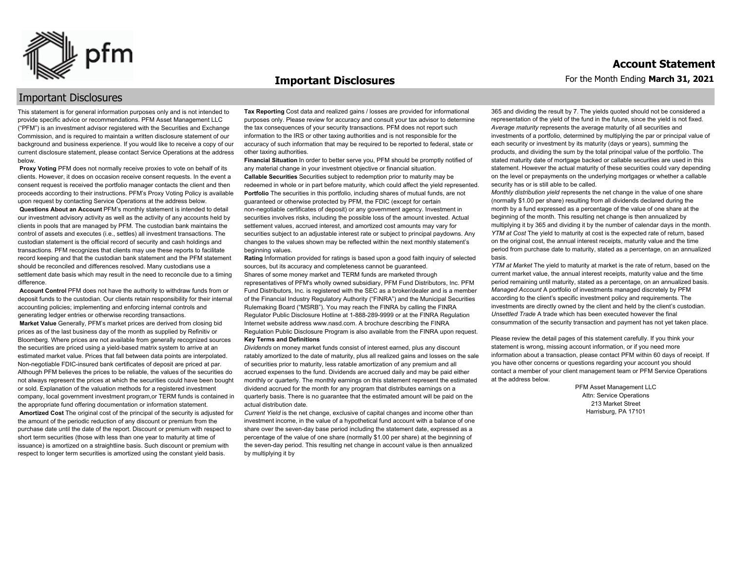

#### **Important Disclosures**

### Important Disclosures

This statement is for general information purposes only and is not intended to provide specific advice or recommendations. PFM Asset Management LLC ("PFM") is an investment advisor registered with the Securities and Exchange Commission, and is required to maintain a written disclosure statement of our background and business experience. If you would like to receive a copy of our current disclosure statement, please contact Service Operations at the address below.

**Proxy Voting** PFM does not normally receive proxies to vote on behalf of its clients. However, it does on occasion receive consent requests. In the event a consent request is received the portfolio manager contacts the client and then proceeds according to their instructions. PFM's Proxy Voting Policy is available upon request by contacting Service Operations at the address below. **Questions About an Account** PFM's monthly statement is intended to detail our investment advisory activity as well as the activity of any accounts held by clients in pools that are managed by PFM. The custodian bank maintains the control of assets and executes (i.e., settles) all investment transactions. The custodian statement is the official record of security and cash holdings and transactions. PFM recognizes that clients may use these reports to facilitate record keeping and that the custodian bank statement and the PFM statement should be reconciled and differences resolved. Many custodians use a settlement date basis which may result in the need to reconcile due to a timing

difference. **Account Control** PFM does not have the authority to withdraw funds from or deposit funds to the custodian. Our clients retain responsibility for their internal

accounting policies; implementing and enforcing internal controls and generating ledger entries or otherwise recording transactions. **Market Value** Generally, PFM's market prices are derived from closing bid prices as of the last business day of the month as supplied by Refinitiv or Bloomberg. Where prices are not available from generally recognized sources the securities are priced using a yield-based matrix system to arrive at an estimated market value. Prices that fall between data points are interpolated. Non-negotiable FDIC-insured bank certificates of deposit are priced at par. Although PFM believes the prices to be reliable, the values of the securities do not always represent the prices at which the securities could have been bought or sold. Explanation of the valuation methods for a registered investment company, local government investment program,or TERM funds is contained in the appropriate fund offering documentation or information statement. **Amortized Cost** The original cost of the principal of the security is adjusted for the amount of the periodic reduction of any discount or premium from the purchase date until the date of the report. Discount or premium with respect to short term securities (those with less than one year to maturity at time of issuance) is amortized on a straightline basis. Such discount or premium with respect to longer term securities is amortized using the constant yield basis.

**Tax Reporting** Cost data and realized gains / losses are provided for informational purposes only. Please review for accuracy and consult your tax advisor to determine the tax consequences of your security transactions. PFM does not report such information to the IRS or other taxing authorities and is not responsible for the accuracy of such information that may be required to be reported to federal, state or other taxing authorities.

**Financial Situation** In order to better serve you, PFM should be promptly notified of any material change in your investment objective or financial situation. **Callable Securities** Securities subject to redemption prior to maturity may be redeemed in whole or in part before maturity, which could affect the yield represented. Portfolio The securities in this portfolio, including shares of mutual funds, are not guaranteed or otherwise protected by PFM, the FDIC (except for certain non-negotiable certificates of deposit) or any government agency. Investment in securities involves risks, including the possible loss of the amount invested. Actual settlement values, accrued interest, and amortized cost amounts may vary for securities subject to an adjustable interest rate or subject to principal paydowns. Any changes to the values shown may be reflected within the next monthly statement's beginning values.

**Rating** Information provided for ratings is based upon a good faith inquiry of selected sources, but its accuracy and completeness cannot be guaranteed. Shares of some money market and TERM funds are marketed through representatives of PFM's wholly owned subsidiary, PFM Fund Distributors, Inc. PFM Fund Distributors, Inc. is registered with the SEC as a broker/dealer and is a member of the Financial Industry Regulatory Authority ("FINRA") and the Municipal Securities Rulemaking Board ("MSRB"). You may reach the FINRA by calling the FINRA Regulator Public Disclosure Hotline at 1-888-289-9999 or at the FINRA Regulation Internet website address www.nasd.com. A brochure describing the FINRA Regulation Public Disclosure Program is also available from the FINRA upon request. **Key Terms and Definitions**

*Dividends* on money market funds consist of interest earned, plus any discount ratably amortized to the date of maturity, plus all realized gains and losses on the sale of securities prior to maturity, less ratable amortization of any premium and all accrued expenses to the fund. Dividends are accrued daily and may be paid either monthly or quarterly. The monthly earnings on this statement represent the estimated dividend accrued for the month for any program that distributes earnings on a quarterly basis. There is no guarantee that the estimated amount will be paid on the actual distribution date.

*Current Yield* is the net change, exclusive of capital changes and income other than investment income, in the value of a hypothetical fund account with a balance of one share over the seven-day base period including the statement date, expressed as a percentage of the value of one share (normally \$1.00 per share) at the beginning of the seven-day period. This resulting net change in account value is then annualized by multiplying it by

365 and dividing the result by 7. The yields quoted should not be considered a representation of the yield of the fund in the future, since the yield is not fixed. *Average maturity* represents the average maturity of all securities and investments of a portfolio, determined by multiplying the par or principal value of each security or investment by its maturity (days or years), summing the products, and dividing the sum by the total principal value of the portfolio. The stated maturity date of mortgage backed or callable securities are used in this statement. However the actual maturity of these securities could vary depending on the level or prepayments on the underlying mortgages or whether a callable security has or is still able to be called.

*Monthly distribution yield* represents the net change in the value of one share (normally \$1.00 per share) resulting from all dividends declared during the month by a fund expressed as a percentage of the value of one share at the beginning of the month. This resulting net change is then annualized by multiplying it by 365 and dividing it by the number of calendar days in the month. *YTM at Cost* The yield to maturity at cost is the expected rate of return, based on the original cost, the annual interest receipts, maturity value and the time period from purchase date to maturity, stated as a percentage, on an annualized basis.

*YTM at Market* The yield to maturity at market is the rate of return, based on the current market value, the annual interest receipts, maturity value and the time period remaining until maturity, stated as a percentage, on an annualized basis. *Managed Account* A portfolio of investments managed discretely by PFM according to the client's specific investment policy and requirements. The investments are directly owned by the client and held by the client's custodian. *Unsettled Trade* A trade which has been executed however the final consummation of the security transaction and payment has not yet taken place.

Please review the detail pages of this statement carefully. If you think your statement is wrong, missing account information, or if you need more information about a transaction, please contact PFM within 60 days of receipt. If you have other concerns or questions regarding your account you should contact a member of your client management team or PFM Service Operations at the address below.

> PFM Asset Management LLC Attn: Service Operations 213 Market Street Harrisburg, PA 17101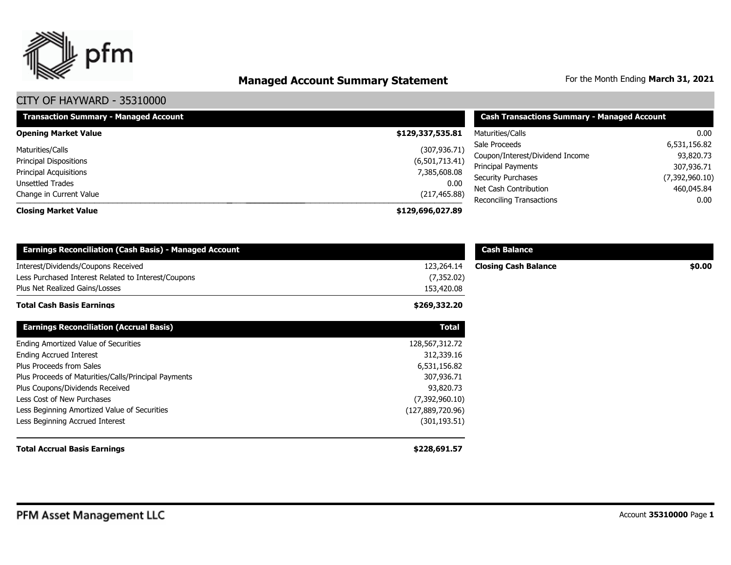

# **Managed Account Summary Statement** For the Month Ending March 31, 2021

| <b>Transaction Summary - Managed Account</b> | <b>Cash Transactions Summary - Managed Account</b> |                                                       |                         |
|----------------------------------------------|----------------------------------------------------|-------------------------------------------------------|-------------------------|
| <b>Opening Market Value</b>                  | \$129,337,535.81                                   | Maturities/Calls                                      | 0.00                    |
| Maturities/Calls                             | (307, 936.71)                                      | Sale Proceeds                                         | 6,531,156.82            |
| <b>Principal Dispositions</b>                | (6,501,713.41)                                     | Coupon/Interest/Dividend Income<br>Principal Payments | 93,820.73<br>307,936.71 |
| Principal Acquisitions<br>Unsettled Trades   | 7,385,608.08<br>0.00                               | <b>Security Purchases</b>                             | (7,392,960.10)          |
| Change in Current Value                      | (217, 465.88)                                      | Net Cash Contribution<br>Reconciling Transactions     | 460,045.84<br>0.00      |
| <b>Closing Market Value</b>                  | \$129,696,027.89                                   |                                                       |                         |

| <b>Earnings Reconciliation (Cash Basis) - Managed Account</b>                              |                           | <b>Cash Balance</b>         |        |
|--------------------------------------------------------------------------------------------|---------------------------|-----------------------------|--------|
| Interest/Dividends/Coupons Received<br>Less Purchased Interest Related to Interest/Coupons | 123,264.14<br>(7, 352.02) | <b>Closing Cash Balance</b> | \$0.00 |
| Plus Net Realized Gains/Losses                                                             | 153,420.08                |                             |        |
| <b>Total Cash Basis Earnings</b>                                                           | \$269,332.20              |                             |        |
| <b>Earnings Reconciliation (Accrual Basis)</b>                                             | <b>Total</b>              |                             |        |
| Ending Amortized Value of Securities                                                       | 128,567,312.72            |                             |        |
| <b>Ending Accrued Interest</b>                                                             | 312,339.16                |                             |        |
| Plus Proceeds from Sales                                                                   | 6,531,156.82              |                             |        |
| Plus Proceeds of Maturities/Calls/Principal Payments                                       | 307,936.71                |                             |        |
| Plus Coupons/Dividends Received                                                            | 93,820.73                 |                             |        |
| Less Cost of New Purchases                                                                 | (7,392,960.10)            |                             |        |
| Less Beginning Amortized Value of Securities                                               | (127,889,720.96)          |                             |        |
| Less Beginning Accrued Interest                                                            | (301, 193.51)             |                             |        |
| <b>Total Accrual Basis Earnings</b>                                                        | \$228,691.57              |                             |        |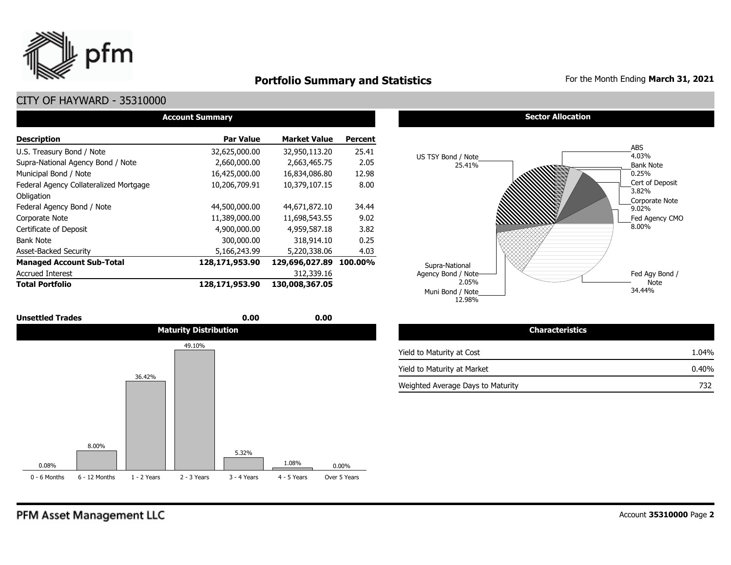

### **Portfolio Summary and Statistics** For the Month Ending March 31, 2021

### CITY OF HAYWARD - 35310000

| <b>Account Summary</b>                 |                |                     |                |  |  |  |  |  |  |
|----------------------------------------|----------------|---------------------|----------------|--|--|--|--|--|--|
| <b>Description</b>                     | Par Value      | <b>Market Value</b> | <b>Percent</b> |  |  |  |  |  |  |
| U.S. Treasury Bond / Note              | 32,625,000.00  | 32,950,113.20       | 25.41          |  |  |  |  |  |  |
| Supra-National Agency Bond / Note      | 2,660,000.00   | 2,663,465.75        | 2.05           |  |  |  |  |  |  |
| Municipal Bond / Note                  | 16,425,000.00  | 16,834,086.80       | 12.98          |  |  |  |  |  |  |
| Federal Agency Collateralized Mortgage | 10,206,709.91  | 10,379,107.15       | 8.00           |  |  |  |  |  |  |
| Obligation                             |                |                     |                |  |  |  |  |  |  |
| Federal Agency Bond / Note             | 44,500,000.00  | 44,671,872.10       | 34.44          |  |  |  |  |  |  |
| Corporate Note                         | 11,389,000.00  | 11,698,543.55       | 9.02           |  |  |  |  |  |  |
| Certificate of Deposit                 | 4,900,000,00   | 4,959,587.18        | 3.82           |  |  |  |  |  |  |
| <b>Bank Note</b>                       | 300,000.00     | 318,914.10          | 0.25           |  |  |  |  |  |  |
| <b>Asset-Backed Security</b>           | 5,166,243.99   | 5,220,338.06        | 4.03           |  |  |  |  |  |  |
| <b>Managed Account Sub-Total</b>       | 128,171,953.90 | 129,696,027.89      | 100.00%        |  |  |  |  |  |  |
| <b>Accrued Interest</b>                |                | 312,339.16          |                |  |  |  |  |  |  |
| <b>Total Portfolio</b>                 | 128,171,953.90 | 130,008,367.05      |                |  |  |  |  |  |  |



#### **Sector Allocation**



| <b>Characteristics</b>            |       |
|-----------------------------------|-------|
| Yield to Maturity at Cost         | 1.04% |
| Yield to Maturity at Market       | 0.40% |
| Weighted Average Days to Maturity | 732   |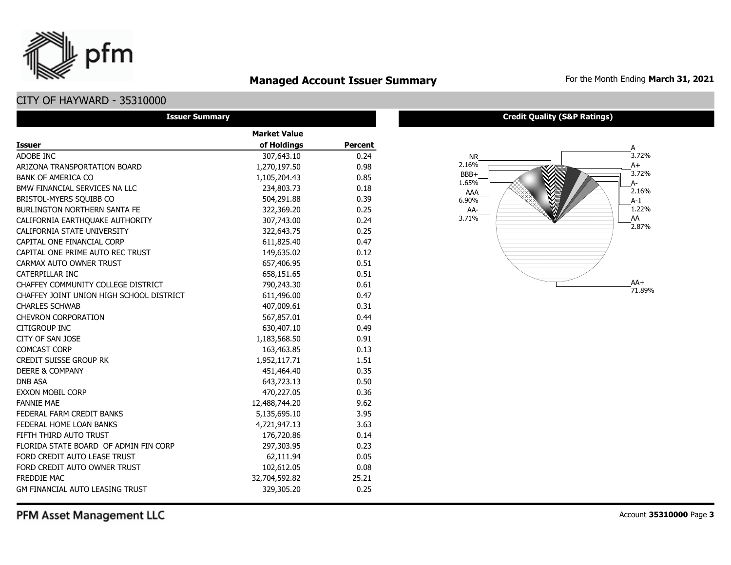### **Managed Account Issuer Summary** For the Month Ending March 31, 2021

### CITY OF HAYWARD - 35310000

pfm

| <b>Issuer Summary</b>                    |                     |         |  |  |  |  |  |
|------------------------------------------|---------------------|---------|--|--|--|--|--|
|                                          | <b>Market Value</b> |         |  |  |  |  |  |
| <b>Issuer</b>                            | of Holdings         | Percent |  |  |  |  |  |
| ADOBE INC                                | 307,643.10          | 0.24    |  |  |  |  |  |
| ARIZONA TRANSPORTATION BOARD             | 1,270,197.50        | 0.98    |  |  |  |  |  |
| <b>BANK OF AMERICA CO</b>                | 1,105,204.43        | 0.85    |  |  |  |  |  |
| BMW FINANCIAL SERVICES NA LLC            | 234,803.73          | 0.18    |  |  |  |  |  |
| BRISTOL-MYERS SQUIBB CO                  | 504,291.88          | 0.39    |  |  |  |  |  |
| <b>BURLINGTON NORTHERN SANTA FE</b>      | 322,369.20          | 0.25    |  |  |  |  |  |
| CALIFORNIA EARTHQUAKE AUTHORITY          | 307,743.00          | 0.24    |  |  |  |  |  |
| CALIFORNIA STATE UNIVERSITY              | 322,643.75          | 0.25    |  |  |  |  |  |
| CAPITAL ONE FINANCIAL CORP               | 611,825.40          | 0.47    |  |  |  |  |  |
| CAPITAL ONE PRIME AUTO REC TRUST         | 149,635.02          | 0.12    |  |  |  |  |  |
| CARMAX AUTO OWNER TRUST                  | 657,406.95          | 0.51    |  |  |  |  |  |
| CATERPILLAR INC                          | 658,151.65          | 0.51    |  |  |  |  |  |
| CHAFFEY COMMUNITY COLLEGE DISTRICT       | 790,243.30          | 0.61    |  |  |  |  |  |
| CHAFFEY JOINT UNION HIGH SCHOOL DISTRICT | 611,496.00          | 0.47    |  |  |  |  |  |
| <b>CHARLES SCHWAB</b>                    | 407,009.61          | 0.31    |  |  |  |  |  |
| <b>CHEVRON CORPORATION</b>               | 567,857.01          | 0.44    |  |  |  |  |  |
| <b>CITIGROUP INC</b>                     | 630,407.10          | 0.49    |  |  |  |  |  |
| CITY OF SAN JOSE                         | 1,183,568.50        | 0.91    |  |  |  |  |  |
| <b>COMCAST CORP</b>                      | 163,463.85          | 0.13    |  |  |  |  |  |
| <b>CREDIT SUISSE GROUP RK</b>            | 1,952,117.71        | 1.51    |  |  |  |  |  |
| <b>DEERE &amp; COMPANY</b>               | 451,464.40          | 0.35    |  |  |  |  |  |
| <b>DNB ASA</b>                           | 643,723.13          | 0.50    |  |  |  |  |  |
| <b>EXXON MOBIL CORP</b>                  | 470,227.05          | 0.36    |  |  |  |  |  |
| <b>FANNIE MAE</b>                        | 12,488,744.20       | 9.62    |  |  |  |  |  |
| FEDERAL FARM CREDIT BANKS                | 5,135,695.10        | 3.95    |  |  |  |  |  |
| FEDERAL HOME LOAN BANKS                  | 4,721,947.13        | 3.63    |  |  |  |  |  |
| FIFTH THIRD AUTO TRUST                   | 176,720.86          | 0.14    |  |  |  |  |  |
| FLORIDA STATE BOARD OF ADMIN FIN CORP    | 297,303.95          | 0.23    |  |  |  |  |  |
| FORD CREDIT AUTO LEASE TRUST             | 62,111.94           | 0.05    |  |  |  |  |  |
| FORD CREDIT AUTO OWNER TRUST             | 102,612.05          | 0.08    |  |  |  |  |  |
| <b>FREDDIE MAC</b>                       | 32,704,592.82       | 25.21   |  |  |  |  |  |
| <b>GM FINANCIAL AUTO LEASING TRUST</b>   | 329,305.20          | 0.25    |  |  |  |  |  |

#### **Credit Quality (S&P Ratings)**

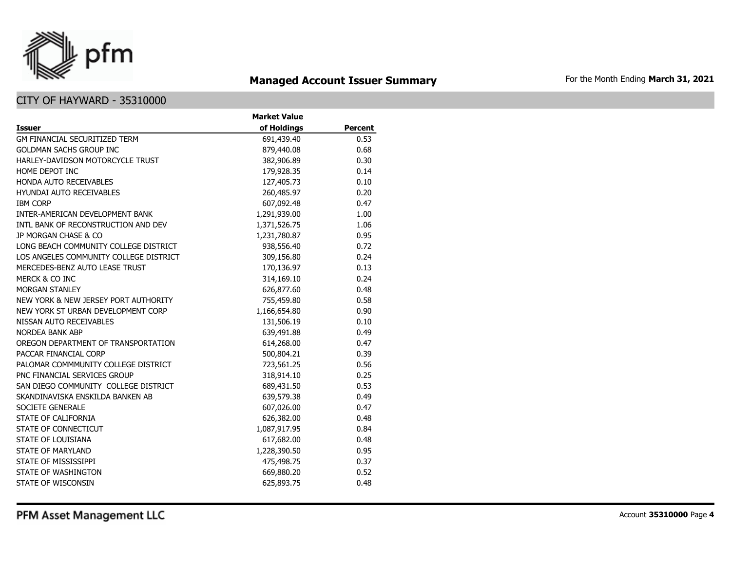

# **Managed Account Issuer Summary** For the Month Ending March 31, 2021

|                                        | <b>Market Value</b> |                |
|----------------------------------------|---------------------|----------------|
| <b>Issuer</b>                          | of Holdings         | <b>Percent</b> |
| <b>GM FINANCIAL SECURITIZED TERM</b>   | 691,439.40          | 0.53           |
| <b>GOLDMAN SACHS GROUP INC</b>         | 879,440.08          | 0.68           |
| HARLEY-DAVIDSON MOTORCYCLE TRUST       | 382,906.89          | 0.30           |
| HOME DEPOT INC                         | 179,928.35          | 0.14           |
| <b>HONDA AUTO RECEIVABLES</b>          | 127,405.73          | 0.10           |
| <b>HYUNDAI AUTO RECEIVABLES</b>        | 260,485.97          | 0.20           |
| <b>IBM CORP</b>                        | 607,092.48          | 0.47           |
| INTER-AMERICAN DEVELOPMENT BANK        | 1,291,939.00        | 1.00           |
| INTL BANK OF RECONSTRUCTION AND DEV    | 1,371,526.75        | 1.06           |
| JP MORGAN CHASE & CO                   | 1,231,780.87        | 0.95           |
| LONG BEACH COMMUNITY COLLEGE DISTRICT  | 938,556.40          | 0.72           |
| LOS ANGELES COMMUNITY COLLEGE DISTRICT | 309,156.80          | 0.24           |
| MERCEDES-BENZ AUTO LEASE TRUST         | 170,136.97          | 0.13           |
| MERCK & CO INC                         | 314,169.10          | 0.24           |
| <b>MORGAN STANLEY</b>                  | 626,877.60          | 0.48           |
| NEW YORK & NEW JERSEY PORT AUTHORITY   | 755,459.80          | 0.58           |
| NEW YORK ST URBAN DEVELOPMENT CORP     | 1,166,654.80        | 0.90           |
| NISSAN AUTO RECEIVABLES                | 131,506.19          | 0.10           |
| <b>NORDEA BANK ABP</b>                 | 639,491.88          | 0.49           |
| OREGON DEPARTMENT OF TRANSPORTATION    | 614,268.00          | 0.47           |
| PACCAR FINANCIAL CORP                  | 500,804.21          | 0.39           |
| PALOMAR COMMMUNITY COLLEGE DISTRICT    | 723,561.25          | 0.56           |
| PNC FINANCIAL SERVICES GROUP           | 318,914.10          | 0.25           |
| SAN DIEGO COMMUNITY COLLEGE DISTRICT   | 689,431.50          | 0.53           |
| SKANDINAVISKA ENSKILDA BANKEN AB       | 639,579.38          | 0.49           |
| SOCIETE GENERALE                       | 607,026.00          | 0.47           |
| STATE OF CALIFORNIA                    | 626,382.00          | 0.48           |
| STATE OF CONNECTICUT                   | 1,087,917.95        | 0.84           |
| STATE OF LOUISIANA                     | 617,682.00          | 0.48           |
| <b>STATE OF MARYLAND</b>               | 1,228,390.50        | 0.95           |
| STATE OF MISSISSIPPI                   | 475,498.75          | 0.37           |
| STATE OF WASHINGTON                    | 669,880.20          | 0.52           |
| STATE OF WISCONSIN                     | 625,893.75          | 0.48           |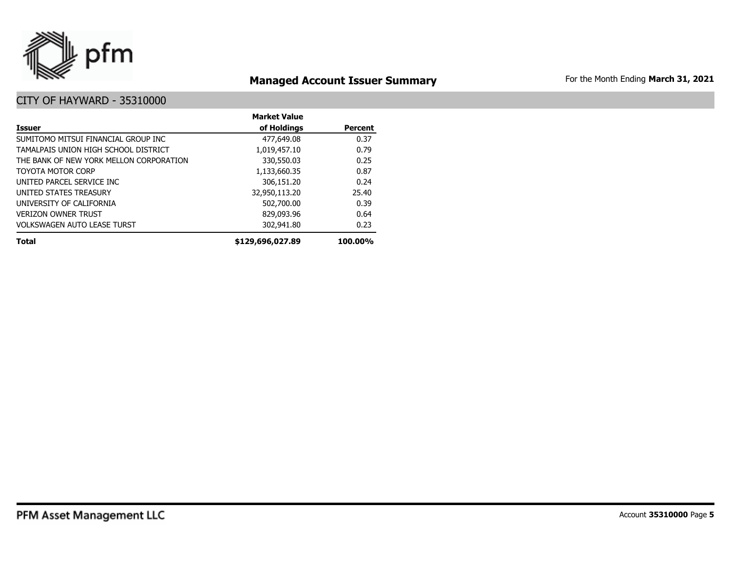

# **Managed Account Issuer Summary** For the Month Ending March 31, 2021

|                                         | <b>Market Value</b> |                |
|-----------------------------------------|---------------------|----------------|
| Issuer                                  | of Holdings         | <b>Percent</b> |
| SUMITOMO MITSUI FINANCIAL GROUP INC     | 477,649.08          | 0.37           |
| TAMALPAIS UNION HIGH SCHOOL DISTRICT    | 1,019,457.10        | 0.79           |
| THE BANK OF NEW YORK MELLON CORPORATION | 330,550.03          | 0.25           |
| <b>TOYOTA MOTOR CORP</b>                | 1,133,660.35        | 0.87           |
| UNITED PARCEL SERVICE INC               | 306,151.20          | 0.24           |
| UNITED STATES TREASURY                  | 32,950,113.20       | 25.40          |
| UNIVERSITY OF CALIFORNIA                | 502,700.00          | 0.39           |
| <b>VERIZON OWNER TRUST</b>              | 829,093.96          | 0.64           |
| <b>VOLKSWAGEN AUTO LEASE TURST</b>      | 302,941.80          | 0.23           |
| <b>Total</b>                            | \$129,696,027.89    | 100.00%        |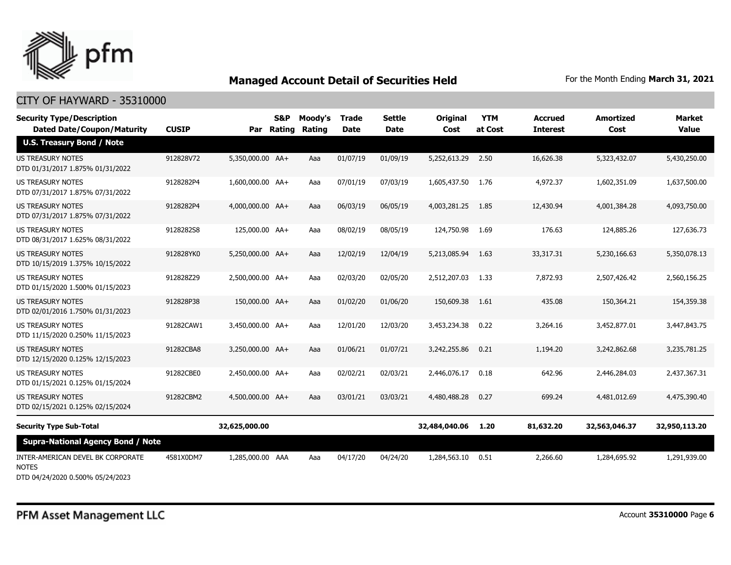

### CITY OF HAYWARD - 35310000

| <b>Security Type/Description</b><br><b>Dated Date/Coupon/Maturity</b> | <b>CUSIP</b> |                  | S&P<br>Par Rating | Moodv's<br><b>Rating</b> | <b>Trade</b><br><b>Date</b> | Settle<br><b>Date</b> | <b>Original</b><br>Cost | <b>YTM</b><br>at Cost | Accrued<br><b>Interest</b> | Amortized<br>Cost | <b>Market</b><br><b>Value</b> |
|-----------------------------------------------------------------------|--------------|------------------|-------------------|--------------------------|-----------------------------|-----------------------|-------------------------|-----------------------|----------------------------|-------------------|-------------------------------|
| <b>U.S. Treasury Bond / Note</b>                                      |              |                  |                   |                          |                             |                       |                         |                       |                            |                   |                               |
| <b>US TREASURY NOTES</b><br>DTD 01/31/2017 1.875% 01/31/2022          | 912828V72    | 5,350,000.00 AA+ |                   | Aaa                      | 01/07/19                    | 01/09/19              | 5,252,613.29            | 2.50                  | 16,626.38                  | 5,323,432.07      | 5,430,250.00                  |
| US TREASURY NOTES<br>DTD 07/31/2017 1.875% 07/31/2022                 | 9128282P4    | 1,600,000.00 AA+ |                   | Aaa                      | 07/01/19                    | 07/03/19              | 1,605,437.50            | 1.76                  | 4,972.37                   | 1,602,351.09      | 1,637,500.00                  |
| <b>US TREASURY NOTES</b><br>DTD 07/31/2017 1.875% 07/31/2022          | 9128282P4    | 4,000,000.00 AA+ |                   | Aaa                      | 06/03/19                    | 06/05/19              | 4,003,281.25            | 1.85                  | 12,430.94                  | 4,001,384.28      | 4,093,750.00                  |
| US TREASURY NOTES<br>DTD 08/31/2017 1.625% 08/31/2022                 | 9128282S8    | 125,000.00 AA+   |                   | Aaa                      | 08/02/19                    | 08/05/19              | 124,750.98              | 1.69                  | 176.63                     | 124,885.26        | 127,636.73                    |
| <b>US TREASURY NOTES</b><br>DTD 10/15/2019 1.375% 10/15/2022          | 912828YK0    | 5,250,000.00 AA+ |                   | Aaa                      | 12/02/19                    | 12/04/19              | 5,213,085.94            | 1.63                  | 33,317.31                  | 5,230,166.63      | 5,350,078.13                  |
| US TREASURY NOTES<br>DTD 01/15/2020 1.500% 01/15/2023                 | 912828Z29    | 2,500,000.00 AA+ |                   | Aaa                      | 02/03/20                    | 02/05/20              | 2,512,207.03            | 1.33                  | 7,872.93                   | 2,507,426.42      | 2,560,156.25                  |
| <b>US TREASURY NOTES</b><br>DTD 02/01/2016 1.750% 01/31/2023          | 912828P38    | 150,000.00 AA+   |                   | Aaa                      | 01/02/20                    | 01/06/20              | 150,609.38              | -1.61                 | 435.08                     | 150,364.21        | 154,359.38                    |
| US TREASURY NOTES<br>DTD 11/15/2020 0.250% 11/15/2023                 | 91282CAW1    | 3,450,000.00 AA+ |                   | Aaa                      | 12/01/20                    | 12/03/20              | 3,453,234.38            | 0.22                  | 3,264.16                   | 3,452,877.01      | 3,447,843.75                  |
| <b>US TREASURY NOTES</b><br>DTD 12/15/2020 0.125% 12/15/2023          | 91282CBA8    | 3.250.000.00 AA+ |                   | Aaa                      | 01/06/21                    | 01/07/21              | 3,242,255.86            | 0.21                  | 1,194.20                   | 3,242,862,68      | 3,235,781.25                  |
| <b>US TREASURY NOTES</b><br>DTD 01/15/2021 0.125% 01/15/2024          | 91282CBE0    | 2,450,000.00 AA+ |                   | Aaa                      | 02/02/21                    | 02/03/21              | 2,446,076.17            | 0.18                  | 642.96                     | 2,446,284.03      | 2,437,367.31                  |
| <b>US TREASURY NOTES</b><br>DTD 02/15/2021 0.125% 02/15/2024          | 91282CBM2    | 4,500,000.00 AA+ |                   | Aaa                      | 03/01/21                    | 03/03/21              | 4,480,488.28            | 0.27                  | 699.24                     | 4,481,012.69      | 4,475,390,40                  |
| <b>Security Type Sub-Total</b>                                        |              | 32,625,000.00    |                   |                          |                             |                       | 32,484,040.06           | 1.20                  | 81,632.20                  | 32,563,046.37     | 32,950,113.20                 |
| <b>Supra-National Agency Bond / Note</b>                              |              |                  |                   |                          |                             |                       |                         |                       |                            |                   |                               |
| INTER-AMERICAN DEVEL BK CORPORATE<br><b>NOTES</b>                     | 4581X0DM7    | 1,285,000.00 AAA |                   | Aaa                      | 04/17/20                    | 04/24/20              | 1,284,563.10            | 0.51                  | 2,266.60                   | 1,284,695.92      | 1,291,939.00                  |

DTD 04/24/2020 0.500% 05/24/2023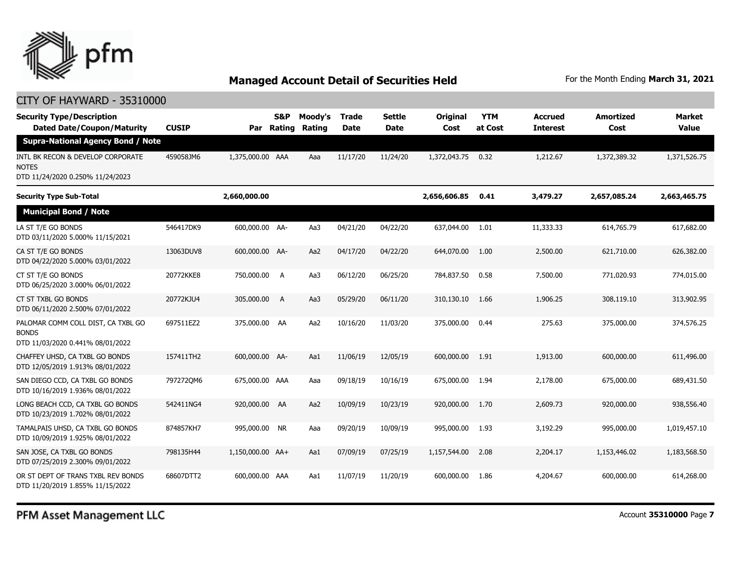

### CITY OF HAYWARD - 35310000

| <b>Security Type/Description</b><br><b>Dated Date/Coupon/Maturity</b>                  | <b>CUSIP</b> | Par              | S&P<br>Rating | Moody's<br>Rating | <b>Trade</b><br><b>Date</b> | <b>Settle</b><br><b>Date</b> | Original<br>Cost | <b>YTM</b><br>at Cost | <b>Accrued</b><br><b>Interest</b> | <b>Amortized</b><br>Cost | Market<br><b>Value</b> |
|----------------------------------------------------------------------------------------|--------------|------------------|---------------|-------------------|-----------------------------|------------------------------|------------------|-----------------------|-----------------------------------|--------------------------|------------------------|
| <b>Supra-National Agency Bond / Note</b>                                               |              |                  |               |                   |                             |                              |                  |                       |                                   |                          |                        |
| INTL BK RECON & DEVELOP CORPORATE<br><b>NOTES</b><br>DTD 11/24/2020 0.250% 11/24/2023  | 459058JM6    | 1,375,000.00 AAA |               | Aaa               | 11/17/20                    | 11/24/20                     | 1,372,043.75     | 0.32                  | 1,212.67                          | 1,372,389.32             | 1,371,526.75           |
| <b>Security Type Sub-Total</b>                                                         |              | 2,660,000.00     |               |                   |                             |                              | 2,656,606.85     | 0.41                  | 3,479.27                          | 2,657,085.24             | 2,663,465.75           |
| <b>Municipal Bond / Note</b>                                                           |              |                  |               |                   |                             |                              |                  |                       |                                   |                          |                        |
| LA ST T/E GO BONDS<br>DTD 03/11/2020 5.000% 11/15/2021                                 | 546417DK9    | 600,000.00 AA-   |               | Aa3               | 04/21/20                    | 04/22/20                     | 637,044.00       | 1.01                  | 11,333.33                         | 614,765.79               | 617,682.00             |
| CA ST T/E GO BONDS<br>DTD 04/22/2020 5.000% 03/01/2022                                 | 13063DUV8    | 600,000.00 AA-   |               | Aa2               | 04/17/20                    | 04/22/20                     | 644,070.00       | 1.00                  | 2,500.00                          | 621,710.00               | 626,382.00             |
| CT ST T/E GO BONDS<br>DTD 06/25/2020 3.000% 06/01/2022                                 | 20772KKE8    | 750,000.00       | A             | Aa3               | 06/12/20                    | 06/25/20                     | 784,837.50       | 0.58                  | 7,500.00                          | 771,020.93               | 774,015.00             |
| CT ST TXBL GO BONDS<br>DTD 06/11/2020 2.500% 07/01/2022                                | 20772KJU4    | 305,000.00       | A             | Aa3               | 05/29/20                    | 06/11/20                     | 310,130.10       | 1.66                  | 1,906.25                          | 308,119.10               | 313,902.95             |
| PALOMAR COMM COLL DIST, CA TXBL GO<br><b>BONDS</b><br>DTD 11/03/2020 0.441% 08/01/2022 | 697511EZ2    | 375,000.00 AA    |               | Aa2               | 10/16/20                    | 11/03/20                     | 375,000.00       | 0.44                  | 275.63                            | 375,000.00               | 374,576.25             |
| CHAFFEY UHSD, CA TXBL GO BONDS<br>DTD 12/05/2019 1.913% 08/01/2022                     | 157411TH2    | 600,000.00 AA-   |               | Aa1               | 11/06/19                    | 12/05/19                     | 600,000.00       | 1.91                  | 1,913.00                          | 600,000.00               | 611,496.00             |
| SAN DIEGO CCD, CA TXBL GO BONDS<br>DTD 10/16/2019 1.936% 08/01/2022                    | 7972720M6    | 675,000.00 AAA   |               | Aaa               | 09/18/19                    | 10/16/19                     | 675,000.00       | 1.94                  | 2,178.00                          | 675,000.00               | 689,431.50             |
| LONG BEACH CCD, CA TXBL GO BONDS<br>DTD 10/23/2019 1.702% 08/01/2022                   | 542411NG4    | 920,000.00 AA    |               | Aa2               | 10/09/19                    | 10/23/19                     | 920,000.00       | 1.70                  | 2,609.73                          | 920,000.00               | 938,556.40             |
| TAMALPAIS UHSD, CA TXBL GO BONDS<br>DTD 10/09/2019 1.925% 08/01/2022                   | 874857KH7    | 995,000.00 NR    |               | Aaa               | 09/20/19                    | 10/09/19                     | 995,000.00       | 1.93                  | 3,192.29                          | 995,000.00               | 1,019,457.10           |
| SAN JOSE, CA TXBL GO BONDS<br>DTD 07/25/2019 2.300% 09/01/2022                         | 798135H44    | 1,150,000.00 AA+ |               | Aa1               | 07/09/19                    | 07/25/19                     | 1,157,544.00     | 2.08                  | 2,204.17                          | 1,153,446.02             | 1,183,568.50           |
| OR ST DEPT OF TRANS TXBL REV BONDS<br>DTD 11/20/2019 1.855% 11/15/2022                 | 68607DTT2    | 600,000.00 AAA   |               | Aa1               | 11/07/19                    | 11/20/19                     | 600,000.00       | 1.86                  | 4,204.67                          | 600,000.00               | 614,268.00             |

PFM Asset Management LLC

Account **35310000** Page **7**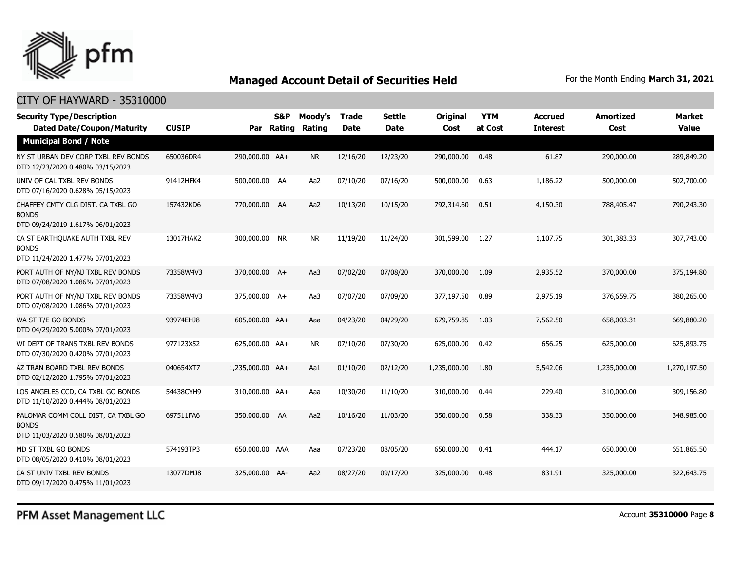

### CITY OF HAYWARD - 35310000

| <b>Security Type/Description</b><br><b>Dated Date/Coupon/Maturity</b>                  | <b>CUSIP</b> |                  | <b>S&amp;P</b><br>Par Rating | Moody's<br>Rating | Trade<br><b>Date</b> | <b>Settle</b><br><b>Date</b> | <b>Original</b><br>Cost | <b>YTM</b><br>at Cost | <b>Accrued</b><br><b>Interest</b> | <b>Amortized</b><br>Cost | <b>Market</b><br><b>Value</b> |
|----------------------------------------------------------------------------------------|--------------|------------------|------------------------------|-------------------|----------------------|------------------------------|-------------------------|-----------------------|-----------------------------------|--------------------------|-------------------------------|
| <b>Municipal Bond / Note</b>                                                           |              |                  |                              |                   |                      |                              |                         |                       |                                   |                          |                               |
| NY ST URBAN DEV CORP TXBL REV BONDS<br>DTD 12/23/2020 0.480% 03/15/2023                | 650036DR4    | 290,000.00 AA+   |                              | <b>NR</b>         | 12/16/20             | 12/23/20                     | 290,000.00              | 0.48                  | 61.87                             | 290,000.00               | 289,849.20                    |
| UNIV OF CAL TXBL REV BONDS<br>DTD 07/16/2020 0.628% 05/15/2023                         | 91412HFK4    | 500,000.00 AA    |                              | Aa2               | 07/10/20             | 07/16/20                     | 500,000.00              | 0.63                  | 1,186.22                          | 500,000.00               | 502,700.00                    |
| CHAFFEY CMTY CLG DIST, CA TXBL GO<br><b>BONDS</b><br>DTD 09/24/2019 1.617% 06/01/2023  | 157432KD6    | 770,000.00 AA    |                              | Aa2               | 10/13/20             | 10/15/20                     | 792,314.60              | 0.51                  | 4,150.30                          | 788,405.47               | 790,243.30                    |
| CA ST EARTHQUAKE AUTH TXBL REV<br><b>BONDS</b><br>DTD 11/24/2020 1.477% 07/01/2023     | 13017HAK2    | 300,000.00 NR    |                              | <b>NR</b>         | 11/19/20             | 11/24/20                     | 301,599.00              | 1.27                  | 1,107.75                          | 301,383.33               | 307,743.00                    |
| PORT AUTH OF NY/NJ TXBL REV BONDS<br>DTD 07/08/2020 1.086% 07/01/2023                  | 73358W4V3    | 370,000.00 A+    |                              | Aa3               | 07/02/20             | 07/08/20                     | 370,000.00              | 1.09                  | 2,935.52                          | 370,000.00               | 375,194.80                    |
| PORT AUTH OF NY/NJ TXBL REV BONDS<br>DTD 07/08/2020 1.086% 07/01/2023                  | 73358W4V3    | 375,000.00 A+    |                              | Aa3               | 07/07/20             | 07/09/20                     | 377,197.50              | 0.89                  | 2,975.19                          | 376,659.75               | 380,265.00                    |
| WA ST T/E GO BONDS<br>DTD 04/29/2020 5.000% 07/01/2023                                 | 93974EHJ8    | 605,000.00 AA+   |                              | Aaa               | 04/23/20             | 04/29/20                     | 679,759.85              | 1.03                  | 7,562.50                          | 658,003.31               | 669,880.20                    |
| WI DEPT OF TRANS TXBL REV BONDS<br>DTD 07/30/2020 0.420% 07/01/2023                    | 977123X52    | 625,000.00 AA+   |                              | NR.               | 07/10/20             | 07/30/20                     | 625,000.00              | 0.42                  | 656.25                            | 625,000.00               | 625,893.75                    |
| AZ TRAN BOARD TXBL REV BONDS<br>DTD 02/12/2020 1.795% 07/01/2023                       | 040654XT7    | 1,235,000.00 AA+ |                              | Aa1               | 01/10/20             | 02/12/20                     | 1,235,000.00            | 1.80                  | 5,542.06                          | 1,235,000.00             | 1,270,197.50                  |
| LOS ANGELES CCD, CA TXBL GO BONDS<br>DTD 11/10/2020 0.444% 08/01/2023                  | 54438CYH9    | 310,000.00 AA+   |                              | Aaa               | 10/30/20             | 11/10/20                     | 310,000.00              | 0.44                  | 229.40                            | 310,000.00               | 309,156.80                    |
| PALOMAR COMM COLL DIST, CA TXBL GO<br><b>BONDS</b><br>DTD 11/03/2020 0.580% 08/01/2023 | 697511FA6    | 350,000.00 AA    |                              | Aa2               | 10/16/20             | 11/03/20                     | 350,000.00              | 0.58                  | 338.33                            | 350,000.00               | 348,985.00                    |
| MD ST TXBL GO BONDS<br>DTD 08/05/2020 0.410% 08/01/2023                                | 574193TP3    | 650,000.00 AAA   |                              | Aaa               | 07/23/20             | 08/05/20                     | 650,000.00              | 0.41                  | 444.17                            | 650,000.00               | 651,865.50                    |
| CA ST UNIV TXBL REV BONDS<br>DTD 09/17/2020 0.475% 11/01/2023                          | 13077DMJ8    | 325,000.00 AA-   |                              | Aa2               | 08/27/20             | 09/17/20                     | 325,000.00              | 0.48                  | 831.91                            | 325,000.00               | 322,643.75                    |

PFM Asset Management LLC

Account **35310000** Page **8**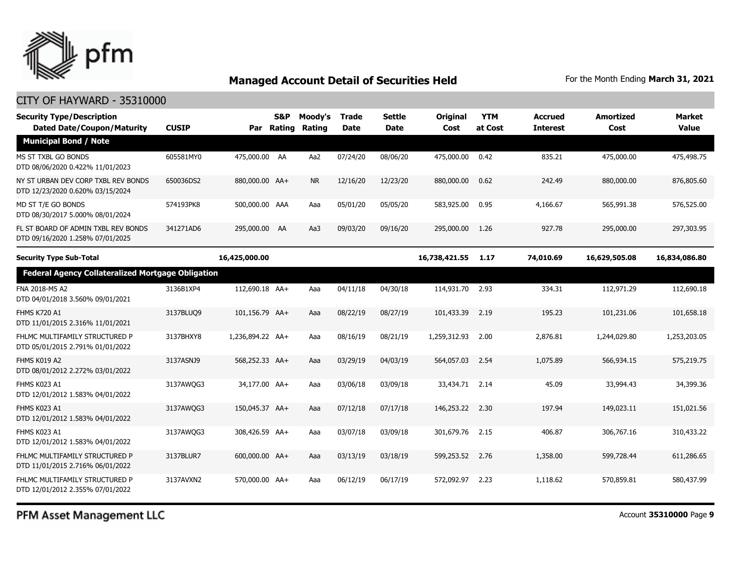

### CITY OF HAYWARD - 35310000

| <b>Security Type/Description</b><br><b>Dated Date/Coupon/Maturity</b>   | <b>CUSIP</b> | Par              | S&P<br><b>Rating</b> | Moody's<br>Rating | <b>Trade</b><br><b>Date</b> | <b>Settle</b><br>Date | Original<br>Cost | <b>YTM</b><br>at Cost | <b>Accrued</b><br><b>Interest</b> | <b>Amortized</b><br>Cost | <b>Market</b><br><b>Value</b> |
|-------------------------------------------------------------------------|--------------|------------------|----------------------|-------------------|-----------------------------|-----------------------|------------------|-----------------------|-----------------------------------|--------------------------|-------------------------------|
| <b>Municipal Bond / Note</b>                                            |              |                  |                      |                   |                             |                       |                  |                       |                                   |                          |                               |
| MS ST TXBL GO BONDS<br>DTD 08/06/2020 0.422% 11/01/2023                 | 605581MY0    | 475,000.00 AA    |                      | Aa2               | 07/24/20                    | 08/06/20              | 475,000.00       | 0.42                  | 835.21                            | 475,000,00               | 475,498.75                    |
| NY ST URBAN DEV CORP TXBL REV BONDS<br>DTD 12/23/2020 0.620% 03/15/2024 | 650036DS2    | 880,000.00 AA+   |                      | NR.               | 12/16/20                    | 12/23/20              | 880,000.00       | 0.62                  | 242.49                            | 880,000.00               | 876,805.60                    |
| MD ST T/E GO BONDS<br>DTD 08/30/2017 5.000% 08/01/2024                  | 574193PK8    | 500,000.00 AAA   |                      | Aaa               | 05/01/20                    | 05/05/20              | 583,925.00       | 0.95                  | 4,166.67                          | 565,991.38               | 576,525.00                    |
| FL ST BOARD OF ADMIN TXBL REV BONDS<br>DTD 09/16/2020 1.258% 07/01/2025 | 341271AD6    | 295,000.00 AA    |                      | Aa3               | 09/03/20                    | 09/16/20              | 295,000.00       | 1.26                  | 927.78                            | 295,000.00               | 297,303.95                    |
| <b>Security Type Sub-Total</b>                                          |              | 16,425,000.00    |                      |                   |                             |                       | 16,738,421.55    | 1.17                  | 74,010.69                         | 16,629,505.08            | 16,834,086.80                 |
| <b>Federal Agency Collateralized Mortgage Obligation</b>                |              |                  |                      |                   |                             |                       |                  |                       |                                   |                          |                               |
| FNA 2018-M5 A2<br>DTD 04/01/2018 3.560% 09/01/2021                      | 3136B1XP4    | 112,690.18 AA+   |                      | Aaa               | 04/11/18                    | 04/30/18              | 114,931.70       | 2.93                  | 334.31                            | 112,971.29               | 112,690.18                    |
| <b>FHMS K720 A1</b><br>DTD 11/01/2015 2.316% 11/01/2021                 | 3137BLUQ9    | 101,156.79 AA+   |                      | Aaa               | 08/22/19                    | 08/27/19              | 101,433.39       | 2.19                  | 195.23                            | 101,231.06               | 101,658.18                    |
| FHLMC MULTIFAMILY STRUCTURED P<br>DTD 05/01/2015 2.791% 01/01/2022      | 3137BHXY8    | 1,236,894.22 AA+ |                      | Aaa               | 08/16/19                    | 08/21/19              | 1,259,312.93     | 2.00                  | 2,876.81                          | 1,244,029.80             | 1,253,203.05                  |
| FHMS K019 A2<br>DTD 08/01/2012 2.272% 03/01/2022                        | 3137ASNJ9    | 568,252.33 AA+   |                      | Aaa               | 03/29/19                    | 04/03/19              | 564,057.03       | 2.54                  | 1,075.89                          | 566,934.15               | 575,219.75                    |
| FHMS K023 A1<br>DTD 12/01/2012 1.583% 04/01/2022                        | 3137AWQG3    | 34,177.00 AA+    |                      | Aaa               | 03/06/18                    | 03/09/18              | 33,434.71 2.14   |                       | 45.09                             | 33,994.43                | 34,399.36                     |
| FHMS K023 A1<br>DTD 12/01/2012 1.583% 04/01/2022                        | 3137AWQG3    | 150,045.37 AA+   |                      | Aaa               | 07/12/18                    | 07/17/18              | 146,253,22       | 2.30                  | 197.94                            | 149,023.11               | 151,021.56                    |
| FHMS K023 A1<br>DTD 12/01/2012 1.583% 04/01/2022                        | 3137AWQG3    | 308,426.59 AA+   |                      | Aaa               | 03/07/18                    | 03/09/18              | 301,679.76       | 2.15                  | 406.87                            | 306,767.16               | 310,433.22                    |
| FHLMC MULTIFAMILY STRUCTURED P<br>DTD 11/01/2015 2.716% 06/01/2022      | 3137BLUR7    | 600,000.00 AA+   |                      | Aaa               | 03/13/19                    | 03/18/19              | 599,253.52       | 2.76                  | 1,358.00                          | 599,728.44               | 611,286.65                    |
| FHLMC MULTIFAMILY STRUCTURED P<br>DTD 12/01/2012 2.355% 07/01/2022      | 3137AVXN2    | 570,000.00 AA+   |                      | Aaa               | 06/12/19                    | 06/17/19              | 572,092.97       | 2.23                  | 1,118.62                          | 570,859.81               | 580,437.99                    |

PFM Asset Management LLC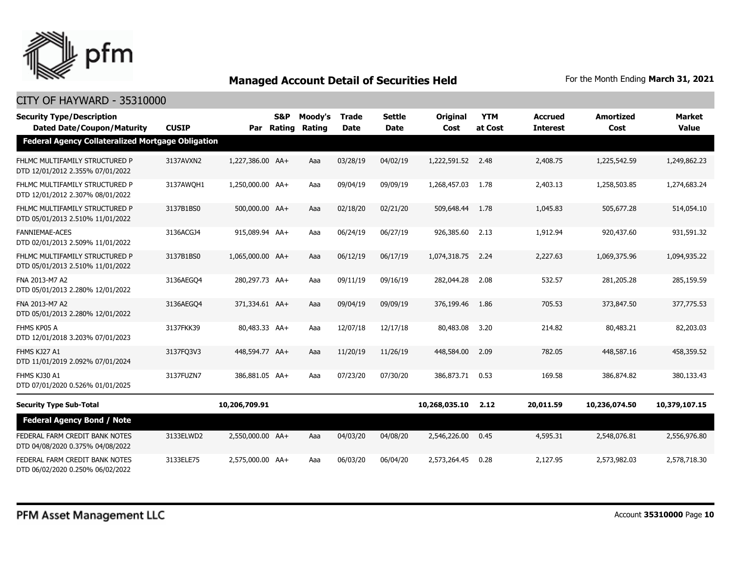

| <b>Security Type/Description</b><br><b>Dated Date/Coupon/Maturity</b> | <b>CUSIP</b> | Par              | S&P<br>Rating | Moody's<br>Rating | <b>Trade</b><br><b>Date</b> | <b>Settle</b><br><b>Date</b> | <b>Original</b><br>Cost | <b>YTM</b><br>at Cost | <b>Accrued</b><br><b>Interest</b> | <b>Amortized</b><br>Cost | <b>Market</b><br><b>Value</b> |
|-----------------------------------------------------------------------|--------------|------------------|---------------|-------------------|-----------------------------|------------------------------|-------------------------|-----------------------|-----------------------------------|--------------------------|-------------------------------|
| <b>Federal Agency Collateralized Mortgage Obligation</b>              |              |                  |               |                   |                             |                              |                         |                       |                                   |                          |                               |
| FHLMC MULTIFAMILY STRUCTURED P<br>DTD 12/01/2012 2.355% 07/01/2022    | 3137AVXN2    | 1,227,386.00 AA+ |               | Aaa               | 03/28/19                    | 04/02/19                     | 1,222,591.52            | 2.48                  | 2,408.75                          | 1,225,542.59             | 1,249,862,23                  |
| FHLMC MULTIFAMILY STRUCTURED P<br>DTD 12/01/2012 2.307% 08/01/2022    | 3137AWOH1    | 1,250,000.00 AA+ |               | Aaa               | 09/04/19                    | 09/09/19                     | 1,268,457.03            | 1.78                  | 2,403.13                          | 1,258,503.85             | 1,274,683.24                  |
| FHLMC MULTIFAMILY STRUCTURED P<br>DTD 05/01/2013 2.510% 11/01/2022    | 3137B1BS0    | 500,000.00 AA+   |               | Aaa               | 02/18/20                    | 02/21/20                     | 509,648.44              | 1.78                  | 1,045.83                          | 505,677.28               | 514,054.10                    |
| <b>FANNIEMAE-ACES</b><br>DTD 02/01/2013 2.509% 11/01/2022             | 3136ACGJ4    | 915,089.94 AA+   |               | Aaa               | 06/24/19                    | 06/27/19                     | 926,385.60              | 2.13                  | 1,912.94                          | 920,437.60               | 931,591.32                    |
| FHLMC MULTIFAMILY STRUCTURED P<br>DTD 05/01/2013 2.510% 11/01/2022    | 3137B1BS0    | 1,065,000.00 AA+ |               | Aaa               | 06/12/19                    | 06/17/19                     | 1,074,318.75            | 2.24                  | 2,227.63                          | 1,069,375.96             | 1,094,935.22                  |
| FNA 2013-M7 A2<br>DTD 05/01/2013 2.280% 12/01/2022                    | 3136AEGO4    | 280,297.73 AA+   |               | Aaa               | 09/11/19                    | 09/16/19                     | 282,044.28              | 2.08                  | 532.57                            | 281,205.28               | 285,159.59                    |
| FNA 2013-M7 A2<br>DTD 05/01/2013 2.280% 12/01/2022                    | 3136AEGO4    | 371,334.61 AA+   |               | Aaa               | 09/04/19                    | 09/09/19                     | 376,199.46              | 1.86                  | 705.53                            | 373,847.50               | 377,775.53                    |
| FHMS KP05 A<br>DTD 12/01/2018 3.203% 07/01/2023                       | 3137FKK39    | 80,483.33 AA+    |               | Aaa               | 12/07/18                    | 12/17/18                     | 80,483.08               | 3.20                  | 214.82                            | 80,483.21                | 82,203.03                     |
| FHMS KJ27 A1<br>DTD 11/01/2019 2.092% 07/01/2024                      | 3137FQ3V3    | 448,594.77 AA+   |               | Aaa               | 11/20/19                    | 11/26/19                     | 448,584.00              | 2.09                  | 782.05                            | 448,587.16               | 458,359.52                    |
| FHMS KJ30 A1<br>DTD 07/01/2020 0.526% 01/01/2025                      | 3137FUZN7    | 386,881.05 AA+   |               | Aaa               | 07/23/20                    | 07/30/20                     | 386,873,71              | 0.53                  | 169.58                            | 386,874.82               | 380,133,43                    |
| <b>Security Type Sub-Total</b>                                        |              | 10,206,709.91    |               |                   |                             |                              | 10,268,035.10           | 2.12                  | 20,011.59                         | 10,236,074.50            | 10,379,107.15                 |
| <b>Federal Agency Bond / Note</b>                                     |              |                  |               |                   |                             |                              |                         |                       |                                   |                          |                               |
| FEDERAL FARM CREDIT BANK NOTES<br>DTD 04/08/2020 0.375% 04/08/2022    | 3133ELWD2    | 2,550,000.00 AA+ |               | Aaa               | 04/03/20                    | 04/08/20                     | 2,546,226.00            | 0.45                  | 4,595.31                          | 2,548,076.81             | 2,556,976.80                  |
| FEDERAL FARM CREDIT BANK NOTES<br>DTD 06/02/2020 0.250% 06/02/2022    | 3133ELE75    | 2,575,000.00 AA+ |               | Aaa               | 06/03/20                    | 06/04/20                     | 2,573,264.45            | 0.28                  | 2,127.95                          | 2,573,982.03             | 2,578,718.30                  |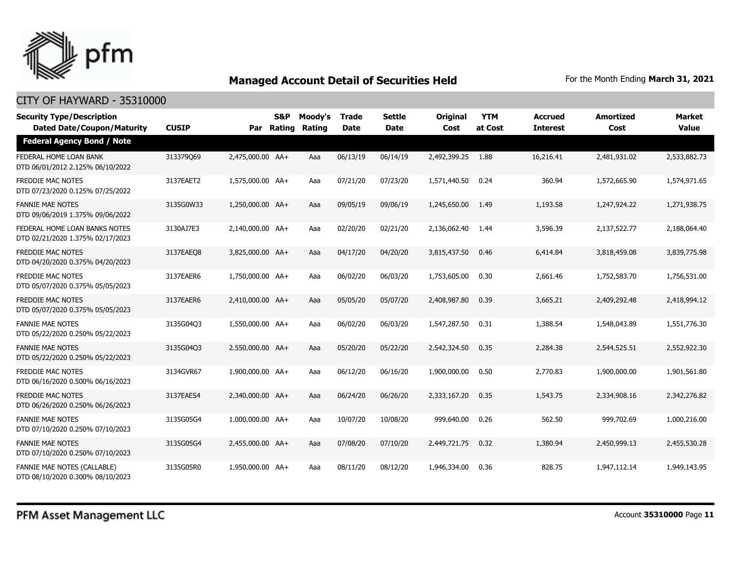

| <b>Security Type/Description</b><br><b>Dated Date/Coupon/Maturity</b> | <b>CUSIP</b> |                  | <b>S&amp;P</b><br>Par Rating | Moody's<br>Rating | <b>Trade</b><br><b>Date</b> | <b>Settle</b><br><b>Date</b> | <b>Original</b><br>Cost | <b>YTM</b><br>at Cost | <b>Accrued</b><br><b>Interest</b> | <b>Amortized</b><br>Cost | Market<br><b>Value</b> |
|-----------------------------------------------------------------------|--------------|------------------|------------------------------|-------------------|-----------------------------|------------------------------|-------------------------|-----------------------|-----------------------------------|--------------------------|------------------------|
| <b>Federal Agency Bond / Note</b>                                     |              |                  |                              |                   |                             |                              |                         |                       |                                   |                          |                        |
| FEDERAL HOME LOAN BANK<br>DTD 06/01/2012 2.125% 06/10/2022            | 313379Q69    | 2,475,000.00 AA+ |                              | Aaa               | 06/13/19                    | 06/14/19                     | 2,492,399.25            | 1.88                  | 16,216.41                         | 2,481,931.02             | 2,533,882.73           |
| <b>FREDDIE MAC NOTES</b><br>DTD 07/23/2020 0.125% 07/25/2022          | 3137EAET2    | 1,575,000.00 AA+ |                              | Aaa               | 07/21/20                    | 07/23/20                     | 1,571,440.50            | 0.24                  | 360.94                            | 1,572,665.90             | 1,574,971.65           |
| <b>FANNIE MAE NOTES</b><br>DTD 09/06/2019 1.375% 09/06/2022           | 3135G0W33    | 1,250,000.00 AA+ |                              | Aaa               | 09/05/19                    | 09/06/19                     | 1,245,650.00            | 1.49                  | 1,193.58                          | 1,247,924.22             | 1,271,938.75           |
| FEDERAL HOME LOAN BANKS NOTES<br>DTD 02/21/2020 1.375% 02/17/2023     | 3130AJ7E3    | 2,140,000.00 AA+ |                              | Aaa               | 02/20/20                    | 02/21/20                     | 2,136,062.40            | 1.44                  | 3,596.39                          | 2,137,522.77             | 2,188,064.40           |
| <b>FREDDIE MAC NOTES</b><br>DTD 04/20/2020 0.375% 04/20/2023          | 3137EAEO8    | 3,825,000.00 AA+ |                              | Aaa               | 04/17/20                    | 04/20/20                     | 3,815,437.50            | 0.46                  | 6,414.84                          | 3,818,459.08             | 3,839,775.98           |
| <b>FREDDIE MAC NOTES</b><br>DTD 05/07/2020 0.375% 05/05/2023          | 3137EAER6    | 1,750,000.00 AA+ |                              | Aaa               | 06/02/20                    | 06/03/20                     | 1,753,605,00            | 0.30                  | 2.661.46                          | 1,752,583,70             | 1,756,531.00           |
| <b>FREDDIE MAC NOTES</b><br>DTD 05/07/2020 0.375% 05/05/2023          | 3137EAER6    | 2,410,000.00 AA+ |                              | Aaa               | 05/05/20                    | 05/07/20                     | 2,408,987.80            | 0.39                  | 3,665.21                          | 2,409,292.48             | 2,418,994.12           |
| <b>FANNIE MAE NOTES</b><br>DTD 05/22/2020 0.250% 05/22/2023           | 3135G04O3    | 1,550,000.00 AA+ |                              | Aaa               | 06/02/20                    | 06/03/20                     | 1,547,287.50            | 0.31                  | 1,388.54                          | 1,548,043.89             | 1,551,776.30           |
| <b>FANNIE MAE NOTES</b><br>DTD 05/22/2020 0.250% 05/22/2023           | 3135G04Q3    | 2,550,000.00 AA+ |                              | Aaa               | 05/20/20                    | 05/22/20                     | 2,542,324.50            | 0.35                  | 2,284.38                          | 2,544,525.51             | 2,552,922.30           |
| <b>FREDDIE MAC NOTES</b><br>DTD 06/16/2020 0.500% 06/16/2023          | 3134GVR67    | 1,900,000.00 AA+ |                              | Aaa               | 06/12/20                    | 06/16/20                     | 1,900,000.00            | 0.50                  | 2,770.83                          | 1,900,000.00             | 1,901,561.80           |
| <b>FREDDIE MAC NOTES</b><br>DTD 06/26/2020 0.250% 06/26/2023          | 3137EAES4    | 2,340,000.00 AA+ |                              | Aaa               | 06/24/20                    | 06/26/20                     | 2,333,167.20            | 0.35                  | 1,543.75                          | 2,334,908.16             | 2,342,276.82           |
| <b>FANNIE MAE NOTES</b><br>DTD 07/10/2020 0.250% 07/10/2023           | 3135G05G4    | 1,000,000.00 AA+ |                              | Aaa               | 10/07/20                    | 10/08/20                     | 999,640.00              | 0.26                  | 562.50                            | 999,702.69               | 1,000,216.00           |
| <b>FANNIE MAE NOTES</b><br>DTD 07/10/2020 0.250% 07/10/2023           | 3135G05G4    | 2,455,000.00 AA+ |                              | Aaa               | 07/08/20                    | 07/10/20                     | 2,449,721.75            | 0.32                  | 1,380.94                          | 2,450,999.13             | 2,455,530.28           |
| FANNIE MAE NOTES (CALLABLE)<br>DTD 08/10/2020 0.300% 08/10/2023       | 3135G05R0    | 1,950,000.00 AA+ |                              | Aaa               | 08/11/20                    | 08/12/20                     | 1,946,334.00            | 0.36                  | 828.75                            | 1,947,112.14             | 1,949,143.95           |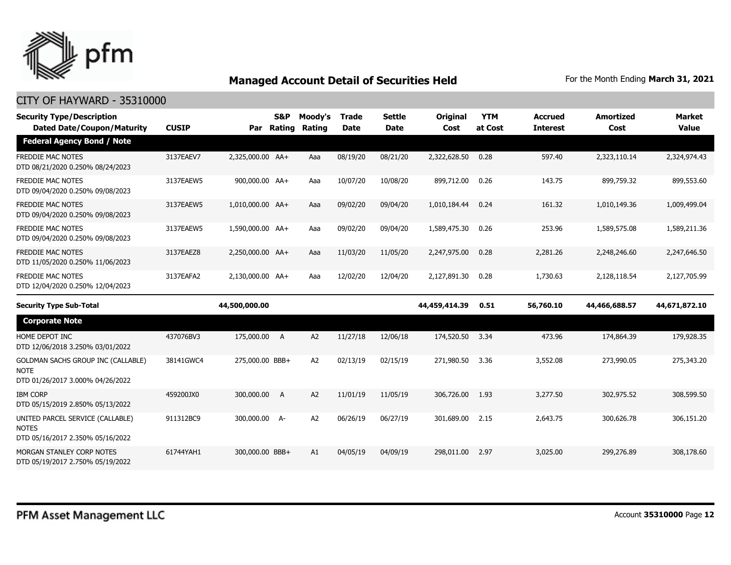

| <b>Security Type/Description</b><br><b>Dated Date/Coupon/Maturity</b>                 | <b>CUSIP</b> | Par              | S&P<br>Rating  | Moody's<br>Rating | <b>Trade</b><br><b>Date</b> | <b>Settle</b><br><b>Date</b> | Original<br>Cost | <b>YTM</b><br>at Cost | <b>Accrued</b><br><b>Interest</b> | <b>Amortized</b><br>Cost | <b>Market</b><br><b>Value</b> |
|---------------------------------------------------------------------------------------|--------------|------------------|----------------|-------------------|-----------------------------|------------------------------|------------------|-----------------------|-----------------------------------|--------------------------|-------------------------------|
| <b>Federal Agency Bond / Note</b>                                                     |              |                  |                |                   |                             |                              |                  |                       |                                   |                          |                               |
| <b>FREDDIE MAC NOTES</b><br>DTD 08/21/2020 0.250% 08/24/2023                          | 3137EAEV7    | 2,325,000.00 AA+ |                | Aaa               | 08/19/20                    | 08/21/20                     | 2,322,628.50     | 0.28                  | 597.40                            | 2,323,110.14             | 2,324,974.43                  |
| <b>FREDDIE MAC NOTES</b><br>DTD 09/04/2020 0.250% 09/08/2023                          | 3137EAEW5    | 900,000.00 AA+   |                | Aaa               | 10/07/20                    | 10/08/20                     | 899,712.00       | 0.26                  | 143.75                            | 899,759.32               | 899,553.60                    |
| FREDDIE MAC NOTES<br>DTD 09/04/2020 0.250% 09/08/2023                                 | 3137EAEW5    | 1,010,000.00 AA+ |                | Aaa               | 09/02/20                    | 09/04/20                     | 1,010,184.44     | 0.24                  | 161.32                            | 1,010,149.36             | 1,009,499.04                  |
| <b>FREDDIE MAC NOTES</b><br>DTD 09/04/2020 0.250% 09/08/2023                          | 3137EAEW5    | 1,590,000.00 AA+ |                | Aaa               | 09/02/20                    | 09/04/20                     | 1,589,475.30     | 0.26                  | 253.96                            | 1,589,575.08             | 1,589,211.36                  |
| FREDDIE MAC NOTES<br>DTD 11/05/2020 0.250% 11/06/2023                                 | 3137EAEZ8    | 2,250,000.00 AA+ |                | Aaa               | 11/03/20                    | 11/05/20                     | 2,247,975.00     | 0.28                  | 2,281.26                          | 2,248,246.60             | 2,247,646.50                  |
| <b>FREDDIE MAC NOTES</b><br>DTD 12/04/2020 0.250% 12/04/2023                          | 3137EAFA2    | 2,130,000.00 AA+ |                | Aaa               | 12/02/20                    | 12/04/20                     | 2,127,891.30     | 0.28                  | 1,730.63                          | 2,128,118.54             | 2,127,705.99                  |
| <b>Security Type Sub-Total</b>                                                        |              | 44,500,000.00    |                |                   |                             |                              | 44,459,414.39    | 0.51                  | 56,760.10                         | 44,466,688.57            | 44,671,872.10                 |
| <b>Corporate Note</b>                                                                 |              |                  |                |                   |                             |                              |                  |                       |                                   |                          |                               |
| HOME DEPOT INC<br>DTD 12/06/2018 3.250% 03/01/2022                                    | 437076BV3    | 175,000.00 A     |                | A <sub>2</sub>    | 11/27/18                    | 12/06/18                     | 174,520.50       | 3.34                  | 473.96                            | 174,864.39               | 179,928.35                    |
| GOLDMAN SACHS GROUP INC (CALLABLE)<br><b>NOTE</b><br>DTD 01/26/2017 3.000% 04/26/2022 | 38141GWC4    | 275,000.00 BBB+  |                | A <sub>2</sub>    | 02/13/19                    | 02/15/19                     | 271,980.50       | 3.36                  | 3,552.08                          | 273,990.05               | 275,343.20                    |
| <b>IBM CORP</b><br>DTD 05/15/2019 2.850% 05/13/2022                                   | 459200JX0    | 300,000.00       | $\overline{A}$ | A <sub>2</sub>    | 11/01/19                    | 11/05/19                     | 306,726.00       | 1.93                  | 3,277.50                          | 302,975.52               | 308,599.50                    |
| UNITED PARCEL SERVICE (CALLABLE)<br><b>NOTES</b><br>DTD 05/16/2017 2.350% 05/16/2022  | 911312BC9    | 300,000.00 A-    |                | A <sub>2</sub>    | 06/26/19                    | 06/27/19                     | 301,689.00       | 2.15                  | 2,643.75                          | 300,626.78               | 306,151.20                    |
| MORGAN STANLEY CORP NOTES<br>DTD 05/19/2017 2.750% 05/19/2022                         | 61744YAH1    | 300,000.00 BBB+  |                | A1                | 04/05/19                    | 04/09/19                     | 298,011.00       | 2.97                  | 3,025.00                          | 299,276.89               | 308,178.60                    |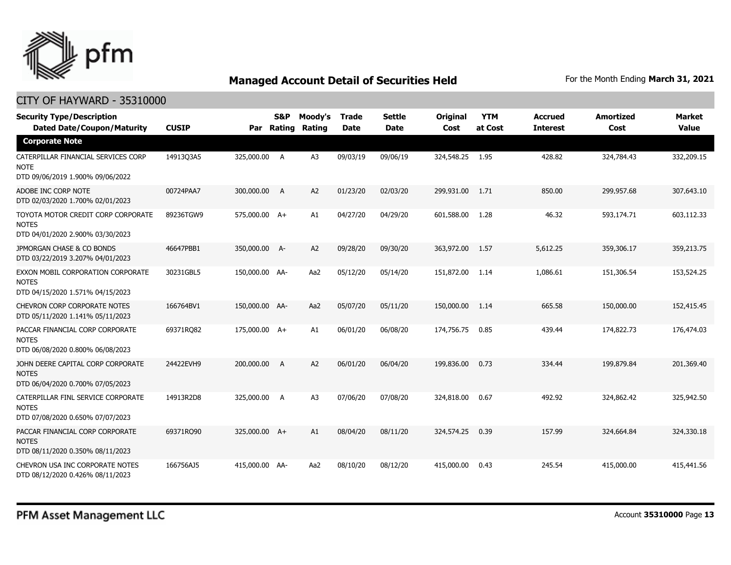

| <b>Security Type/Description</b><br><b>Dated Date/Coupon/Maturity</b>                  | <b>CUSIP</b> | Par            | <b>S&amp;P</b><br>Rating | Moody's<br>Rating | <b>Trade</b><br><b>Date</b> | <b>Settle</b><br>Date | <b>Original</b><br>Cost | <b>YTM</b><br>at Cost | <b>Accrued</b><br><b>Interest</b> | <b>Amortized</b><br>Cost | <b>Market</b><br><b>Value</b> |
|----------------------------------------------------------------------------------------|--------------|----------------|--------------------------|-------------------|-----------------------------|-----------------------|-------------------------|-----------------------|-----------------------------------|--------------------------|-------------------------------|
| <b>Corporate Note</b>                                                                  |              |                |                          |                   |                             |                       |                         |                       |                                   |                          |                               |
| CATERPILLAR FINANCIAL SERVICES CORP<br>NOTE<br>DTD 09/06/2019 1.900% 09/06/2022        | 14913Q3A5    | 325,000.00 A   |                          | A3                | 09/03/19                    | 09/06/19              | 324,548.25 1.95         |                       | 428.82                            | 324,784.43               | 332,209.15                    |
| ADOBE INC CORP NOTE<br>DTD 02/03/2020 1.700% 02/01/2023                                | 00724PAA7    | 300,000.00     | A                        | A2                | 01/23/20                    | 02/03/20              | 299,931.00              | 1.71                  | 850.00                            | 299,957.68               | 307,643.10                    |
| TOYOTA MOTOR CREDIT CORP CORPORATE<br><b>NOTES</b><br>DTD 04/01/2020 2.900% 03/30/2023 | 89236TGW9    | 575,000.00 A+  |                          | A1                | 04/27/20                    | 04/29/20              | 601,588.00              | 1.28                  | 46.32                             | 593,174.71               | 603,112.33                    |
| JPMORGAN CHASE & CO BONDS<br>DTD 03/22/2019 3.207% 04/01/2023                          | 46647PBB1    | 350,000.00 A-  |                          | A <sub>2</sub>    | 09/28/20                    | 09/30/20              | 363,972.00              | 1.57                  | 5,612.25                          | 359,306.17               | 359,213.75                    |
| EXXON MOBIL CORPORATION CORPORATE<br><b>NOTES</b><br>DTD 04/15/2020 1.571% 04/15/2023  | 30231GBL5    | 150,000.00 AA- |                          | Aa2               | 05/12/20                    | 05/14/20              | 151,872.00              | 1.14                  | 1,086.61                          | 151,306.54               | 153,524.25                    |
| <b>CHEVRON CORP CORPORATE NOTES</b><br>DTD 05/11/2020 1.141% 05/11/2023                | 166764BV1    | 150,000.00 AA- |                          | Aa2               | 05/07/20                    | 05/11/20              | 150,000.00              | 1.14                  | 665.58                            | 150,000.00               | 152,415.45                    |
| PACCAR FINANCIAL CORP CORPORATE<br><b>NOTES</b><br>DTD 06/08/2020 0.800% 06/08/2023    | 69371RQ82    | 175,000.00 A+  |                          | A1                | 06/01/20                    | 06/08/20              | 174,756.75              | 0.85                  | 439.44                            | 174,822.73               | 176,474.03                    |
| JOHN DEERE CAPITAL CORP CORPORATE<br><b>NOTES</b><br>DTD 06/04/2020 0.700% 07/05/2023  | 24422EVH9    | 200,000.00     | A                        | A <sub>2</sub>    | 06/01/20                    | 06/04/20              | 199,836.00              | 0.73                  | 334.44                            | 199,879.84               | 201,369.40                    |
| CATERPILLAR FINL SERVICE CORPORATE<br><b>NOTES</b><br>DTD 07/08/2020 0.650% 07/07/2023 | 14913R2D8    | 325,000.00     | $\overline{A}$           | A <sub>3</sub>    | 07/06/20                    | 07/08/20              | 324,818.00              | 0.67                  | 492.92                            | 324,862.42               | 325,942.50                    |
| PACCAR FINANCIAL CORP CORPORATE<br><b>NOTES</b><br>DTD 08/11/2020 0.350% 08/11/2023    | 69371RQ90    | 325,000.00 A+  |                          | A1                | 08/04/20                    | 08/11/20              | 324,574.25              | 0.39                  | 157.99                            | 324,664.84               | 324,330.18                    |
| CHEVRON USA INC CORPORATE NOTES<br>DTD 08/12/2020 0.426% 08/11/2023                    | 166756AJ5    | 415,000.00 AA- |                          | Aa2               | 08/10/20                    | 08/12/20              | 415,000.00              | 0.43                  | 245.54                            | 415,000.00               | 415,441.56                    |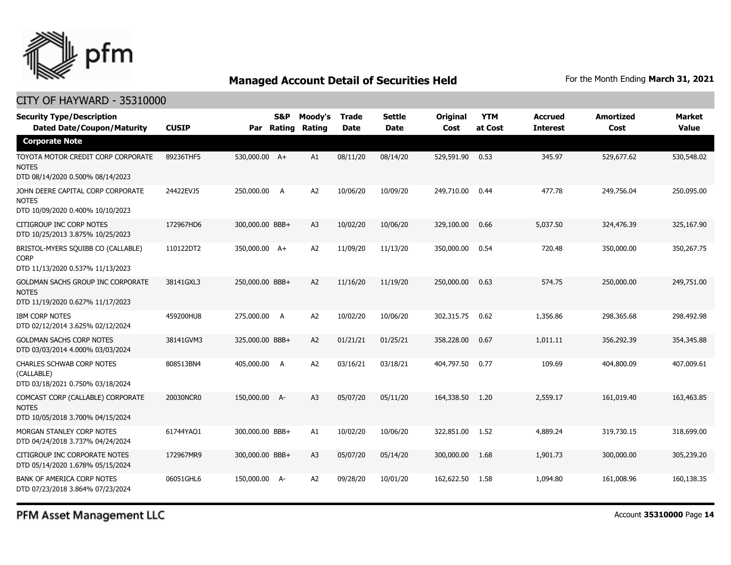

### CITY OF HAYWARD - 35310000

| <b>Security Type/Description</b><br><b>Dated Date/Coupon/Maturity</b>                  | <b>CUSIP</b> | Par             | S&P<br>Rating | Moody's<br>Rating | <b>Trade</b><br><b>Date</b> | <b>Settle</b><br><b>Date</b> | <b>Original</b><br>Cost | <b>YTM</b><br>at Cost | <b>Accrued</b><br><b>Interest</b> | <b>Amortized</b><br>Cost | <b>Market</b><br><b>Value</b> |
|----------------------------------------------------------------------------------------|--------------|-----------------|---------------|-------------------|-----------------------------|------------------------------|-------------------------|-----------------------|-----------------------------------|--------------------------|-------------------------------|
| <b>Corporate Note</b>                                                                  |              |                 |               |                   |                             |                              |                         |                       |                                   |                          |                               |
| TOYOTA MOTOR CREDIT CORP CORPORATE<br><b>NOTES</b><br>DTD 08/14/2020 0.500% 08/14/2023 | 89236THF5    | 530,000.00 A+   |               | A1                | 08/11/20                    | 08/14/20                     | 529,591.90              | 0.53                  | 345.97                            | 529,677.62               | 530,548.02                    |
| JOHN DEERE CAPITAL CORP CORPORATE<br><b>NOTES</b><br>DTD 10/09/2020 0.400% 10/10/2023  | 24422EVJ5    | 250,000.00 A    |               | A2                | 10/06/20                    | 10/09/20                     | 249,710.00              | 0.44                  | 477.78                            | 249,756.04               | 250,095.00                    |
| CITIGROUP INC CORP NOTES<br>DTD 10/25/2013 3.875% 10/25/2023                           | 172967HD6    | 300,000.00 BBB+ |               | A <sub>3</sub>    | 10/02/20                    | 10/06/20                     | 329,100.00              | 0.66                  | 5,037.50                          | 324,476.39               | 325,167.90                    |
| BRISTOL-MYERS SQUIBB CO (CALLABLE)<br><b>CORP</b><br>DTD 11/13/2020 0.537% 11/13/2023  | 110122DT2    | 350,000.00 A+   |               | A2                | 11/09/20                    | 11/13/20                     | 350,000.00              | 0.54                  | 720.48                            | 350,000.00               | 350,267.75                    |
| GOLDMAN SACHS GROUP INC CORPORATE<br><b>NOTES</b><br>DTD 11/19/2020 0.627% 11/17/2023  | 38141GXL3    | 250,000.00 BBB+ |               | A2                | 11/16/20                    | 11/19/20                     | 250,000.00              | 0.63                  | 574.75                            | 250,000.00               | 249,751.00                    |
| <b>IBM CORP NOTES</b><br>DTD 02/12/2014 3.625% 02/12/2024                              | 459200HU8    | 275,000.00      | A             | A2                | 10/02/20                    | 10/06/20                     | 302,315.75              | 0.62                  | 1,356.86                          | 298,365.68               | 298,492.98                    |
| <b>GOLDMAN SACHS CORP NOTES</b><br>DTD 03/03/2014 4.000% 03/03/2024                    | 38141GVM3    | 325,000.00 BBB+ |               | A2                | 01/21/21                    | 01/25/21                     | 358,228.00              | 0.67                  | 1.011.11                          | 356,292.39               | 354,345.88                    |
| CHARLES SCHWAB CORP NOTES<br>(CALLABLE)<br>DTD 03/18/2021 0.750% 03/18/2024            | 808513BN4    | 405,000.00 A    |               | A2                | 03/16/21                    | 03/18/21                     | 404,797.50              | 0.77                  | 109.69                            | 404,800.09               | 407,009.61                    |
| COMCAST CORP (CALLABLE) CORPORATE<br><b>NOTES</b><br>DTD 10/05/2018 3.700% 04/15/2024  | 20030NCR0    | 150,000.00 A-   |               | A <sub>3</sub>    | 05/07/20                    | 05/11/20                     | 164,338.50              | 1.20                  | 2,559.17                          | 161,019.40               | 163,463.85                    |
| MORGAN STANLEY CORP NOTES<br>DTD 04/24/2018 3.737% 04/24/2024                          | 61744YAQ1    | 300,000.00 BBB+ |               | A1                | 10/02/20                    | 10/06/20                     | 322,851.00              | 1.52                  | 4,889.24                          | 319,730.15               | 318,699.00                    |
| CITIGROUP INC CORPORATE NOTES<br>DTD 05/14/2020 1.678% 05/15/2024                      | 172967MR9    | 300,000.00 BBB+ |               | A3                | 05/07/20                    | 05/14/20                     | 300,000.00              | 1.68                  | 1,901.73                          | 300,000.00               | 305,239.20                    |
| BANK OF AMERICA CORP NOTES<br>DTD 07/23/2018 3.864% 07/23/2024                         | 06051GHL6    | 150,000.00 A-   |               | A2                | 09/28/20                    | 10/01/20                     | 162,622.50              | 1.58                  | 1,094.80                          | 161,008.96               | 160,138.35                    |

PFM Asset Management LLC

Account **35310000** Page **14**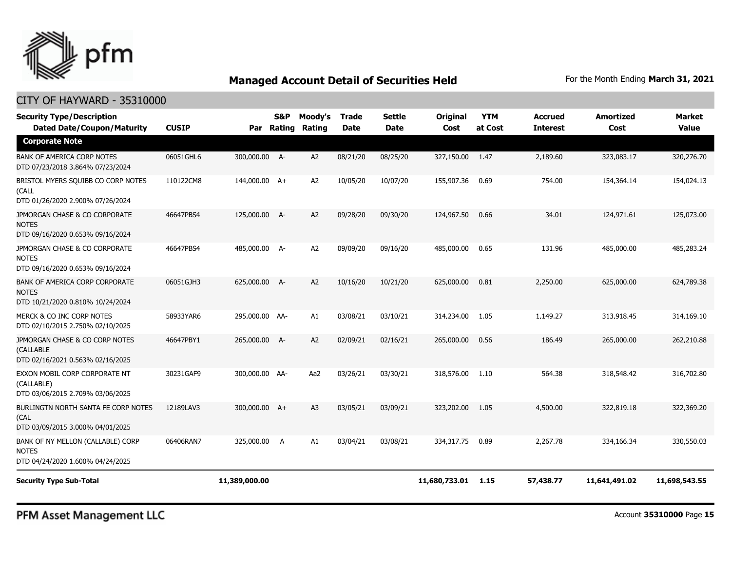

### CITY OF HAYWARD - 35310000

| <b>Security Type/Description</b><br><b>Dated Date/Coupon/Maturity</b>                 | <b>CUSIP</b> | Par            | <b>S&amp;P</b><br>Rating | Moody's<br>Rating | <b>Trade</b><br><b>Date</b> | <b>Settle</b><br><b>Date</b> | <b>Original</b><br>Cost | <b>YTM</b><br>at Cost | <b>Accrued</b><br><b>Interest</b> | <b>Amortized</b><br>Cost | <b>Market</b><br><b>Value</b> |
|---------------------------------------------------------------------------------------|--------------|----------------|--------------------------|-------------------|-----------------------------|------------------------------|-------------------------|-----------------------|-----------------------------------|--------------------------|-------------------------------|
| <b>Corporate Note</b>                                                                 |              |                |                          |                   |                             |                              |                         |                       |                                   |                          |                               |
| <b>BANK OF AMERICA CORP NOTES</b><br>DTD 07/23/2018 3.864% 07/23/2024                 | 06051GHL6    | 300,000.00 A-  |                          | A2                | 08/21/20                    | 08/25/20                     | 327,150.00              | 1.47                  | 2,189.60                          | 323,083.17               | 320,276.70                    |
| BRISTOL MYERS SQUIBB CO CORP NOTES<br>(CALL<br>DTD 01/26/2020 2.900% 07/26/2024       | 110122CM8    | 144,000.00 A+  |                          | A2                | 10/05/20                    | 10/07/20                     | 155,907.36              | 0.69                  | 754.00                            | 154,364.14               | 154,024.13                    |
| JPMORGAN CHASE & CO CORPORATE<br><b>NOTES</b><br>DTD 09/16/2020 0.653% 09/16/2024     | 46647PBS4    | 125,000.00     | $A-$                     | A <sub>2</sub>    | 09/28/20                    | 09/30/20                     | 124,967.50              | 0.66                  | 34.01                             | 124,971.61               | 125,073.00                    |
| JPMORGAN CHASE & CO CORPORATE<br><b>NOTES</b><br>DTD 09/16/2020 0.653% 09/16/2024     | 46647PBS4    | 485,000.00 A-  |                          | A <sub>2</sub>    | 09/09/20                    | 09/16/20                     | 485,000.00              | 0.65                  | 131.96                            | 485,000.00               | 485,283.24                    |
| BANK OF AMERICA CORP CORPORATE<br><b>NOTES</b><br>DTD 10/21/2020 0.810% 10/24/2024    | 06051GJH3    | 625,000.00 A-  |                          | A2                | 10/16/20                    | 10/21/20                     | 625,000.00              | 0.81                  | 2,250.00                          | 625,000.00               | 624,789.38                    |
| MERCK & CO INC CORP NOTES<br>DTD 02/10/2015 2.750% 02/10/2025                         | 58933YAR6    | 295,000.00 AA- |                          | A1                | 03/08/21                    | 03/10/21                     | 314,234.00              | 1.05                  | 1,149.27                          | 313,918.45               | 314,169.10                    |
| JPMORGAN CHASE & CO CORP NOTES<br>(CALLABLE<br>DTD 02/16/2021 0.563% 02/16/2025       | 46647PBY1    | 265,000.00 A-  |                          | A2                | 02/09/21                    | 02/16/21                     | 265,000.00              | 0.56                  | 186.49                            | 265,000.00               | 262,210.88                    |
| EXXON MOBIL CORP CORPORATE NT<br>(CALLABLE)<br>DTD 03/06/2015 2.709% 03/06/2025       | 30231GAF9    | 300,000.00 AA- |                          | Aa2               | 03/26/21                    | 03/30/21                     | 318,576.00              | 1.10                  | 564.38                            | 318,548.42               | 316,702.80                    |
| BURLINGTN NORTH SANTA FE CORP NOTES<br>(CAL<br>DTD 03/09/2015 3.000% 04/01/2025       | 12189LAV3    | 300,000.00 A+  |                          | A <sub>3</sub>    | 03/05/21                    | 03/09/21                     | 323,202.00              | 1.05                  | 4,500.00                          | 322,819.18               | 322,369,20                    |
| BANK OF NY MELLON (CALLABLE) CORP<br><b>NOTES</b><br>DTD 04/24/2020 1.600% 04/24/2025 | 06406RAN7    | 325,000.00     | - A                      | A1                | 03/04/21                    | 03/08/21                     | 334,317.75              | 0.89                  | 2,267.78                          | 334,166.34               | 330,550.03                    |
| <b>Security Type Sub-Total</b>                                                        |              | 11,389,000.00  |                          |                   |                             |                              | 11,680,733.01           | 1.15                  | 57,438.77                         | 11,641,491.02            | 11,698,543.55                 |

PFM Asset Management LLC

Account **35310000** Page **15**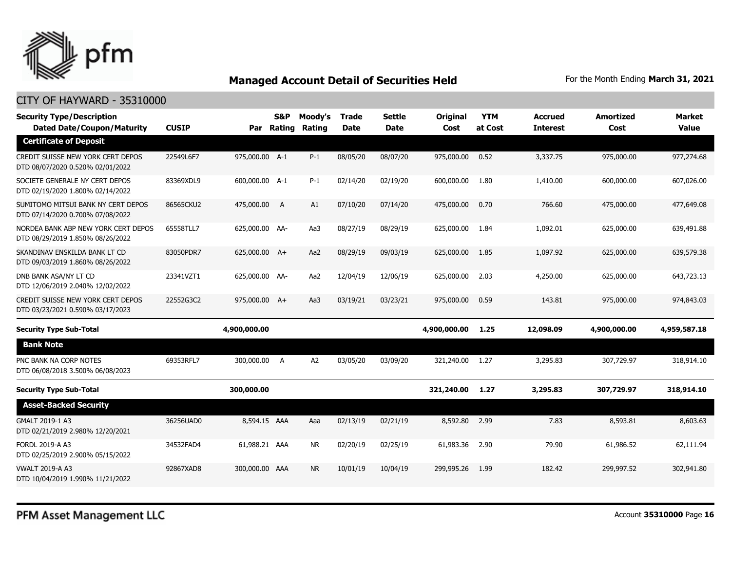

| <b>Security Type/Description</b><br><b>Dated Date/Coupon/Maturity</b>   | <b>CUSIP</b> | Par            | <b>S&amp;P</b><br>Rating | Moody's<br>Rating | <b>Trade</b><br><b>Date</b> | <b>Settle</b><br>Date | <b>Original</b><br>Cost | <b>YTM</b><br>at Cost | <b>Accrued</b><br><b>Interest</b> | <b>Amortized</b><br>Cost | Market<br><b>Value</b> |
|-------------------------------------------------------------------------|--------------|----------------|--------------------------|-------------------|-----------------------------|-----------------------|-------------------------|-----------------------|-----------------------------------|--------------------------|------------------------|
| <b>Certificate of Deposit</b>                                           |              |                |                          |                   |                             |                       |                         |                       |                                   |                          |                        |
| CREDIT SUISSE NEW YORK CERT DEPOS<br>DTD 08/07/2020 0.520% 02/01/2022   | 22549L6F7    | 975,000.00 A-1 |                          | $P-1$             | 08/05/20                    | 08/07/20              | 975,000.00              | 0.52                  | 3,337.75                          | 975,000.00               | 977,274.68             |
| SOCIETE GENERALE NY CERT DEPOS<br>DTD 02/19/2020 1.800% 02/14/2022      | 83369XDL9    | 600,000.00 A-1 |                          | $P-1$             | 02/14/20                    | 02/19/20              | 600,000.00              | 1.80                  | 1,410.00                          | 600,000.00               | 607,026.00             |
| SUMITOMO MITSUI BANK NY CERT DEPOS<br>DTD 07/14/2020 0.700% 07/08/2022  | 86565CKU2    | 475,000.00     | <b>A</b>                 | A1                | 07/10/20                    | 07/14/20              | 475,000.00              | 0.70                  | 766.60                            | 475,000.00               | 477,649.08             |
| NORDEA BANK ABP NEW YORK CERT DEPOS<br>DTD 08/29/2019 1.850% 08/26/2022 | 65558TLL7    | 625,000.00 AA- |                          | Aa3               | 08/27/19                    | 08/29/19              | 625,000.00              | 1.84                  | 1,092.01                          | 625,000.00               | 639,491.88             |
| SKANDINAV ENSKILDA BANK LT CD<br>DTD 09/03/2019 1.860% 08/26/2022       | 83050PDR7    | 625,000.00 A+  |                          | Aa2               | 08/29/19                    | 09/03/19              | 625,000.00              | 1.85                  | 1,097.92                          | 625,000.00               | 639,579.38             |
| DNB BANK ASA/NY LT CD<br>DTD 12/06/2019 2.040% 12/02/2022               | 23341VZT1    | 625,000.00 AA- |                          | Aa2               | 12/04/19                    | 12/06/19              | 625,000.00              | 2.03                  | 4,250,00                          | 625,000,00               | 643,723.13             |
| CREDIT SUISSE NEW YORK CERT DEPOS<br>DTD 03/23/2021 0.590% 03/17/2023   | 22552G3C2    | 975,000.00 A+  |                          | Aa3               | 03/19/21                    | 03/23/21              | 975,000.00              | 0.59                  | 143.81                            | 975,000.00               | 974,843.03             |
| <b>Security Type Sub-Total</b>                                          |              | 4,900,000.00   |                          |                   |                             |                       | 4,900,000.00            | 1.25                  | 12,098.09                         | 4,900,000.00             | 4,959,587.18           |
| <b>Bank Note</b>                                                        |              |                |                          |                   |                             |                       |                         |                       |                                   |                          |                        |
| PNC BANK NA CORP NOTES<br>DTD 06/08/2018 3.500% 06/08/2023              | 69353RFL7    | 300,000.00 A   |                          | A2                | 03/05/20                    | 03/09/20              | 321,240.00              | 1.27                  | 3,295.83                          | 307,729.97               | 318,914.10             |
| <b>Security Type Sub-Total</b>                                          |              | 300,000.00     |                          |                   |                             |                       | 321,240.00              | 1.27                  | 3,295.83                          | 307,729.97               | 318,914.10             |
| <b>Asset-Backed Security</b>                                            |              |                |                          |                   |                             |                       |                         |                       |                                   |                          |                        |
| GMALT 2019-1 A3<br>DTD 02/21/2019 2.980% 12/20/2021                     | 36256UAD0    | 8,594.15 AAA   |                          | Aaa               | 02/13/19                    | 02/21/19              | 8,592.80                | 2.99                  | 7.83                              | 8,593.81                 | 8,603.63               |
| FORDL 2019-A A3<br>DTD 02/25/2019 2.900% 05/15/2022                     | 34532FAD4    | 61,988.21 AAA  |                          | <b>NR</b>         | 02/20/19                    | 02/25/19              | 61,983.36               | 2.90                  | 79.90                             | 61,986.52                | 62,111.94              |
| <b>VWALT 2019-A A3</b><br>DTD 10/04/2019 1.990% 11/21/2022              | 92867XAD8    | 300,000.00 AAA |                          | <b>NR</b>         | 10/01/19                    | 10/04/19              | 299,995.26              | 1.99                  | 182.42                            | 299,997.52               | 302,941.80             |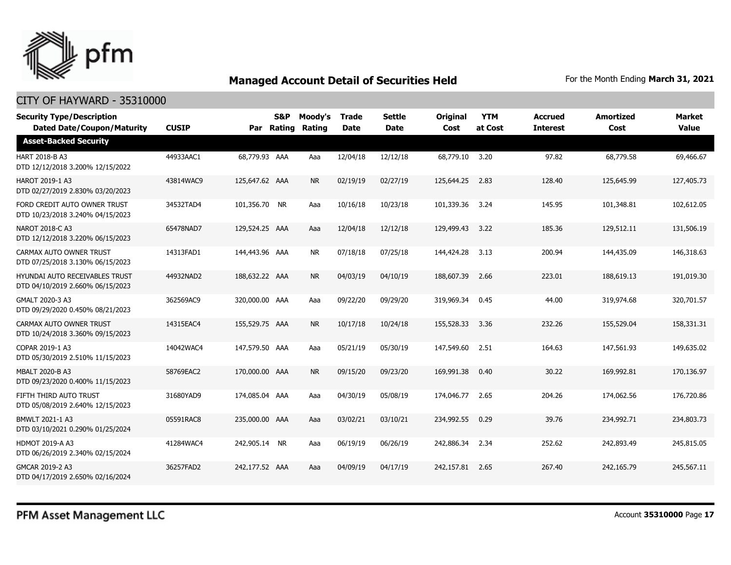

| <b>Security Type/Description</b><br><b>Dated Date/Coupon/Maturity</b>     | <b>CUSIP</b> |                | S&P<br>Par Rating | Moody's<br>Rating | <b>Trade</b><br><b>Date</b> | <b>Settle</b><br><b>Date</b> | <b>Original</b><br>Cost | <b>YTM</b><br>at Cost | <b>Accrued</b><br><b>Interest</b> | <b>Amortized</b><br>Cost | <b>Market</b><br><b>Value</b> |
|---------------------------------------------------------------------------|--------------|----------------|-------------------|-------------------|-----------------------------|------------------------------|-------------------------|-----------------------|-----------------------------------|--------------------------|-------------------------------|
| <b>Asset-Backed Security</b>                                              |              |                |                   |                   |                             |                              |                         |                       |                                   |                          |                               |
| <b>HART 2018-B A3</b><br>DTD 12/12/2018 3.200% 12/15/2022                 | 44933AAC1    | 68,779.93 AAA  |                   | Aaa               | 12/04/18                    | 12/12/18                     | 68,779.10               | 3.20                  | 97.82                             | 68,779.58                | 69,466.67                     |
| <b>HAROT 2019-1 A3</b><br>DTD 02/27/2019 2.830% 03/20/2023                | 43814WAC9    | 125,647.62 AAA |                   | <b>NR</b>         | 02/19/19                    | 02/27/19                     | 125,644.25              | 2.83                  | 128.40                            | 125,645.99               | 127,405.73                    |
| FORD CREDIT AUTO OWNER TRUST<br>DTD 10/23/2018 3.240% 04/15/2023          | 34532TAD4    | 101,356.70 NR  |                   | Aaa               | 10/16/18                    | 10/23/18                     | 101,339.36              | 3.24                  | 145.95                            | 101,348.81               | 102,612.05                    |
| NAROT 2018-C A3<br>DTD 12/12/2018 3.220% 06/15/2023                       | 65478NAD7    | 129,524,25 AAA |                   | Aaa               | 12/04/18                    | 12/12/18                     | 129,499.43              | 3.22                  | 185.36                            | 129,512.11               | 131,506.19                    |
| CARMAX AUTO OWNER TRUST<br>DTD 07/25/2018 3.130% 06/15/2023               | 14313FAD1    | 144,443.96 AAA |                   | <b>NR</b>         | 07/18/18                    | 07/25/18                     | 144,424.28              | 3.13                  | 200.94                            | 144,435.09               | 146,318.63                    |
| <b>HYUNDAI AUTO RECEIVABLES TRUST</b><br>DTD 04/10/2019 2.660% 06/15/2023 | 44932NAD2    | 188,632,22 AAA |                   | <b>NR</b>         | 04/03/19                    | 04/10/19                     | 188,607.39              | 2.66                  | 223.01                            | 188,619.13               | 191.019.30                    |
| GMALT 2020-3 A3<br>DTD 09/29/2020 0.450% 08/21/2023                       | 362569AC9    | 320,000.00 AAA |                   | Aaa               | 09/22/20                    | 09/29/20                     | 319,969.34              | 0.45                  | 44.00                             | 319,974.68               | 320,701.57                    |
| CARMAX AUTO OWNER TRUST<br>DTD 10/24/2018 3.360% 09/15/2023               | 14315EAC4    | 155,529.75 AAA |                   | <b>NR</b>         | 10/17/18                    | 10/24/18                     | 155,528.33              | 3.36                  | 232.26                            | 155,529.04               | 158,331.31                    |
| COPAR 2019-1 A3<br>DTD 05/30/2019 2.510% 11/15/2023                       | 14042WAC4    | 147,579.50 AAA |                   | Aaa               | 05/21/19                    | 05/30/19                     | 147,549.60              | 2.51                  | 164.63                            | 147,561.93               | 149,635.02                    |
| <b>MBALT 2020-B A3</b><br>DTD 09/23/2020 0.400% 11/15/2023                | 58769EAC2    | 170,000.00 AAA |                   | <b>NR</b>         | 09/15/20                    | 09/23/20                     | 169,991.38              | 0.40                  | 30.22                             | 169,992.81               | 170,136.97                    |
| FIFTH THIRD AUTO TRUST<br>DTD 05/08/2019 2.640% 12/15/2023                | 31680YAD9    | 174,085.04 AAA |                   | Aaa               | 04/30/19                    | 05/08/19                     | 174,046.77              | 2.65                  | 204.26                            | 174,062.56               | 176,720.86                    |
| BMWLT 2021-1 A3<br>DTD 03/10/2021 0.290% 01/25/2024                       | 05591RAC8    | 235,000.00 AAA |                   | Aaa               | 03/02/21                    | 03/10/21                     | 234,992.55              | 0.29                  | 39.76                             | 234,992.71               | 234,803.73                    |
| <b>HDMOT 2019-A A3</b><br>DTD 06/26/2019 2.340% 02/15/2024                | 41284WAC4    | 242,905.14 NR  |                   | Aaa               | 06/19/19                    | 06/26/19                     | 242,886.34              | 2.34                  | 252.62                            | 242,893,49               | 245,815.05                    |
| GMCAR 2019-2 A3<br>DTD 04/17/2019 2.650% 02/16/2024                       | 36257FAD2    | 242,177.52 AAA |                   | Aaa               | 04/09/19                    | 04/17/19                     | 242,157.81              | 2.65                  | 267.40                            | 242,165.79               | 245,567.11                    |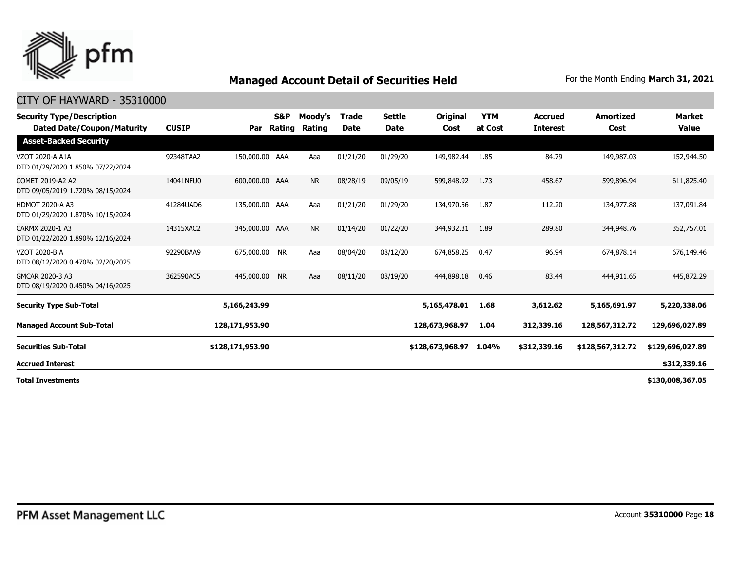

### CITY OF HAYWARD - 35310000

| <b>Security Type/Description</b><br><b>Dated Date/Coupon/Maturity</b> | <b>CUSIP</b> | Par              | S&P<br>Rating | Moody's<br>Rating | <b>Trade</b><br><b>Date</b> | Settle<br>Date | Original<br>Cost | <b>YTM</b><br>at Cost | <b>Accrued</b><br><b>Interest</b> | <b>Amortized</b><br>Cost | <b>Market</b><br><b>Value</b> |
|-----------------------------------------------------------------------|--------------|------------------|---------------|-------------------|-----------------------------|----------------|------------------|-----------------------|-----------------------------------|--------------------------|-------------------------------|
| <b>Asset-Backed Security</b>                                          |              |                  |               |                   |                             |                |                  |                       |                                   |                          |                               |
| VZOT 2020-A A1A<br>DTD 01/29/2020 1.850% 07/22/2024                   | 92348TAA2    | 150,000.00 AAA   |               | Aaa               | 01/21/20                    | 01/29/20       | 149,982.44       | 1.85                  | 84.79                             | 149,987.03               | 152,944.50                    |
| COMET 2019-A2 A2<br>DTD 09/05/2019 1.720% 08/15/2024                  | 14041NFU0    | 600,000.00 AAA   |               | <b>NR</b>         | 08/28/19                    | 09/05/19       | 599,848.92       | 1.73                  | 458.67                            | 599,896.94               | 611,825.40                    |
| <b>HDMOT 2020-A A3</b><br>DTD 01/29/2020 1.870% 10/15/2024            | 41284UAD6    | 135,000.00 AAA   |               | Aaa               | 01/21/20                    | 01/29/20       | 134,970.56       | 1.87                  | 112.20                            | 134,977.88               | 137,091.84                    |
| CARMX 2020-1 A3<br>DTD 01/22/2020 1.890% 12/16/2024                   | 14315XAC2    | 345,000.00 AAA   |               | <b>NR</b>         | 01/14/20                    | 01/22/20       | 344,932.31       | 1.89                  | 289.80                            | 344,948.76               | 352,757.01                    |
| VZOT 2020-B A<br>DTD 08/12/2020 0.470% 02/20/2025                     | 92290BAA9    | 675,000.00       | <b>NR</b>     | Aaa               | 08/04/20                    | 08/12/20       | 674,858.25       | 0.47                  | 96.94                             | 674,878.14               | 676,149.46                    |
| GMCAR 2020-3 A3<br>DTD 08/19/2020 0.450% 04/16/2025                   | 362590AC5    | 445,000.00       | <b>NR</b>     | Aaa               | 08/11/20                    | 08/19/20       | 444,898.18       | 0.46                  | 83.44                             | 444,911.65               | 445,872,29                    |
| <b>Security Type Sub-Total</b>                                        |              | 5,166,243.99     |               |                   |                             |                | 5,165,478.01     | 1.68                  | 3,612.62                          | 5,165,691.97             | 5,220,338.06                  |
| <b>Managed Account Sub-Total</b>                                      |              | 128,171,953.90   |               |                   |                             |                | 128,673,968.97   | 1.04                  | 312,339.16                        | 128,567,312.72           | 129,696,027.89                |
| <b>Securities Sub-Total</b>                                           |              | \$128,171,953.90 |               |                   |                             |                | \$128,673,968.97 | 1.04%                 | \$312,339.16                      | \$128,567,312.72         | \$129,696,027.89              |
| <b>Accrued Interest</b>                                               |              |                  |               |                   |                             |                |                  |                       |                                   |                          | \$312,339.16                  |
| Tatal Turraabusanta                                                   |              |                  |               |                   |                             |                |                  |                       |                                   |                          | $+120.000.2505$               |

**Total Investments**

**\$130,008,367.05**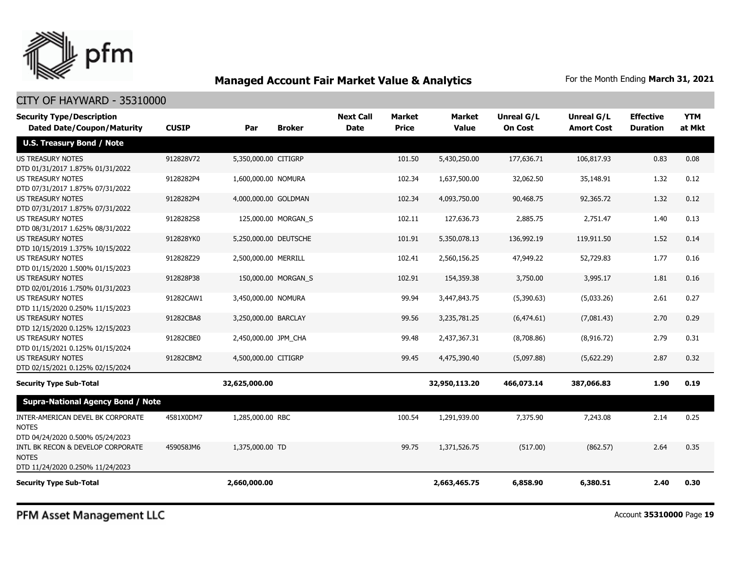

| <b>Security Type/Description</b><br><b>Dated Date/Coupon/Maturity</b>                 | <b>CUSIP</b> | Par                   | <b>Broker</b>       | <b>Next Call</b><br><b>Date</b> | <b>Market</b><br><b>Price</b> | Market<br><b>Value</b> | <b>Unreal G/L</b><br><b>On Cost</b> | Unreal G/L<br><b>Amort Cost</b> | <b>Effective</b><br><b>Duration</b> | <b>YTM</b><br>at Mkt |
|---------------------------------------------------------------------------------------|--------------|-----------------------|---------------------|---------------------------------|-------------------------------|------------------------|-------------------------------------|---------------------------------|-------------------------------------|----------------------|
| <b>U.S. Treasury Bond / Note</b>                                                      |              |                       |                     |                                 |                               |                        |                                     |                                 |                                     |                      |
| <b>US TREASURY NOTES</b><br>DTD 01/31/2017 1.875% 01/31/2022                          | 912828V72    | 5,350,000.00 CITIGRP  |                     |                                 | 101.50                        | 5,430,250.00           | 177,636.71                          | 106,817.93                      | 0.83                                | 0.08                 |
| <b>US TREASURY NOTES</b><br>DTD 07/31/2017 1.875% 07/31/2022                          | 9128282P4    | 1,600,000.00 NOMURA   |                     |                                 | 102.34                        | 1,637,500.00           | 32,062.50                           | 35,148.91                       | 1.32                                | 0.12                 |
| <b>US TREASURY NOTES</b><br>DTD 07/31/2017 1.875% 07/31/2022                          | 9128282P4    | 4,000,000.00 GOLDMAN  |                     |                                 | 102.34                        | 4,093,750.00           | 90,468.75                           | 92,365.72                       | 1.32                                | 0.12                 |
| <b>US TREASURY NOTES</b><br>DTD 08/31/2017 1.625% 08/31/2022                          | 9128282S8    |                       | 125,000.00 MORGAN S |                                 | 102.11                        | 127,636.73             | 2,885.75                            | 2,751.47                        | 1.40                                | 0.13                 |
| US TREASURY NOTES<br>DTD 10/15/2019 1.375% 10/15/2022                                 | 912828YK0    | 5,250,000.00 DEUTSCHE |                     |                                 | 101.91                        | 5,350,078.13           | 136,992.19                          | 119,911.50                      | 1.52                                | 0.14                 |
| <b>US TREASURY NOTES</b><br>DTD 01/15/2020 1.500% 01/15/2023                          | 912828Z29    | 2,500,000.00 MERRILL  |                     |                                 | 102.41                        | 2,560,156.25           | 47,949.22                           | 52,729.83                       | 1.77                                | 0.16                 |
| <b>US TREASURY NOTES</b><br>DTD 02/01/2016 1.750% 01/31/2023                          | 912828P38    |                       | 150,000.00 MORGAN_S |                                 | 102.91                        | 154,359.38             | 3,750.00                            | 3,995.17                        | 1.81                                | 0.16                 |
| <b>US TREASURY NOTES</b><br>DTD 11/15/2020 0.250% 11/15/2023                          | 91282CAW1    | 3,450,000.00 NOMURA   |                     |                                 | 99.94                         | 3,447,843.75           | (5,390.63)                          | (5,033.26)                      | 2.61                                | 0.27                 |
| <b>US TREASURY NOTES</b><br>DTD 12/15/2020 0.125% 12/15/2023                          | 91282CBA8    | 3,250,000.00 BARCLAY  |                     |                                 | 99.56                         | 3,235,781.25           | (6, 474.61)                         | (7,081.43)                      | 2.70                                | 0.29                 |
| <b>US TREASURY NOTES</b><br>DTD 01/15/2021 0.125% 01/15/2024                          | 91282CBE0    | 2,450,000.00 JPM_CHA  |                     |                                 | 99.48                         | 2,437,367.31           | (8,708.86)                          | (8,916.72)                      | 2.79                                | 0.31                 |
| <b>US TREASURY NOTES</b><br>DTD 02/15/2021 0.125% 02/15/2024                          | 91282CBM2    | 4,500,000.00 CITIGRP  |                     |                                 | 99.45                         | 4,475,390.40           | (5,097.88)                          | (5,622.29)                      | 2.87                                | 0.32                 |
| <b>Security Type Sub-Total</b>                                                        |              | 32,625,000.00         |                     |                                 |                               | 32,950,113.20          | 466,073.14                          | 387,066.83                      | 1.90                                | 0.19                 |
| <b>Supra-National Agency Bond / Note</b>                                              |              |                       |                     |                                 |                               |                        |                                     |                                 |                                     |                      |
| INTER-AMERICAN DEVEL BK CORPORATE<br><b>NOTES</b><br>DTD 04/24/2020 0.500% 05/24/2023 | 4581X0DM7    | 1,285,000.00 RBC      |                     |                                 | 100.54                        | 1,291,939.00           | 7,375.90                            | 7,243.08                        | 2.14                                | 0.25                 |
| INTL BK RECON & DEVELOP CORPORATE<br><b>NOTES</b><br>DTD 11/24/2020 0.250% 11/24/2023 | 459058JM6    | 1,375,000.00 TD       |                     |                                 | 99.75                         | 1,371,526,75           | (517.00)                            | (862.57)                        | 2.64                                | 0.35                 |
| <b>Security Type Sub-Total</b>                                                        |              | 2,660,000.00          |                     |                                 |                               | 2,663,465.75           | 6,858.90                            | 6,380.51                        | 2.40                                | 0.30                 |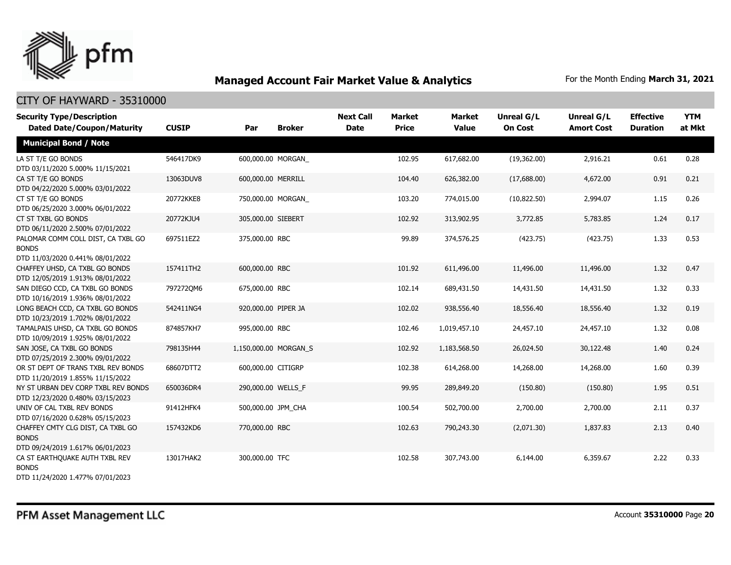

| <b>Security Type/Description</b><br><b>Dated Date/Coupon/Maturity</b>                  | <b>CUSIP</b> | Par                   | <b>Broker</b> | <b>Next Call</b><br><b>Date</b> | <b>Market</b><br><b>Price</b> | <b>Market</b><br><b>Value</b> | <b>Unreal G/L</b><br><b>On Cost</b> | Unreal G/L<br><b>Amort Cost</b> | <b>Effective</b><br><b>Duration</b> | <b>YTM</b><br>at Mkt |
|----------------------------------------------------------------------------------------|--------------|-----------------------|---------------|---------------------------------|-------------------------------|-------------------------------|-------------------------------------|---------------------------------|-------------------------------------|----------------------|
| <b>Municipal Bond / Note</b>                                                           |              |                       |               |                                 |                               |                               |                                     |                                 |                                     |                      |
| LA ST T/E GO BONDS<br>DTD 03/11/2020 5.000% 11/15/2021                                 | 546417DK9    | 600,000.00 MORGAN     |               |                                 | 102.95                        | 617,682.00                    | (19,362.00)                         | 2,916.21                        | 0.61                                | 0.28                 |
| CA ST T/E GO BONDS<br>DTD 04/22/2020 5.000% 03/01/2022                                 | 13063DUV8    | 600,000.00 MERRILL    |               |                                 | 104.40                        | 626,382.00                    | (17,688.00)                         | 4,672.00                        | 0.91                                | 0.21                 |
| CT ST T/E GO BONDS<br>DTD 06/25/2020 3.000% 06/01/2022                                 | 20772KKE8    | 750,000.00 MORGAN     |               |                                 | 103.20                        | 774,015.00                    | (10,822.50)                         | 2,994.07                        | 1.15                                | 0.26                 |
| CT ST TXBL GO BONDS<br>DTD 06/11/2020 2.500% 07/01/2022                                | 20772KJU4    | 305,000.00 SIEBERT    |               |                                 | 102.92                        | 313,902.95                    | 3,772.85                            | 5,783.85                        | 1.24                                | 0.17                 |
| PALOMAR COMM COLL DIST, CA TXBL GO<br><b>BONDS</b><br>DTD 11/03/2020 0.441% 08/01/2022 | 697511EZ2    | 375,000.00 RBC        |               |                                 | 99.89                         | 374,576.25                    | (423.75)                            | (423.75)                        | 1.33                                | 0.53                 |
| CHAFFEY UHSD, CA TXBL GO BONDS<br>DTD 12/05/2019 1.913% 08/01/2022                     | 157411TH2    | 600,000.00 RBC        |               |                                 | 101.92                        | 611,496.00                    | 11,496.00                           | 11,496.00                       | 1.32                                | 0.47                 |
| SAN DIEGO CCD, CA TXBL GO BONDS<br>DTD 10/16/2019 1.936% 08/01/2022                    | 7972720M6    | 675,000.00 RBC        |               |                                 | 102.14                        | 689,431.50                    | 14,431.50                           | 14,431.50                       | 1.32                                | 0.33                 |
| LONG BEACH CCD, CA TXBL GO BONDS<br>DTD 10/23/2019 1.702% 08/01/2022                   | 542411NG4    | 920,000.00 PIPER JA   |               |                                 | 102.02                        | 938,556.40                    | 18,556.40                           | 18,556.40                       | 1.32                                | 0.19                 |
| TAMALPAIS UHSD, CA TXBL GO BONDS<br>DTD 10/09/2019 1.925% 08/01/2022                   | 874857KH7    | 995,000.00 RBC        |               |                                 | 102.46                        | 1,019,457.10                  | 24,457.10                           | 24,457.10                       | 1.32                                | 0.08                 |
| SAN JOSE, CA TXBL GO BONDS<br>DTD 07/25/2019 2.300% 09/01/2022                         | 798135H44    | 1,150,000.00 MORGAN S |               |                                 | 102.92                        | 1,183,568.50                  | 26,024.50                           | 30,122.48                       | 1.40                                | 0.24                 |
| OR ST DEPT OF TRANS TXBL REV BONDS<br>DTD 11/20/2019 1.855% 11/15/2022                 | 68607DTT2    | 600,000.00 CITIGRP    |               |                                 | 102.38                        | 614,268.00                    | 14,268.00                           | 14,268.00                       | 1.60                                | 0.39                 |
| NY ST URBAN DEV CORP TXBL REV BONDS<br>DTD 12/23/2020 0.480% 03/15/2023                | 650036DR4    | 290,000.00 WELLS_F    |               |                                 | 99.95                         | 289,849.20                    | (150.80)                            | (150.80)                        | 1.95                                | 0.51                 |
| UNIV OF CAL TXBL REV BONDS<br>DTD 07/16/2020 0.628% 05/15/2023                         | 91412HFK4    | 500,000.00 JPM_CHA    |               |                                 | 100.54                        | 502,700.00                    | 2,700.00                            | 2,700.00                        | 2.11                                | 0.37                 |
| CHAFFEY CMTY CLG DIST, CA TXBL GO<br><b>BONDS</b><br>DTD 09/24/2019 1.617% 06/01/2023  | 157432KD6    | 770,000.00 RBC        |               |                                 | 102.63                        | 790,243.30                    | (2,071.30)                          | 1,837.83                        | 2.13                                | 0.40                 |
| CA ST EARTHOUAKE AUTH TXBL REV<br><b>BONDS</b><br>DTD 11/24/2020 1.477% 07/01/2023     | 13017HAK2    | 300,000,00 TFC        |               |                                 | 102.58                        | 307,743.00                    | 6,144.00                            | 6,359.67                        | 2.22                                | 0.33                 |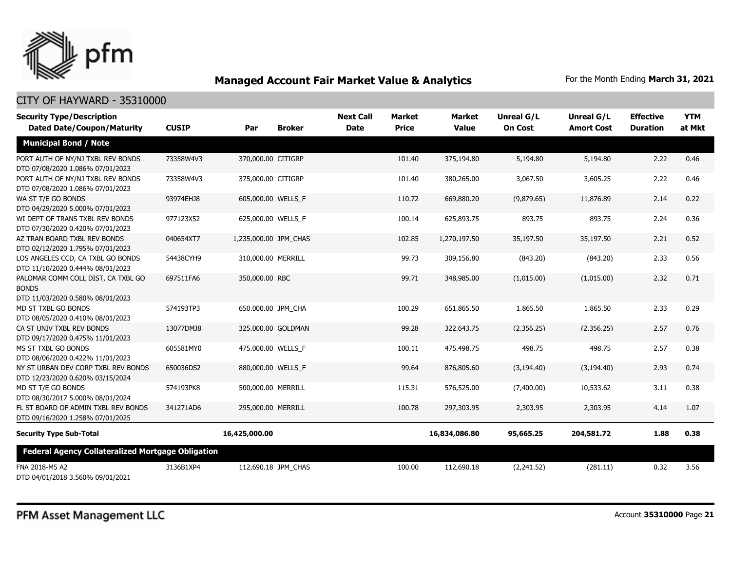

| <b>Security Type/Description</b>                                                       |              |                       |               | <b>Next Call</b> | <b>Market</b> | <b>Market</b> | <b>Unreal G/L</b> | Unreal G/L        | <b>Effective</b> | <b>YTM</b> |
|----------------------------------------------------------------------------------------|--------------|-----------------------|---------------|------------------|---------------|---------------|-------------------|-------------------|------------------|------------|
| <b>Dated Date/Coupon/Maturity</b>                                                      | <b>CUSIP</b> | Par                   | <b>Broker</b> | <b>Date</b>      | <b>Price</b>  | <b>Value</b>  | <b>On Cost</b>    | <b>Amort Cost</b> | <b>Duration</b>  | at Mkt     |
| <b>Municipal Bond / Note</b>                                                           |              |                       |               |                  |               |               |                   |                   |                  |            |
| PORT AUTH OF NY/NJ TXBL REV BONDS<br>DTD 07/08/2020 1.086% 07/01/2023                  | 73358W4V3    | 370,000.00 CITIGRP    |               |                  | 101.40        | 375,194.80    | 5,194.80          | 5,194.80          | 2.22             | 0.46       |
| PORT AUTH OF NY/NJ TXBL REV BONDS<br>DTD 07/08/2020 1.086% 07/01/2023                  | 73358W4V3    | 375,000.00 CITIGRP    |               |                  | 101.40        | 380,265.00    | 3,067.50          | 3,605.25          | 2.22             | 0.46       |
| WA ST T/E GO BONDS<br>DTD 04/29/2020 5.000% 07/01/2023                                 | 93974EHJ8    | 605,000.00 WELLS F    |               |                  | 110.72        | 669,880.20    | (9,879.65)        | 11,876.89         | 2.14             | 0.22       |
| WI DEPT OF TRANS TXBL REV BONDS<br>DTD 07/30/2020 0.420% 07/01/2023                    | 977123X52    | 625,000.00 WELLS F    |               |                  | 100.14        | 625,893.75    | 893.75            | 893.75            | 2.24             | 0.36       |
| AZ TRAN BOARD TXBL REV BONDS<br>DTD 02/12/2020 1.795% 07/01/2023                       | 040654XT7    | 1,235,000.00 JPM CHAS |               |                  | 102.85        | 1,270,197.50  | 35,197.50         | 35,197.50         | 2.21             | 0.52       |
| LOS ANGELES CCD, CA TXBL GO BONDS<br>DTD 11/10/2020 0.444% 08/01/2023                  | 54438CYH9    | 310,000.00 MERRILL    |               |                  | 99.73         | 309,156.80    | (843.20)          | (843.20)          | 2.33             | 0.56       |
| PALOMAR COMM COLL DIST, CA TXBL GO<br><b>BONDS</b><br>DTD 11/03/2020 0.580% 08/01/2023 | 697511FA6    | 350,000.00 RBC        |               |                  | 99.71         | 348,985.00    | (1,015.00)        | (1,015.00)        | 2.32             | 0.71       |
| MD ST TXBL GO BONDS<br>DTD 08/05/2020 0.410% 08/01/2023                                | 574193TP3    | 650,000.00 JPM_CHA    |               |                  | 100.29        | 651,865.50    | 1,865.50          | 1,865.50          | 2.33             | 0.29       |
| CA ST UNIV TXBL REV BONDS<br>DTD 09/17/2020 0.475% 11/01/2023                          | 13077DMJ8    | 325,000.00 GOLDMAN    |               |                  | 99.28         | 322,643.75    | (2,356.25)        | (2,356.25)        | 2.57             | 0.76       |
| MS ST TXBL GO BONDS<br>DTD 08/06/2020 0.422% 11/01/2023                                | 605581MY0    | 475,000.00 WELLS_F    |               |                  | 100.11        | 475,498.75    | 498.75            | 498.75            | 2.57             | 0.38       |
| NY ST URBAN DEV CORP TXBL REV BONDS<br>DTD 12/23/2020 0.620% 03/15/2024                | 650036DS2    | 880,000.00 WELLS F    |               |                  | 99.64         | 876,805.60    | (3, 194.40)       | (3, 194.40)       | 2.93             | 0.74       |
| MD ST T/E GO BONDS<br>DTD 08/30/2017 5.000% 08/01/2024                                 | 574193PK8    | 500,000.00 MERRILL    |               |                  | 115.31        | 576,525.00    | (7,400.00)        | 10,533.62         | 3.11             | 0.38       |
| FL ST BOARD OF ADMIN TXBL REV BONDS<br>DTD 09/16/2020 1.258% 07/01/2025                | 341271AD6    | 295,000.00 MERRILL    |               |                  | 100.78        | 297,303.95    | 2,303.95          | 2,303.95          | 4.14             | 1.07       |
| <b>Security Type Sub-Total</b>                                                         |              | 16,425,000.00         |               |                  |               | 16,834,086.80 | 95,665.25         | 204,581.72        | 1.88             | 0.38       |
| <b>Federal Agency Collateralized Mortgage Obligation</b>                               |              |                       |               |                  |               |               |                   |                   |                  |            |
| FNA 2018-M5 A2<br>DTD 04/01/2018 3.560% 09/01/2021                                     | 3136B1XP4    | 112,690.18 JPM CHAS   |               |                  | 100.00        | 112,690.18    | (2,241.52)        | (281.11)          | 0.32             | 3.56       |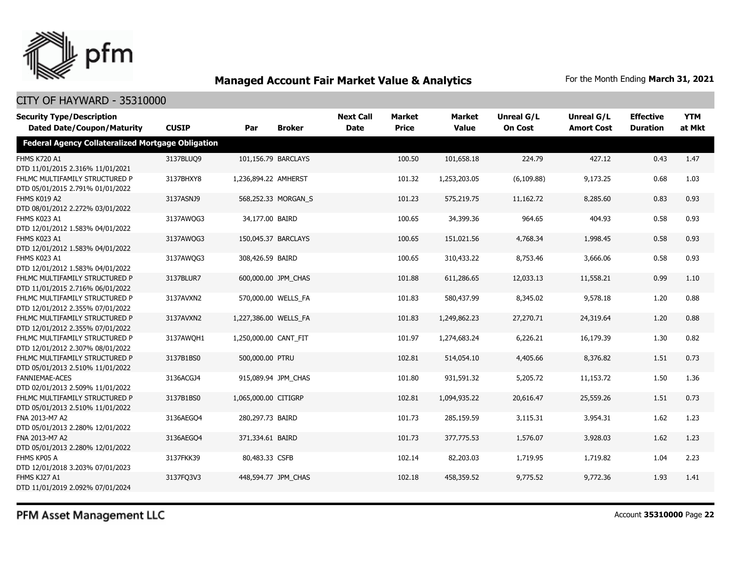

| <b>Security Type/Description</b>                                   |              |                       |                     | <b>Next Call</b> | <b>Market</b> | <b>Market</b> | <b>Unreal G/L</b> | <b>Unreal G/L</b> | <b>Effective</b> | <b>YTM</b> |
|--------------------------------------------------------------------|--------------|-----------------------|---------------------|------------------|---------------|---------------|-------------------|-------------------|------------------|------------|
| <b>Dated Date/Coupon/Maturity</b>                                  | <b>CUSIP</b> | Par                   | <b>Broker</b>       | <b>Date</b>      | <b>Price</b>  | <b>Value</b>  | <b>On Cost</b>    | <b>Amort Cost</b> | <b>Duration</b>  | at Mkt     |
| <b>Federal Agency Collateralized Mortgage Obligation</b>           |              |                       |                     |                  |               |               |                   |                   |                  |            |
| <b>FHMS K720 A1</b><br>DTD 11/01/2015 2.316% 11/01/2021            | 3137BLUQ9    |                       | 101,156.79 BARCLAYS |                  | 100.50        | 101,658.18    | 224.79            | 427.12            | 0.43             | 1.47       |
| FHLMC MULTIFAMILY STRUCTURED P<br>DTD 05/01/2015 2.791% 01/01/2022 | 3137BHXY8    | 1,236,894.22 AMHERST  |                     |                  | 101.32        | 1,253,203.05  | (6, 109.88)       | 9,173.25          | 0.68             | 1.03       |
| FHMS K019 A2<br>DTD 08/01/2012 2.272% 03/01/2022                   | 3137ASNJ9    |                       | 568,252.33 MORGAN S |                  | 101.23        | 575,219.75    | 11,162.72         | 8,285.60          | 0.83             | 0.93       |
| FHMS K023 A1<br>DTD 12/01/2012 1.583% 04/01/2022                   | 3137AWQG3    | 34,177.00 BAIRD       |                     |                  | 100.65        | 34,399.36     | 964.65            | 404.93            | 0.58             | 0.93       |
| FHMS K023 A1<br>DTD 12/01/2012 1.583% 04/01/2022                   | 3137AWQG3    |                       | 150,045.37 BARCLAYS |                  | 100.65        | 151,021.56    | 4,768.34          | 1,998.45          | 0.58             | 0.93       |
| FHMS K023 A1<br>DTD 12/01/2012 1.583% 04/01/2022                   | 3137AWQG3    | 308,426.59 BAIRD      |                     |                  | 100.65        | 310,433.22    | 8,753.46          | 3,666.06          | 0.58             | 0.93       |
| FHLMC MULTIFAMILY STRUCTURED P<br>DTD 11/01/2015 2.716% 06/01/2022 | 3137BLUR7    |                       | 600,000.00 JPM CHAS |                  | 101.88        | 611,286.65    | 12,033.13         | 11,558.21         | 0.99             | 1.10       |
| FHLMC MULTIFAMILY STRUCTURED P<br>DTD 12/01/2012 2.355% 07/01/2022 | 3137AVXN2    |                       | 570,000.00 WELLS FA |                  | 101.83        | 580,437.99    | 8,345.02          | 9,578.18          | 1.20             | 0.88       |
| FHLMC MULTIFAMILY STRUCTURED P<br>DTD 12/01/2012 2.355% 07/01/2022 | 3137AVXN2    | 1,227,386.00 WELLS_FA |                     |                  | 101.83        | 1,249,862.23  | 27,270.71         | 24,319.64         | 1.20             | 0.88       |
| FHLMC MULTIFAMILY STRUCTURED P<br>DTD 12/01/2012 2.307% 08/01/2022 | 3137AWOH1    | 1,250,000.00 CANT_FIT |                     |                  | 101.97        | 1,274,683.24  | 6,226.21          | 16,179.39         | 1.30             | 0.82       |
| FHLMC MULTIFAMILY STRUCTURED P<br>DTD 05/01/2013 2.510% 11/01/2022 | 3137B1BS0    | 500,000.00 PTRU       |                     |                  | 102.81        | 514,054.10    | 4,405.66          | 8,376.82          | 1.51             | 0.73       |
| <b>FANNIEMAE-ACES</b><br>DTD 02/01/2013 2.509% 11/01/2022          | 3136ACGJ4    |                       | 915,089.94 JPM_CHAS |                  | 101.80        | 931,591.32    | 5,205.72          | 11,153.72         | 1.50             | 1.36       |
| FHLMC MULTIFAMILY STRUCTURED P<br>DTD 05/01/2013 2.510% 11/01/2022 | 3137B1BS0    | 1,065,000.00 CITIGRP  |                     |                  | 102.81        | 1,094,935.22  | 20,616.47         | 25,559.26         | 1.51             | 0.73       |
| FNA 2013-M7 A2<br>DTD 05/01/2013 2.280% 12/01/2022                 | 3136AEGQ4    | 280,297.73 BAIRD      |                     |                  | 101.73        | 285,159.59    | 3,115.31          | 3,954.31          | 1.62             | 1.23       |
| FNA 2013-M7 A2<br>DTD 05/01/2013 2.280% 12/01/2022                 | 3136AEGO4    | 371,334.61 BAIRD      |                     |                  | 101.73        | 377,775.53    | 1,576.07          | 3,928.03          | 1.62             | 1.23       |
| FHMS KP05 A<br>DTD 12/01/2018 3.203% 07/01/2023                    | 3137FKK39    | 80,483.33 CSFB        |                     |                  | 102.14        | 82,203.03     | 1,719.95          | 1,719.82          | 1.04             | 2.23       |
| FHMS KJ27 A1<br>DTD 11/01/2019 2.092% 07/01/2024                   | 3137FQ3V3    |                       | 448,594.77 JPM CHAS |                  | 102.18        | 458,359.52    | 9,775.52          | 9,772.36          | 1.93             | 1.41       |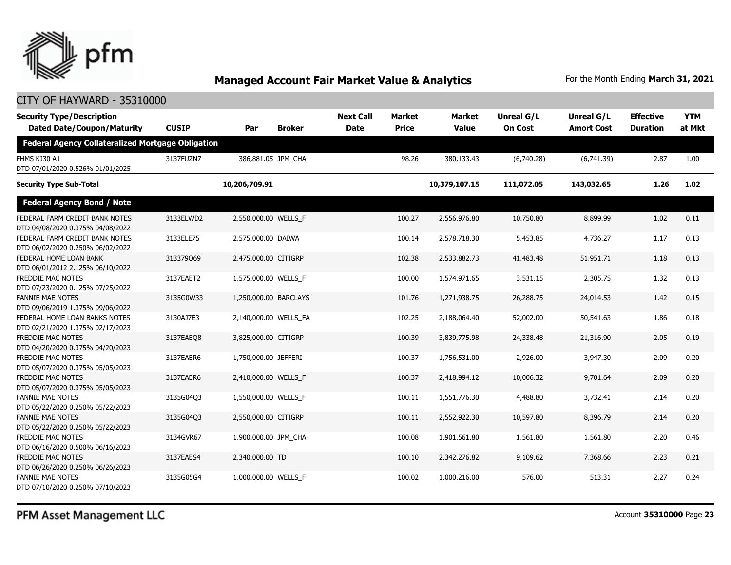

### CITY OF HAYWARD - 35310000

| <b>Security Type/Description</b><br><b>Dated Date/Coupon/Maturity</b> | <b>CUSIP</b> | Par                   | <b>Broker</b> | <b>Next Call</b><br><b>Date</b> | <b>Market</b><br><b>Price</b> | <b>Market</b><br><b>Value</b> | Unreal G/L<br><b>On Cost</b> | Unreal G/L<br><b>Amort Cost</b> | <b>Effective</b><br><b>Duration</b> | <b>YTM</b><br>at Mkt |
|-----------------------------------------------------------------------|--------------|-----------------------|---------------|---------------------------------|-------------------------------|-------------------------------|------------------------------|---------------------------------|-------------------------------------|----------------------|
| <b>Federal Agency Collateralized Mortgage Obligation</b>              |              |                       |               |                                 |                               |                               |                              |                                 |                                     |                      |
| FHMS KJ30 A1<br>DTD 07/01/2020 0.526% 01/01/2025                      | 3137FUZN7    | 386,881.05 JPM CHA    |               |                                 | 98.26                         | 380,133.43                    | (6,740.28)                   | (6,741.39)                      | 2.87                                | 1.00                 |
| <b>Security Type Sub-Total</b>                                        |              | 10,206,709.91         |               |                                 |                               | 10,379,107.15                 | 111,072.05                   | 143,032.65                      | 1.26                                | 1.02                 |
| <b>Federal Agency Bond / Note</b>                                     |              |                       |               |                                 |                               |                               |                              |                                 |                                     |                      |
| FEDERAL FARM CREDIT BANK NOTES<br>DTD 04/08/2020 0.375% 04/08/2022    | 3133ELWD2    | 2,550,000.00 WELLS_F  |               |                                 | 100.27                        | 2,556,976.80                  | 10,750.80                    | 8,899.99                        | 1.02                                | 0.11                 |
| FEDERAL FARM CREDIT BANK NOTES<br>DTD 06/02/2020 0.250% 06/02/2022    | 3133ELE75    | 2,575,000.00 DAIWA    |               |                                 | 100.14                        | 2,578,718.30                  | 5,453.85                     | 4,736.27                        | 1.17                                | 0.13                 |
| FEDERAL HOME LOAN BANK<br>DTD 06/01/2012 2.125% 06/10/2022            | 313379069    | 2,475,000.00 CITIGRP  |               |                                 | 102.38                        | 2,533,882.73                  | 41,483.48                    | 51,951.71                       | 1.18                                | 0.13                 |
| FREDDIE MAC NOTES<br>DTD 07/23/2020 0.125% 07/25/2022                 | 3137EAET2    | 1,575,000.00 WELLS_F  |               |                                 | 100.00                        | 1,574,971.65                  | 3,531.15                     | 2,305.75                        | 1.32                                | 0.13                 |
| <b>FANNIE MAE NOTES</b><br>DTD 09/06/2019 1.375% 09/06/2022           | 3135G0W33    | 1,250,000.00 BARCLAYS |               |                                 | 101.76                        | 1,271,938.75                  | 26,288.75                    | 24,014.53                       | 1.42                                | 0.15                 |
| FEDERAL HOME LOAN BANKS NOTES<br>DTD 02/21/2020 1.375% 02/17/2023     | 3130AJ7E3    | 2,140,000.00 WELLS FA |               |                                 | 102.25                        | 2,188,064.40                  | 52,002.00                    | 50,541.63                       | 1.86                                | 0.18                 |
| FREDDIE MAC NOTES<br>DTD 04/20/2020 0.375% 04/20/2023                 | 3137EAEO8    | 3,825,000.00 CITIGRP  |               |                                 | 100.39                        | 3,839,775.98                  | 24,338.48                    | 21,316.90                       | 2.05                                | 0.19                 |
| FREDDIE MAC NOTES<br>DTD 05/07/2020 0.375% 05/05/2023                 | 3137EAER6    | 1,750,000.00 JEFFERI  |               |                                 | 100.37                        | 1,756,531.00                  | 2,926.00                     | 3,947.30                        | 2.09                                | 0.20                 |
| FREDDIE MAC NOTES<br>DTD 05/07/2020 0.375% 05/05/2023                 | 3137EAER6    | 2,410,000.00 WELLS F  |               |                                 | 100.37                        | 2,418,994.12                  | 10,006.32                    | 9,701.64                        | 2.09                                | 0.20                 |
| <b>FANNIE MAE NOTES</b><br>DTD 05/22/2020 0.250% 05/22/2023           | 3135G04Q3    | 1,550,000.00 WELLS F  |               |                                 | 100.11                        | 1,551,776.30                  | 4,488.80                     | 3,732.41                        | 2.14                                | 0.20                 |
| <b>FANNIE MAE NOTES</b><br>DTD 05/22/2020 0.250% 05/22/2023           | 3135G04Q3    | 2,550,000.00 CITIGRP  |               |                                 | 100.11                        | 2,552,922.30                  | 10,597.80                    | 8,396.79                        | 2.14                                | 0.20                 |
| FREDDIE MAC NOTES<br>DTD 06/16/2020 0.500% 06/16/2023                 | 3134GVR67    | 1,900,000.00 JPM_CHA  |               |                                 | 100.08                        | 1,901,561.80                  | 1,561.80                     | 1,561.80                        | 2.20                                | 0.46                 |
| FREDDIE MAC NOTES<br>DTD 06/26/2020 0.250% 06/26/2023                 | 3137EAES4    | 2,340,000.00 TD       |               |                                 | 100.10                        | 2,342,276.82                  | 9,109.62                     | 7,368.66                        | 2.23                                | 0.21                 |
| <b>FANNIE MAE NOTES</b><br>DTD 07/10/2020 0.250% 07/10/2023           | 3135G05G4    | 1,000,000.00 WELLS F  |               |                                 | 100.02                        | 1,000,216.00                  | 576.00                       | 513.31                          | 2.27                                | 0.24                 |

PFM Asset Management LLC

Account **35310000** Page **23**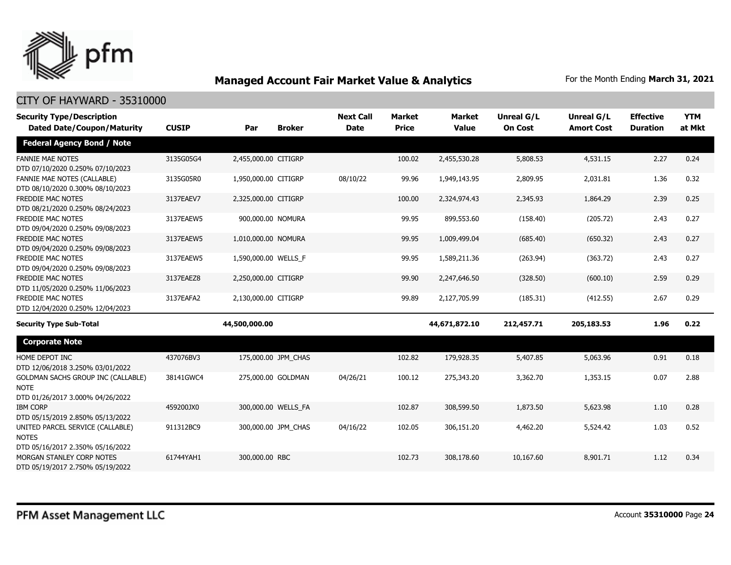

| <b>Security Type/Description</b>                                                      |              |                      |                     | <b>Next Call</b> | <b>Market</b> | <b>Market</b> | <b>Unreal G/L</b> | Unreal G/L        | <b>Effective</b> | <b>YTM</b> |
|---------------------------------------------------------------------------------------|--------------|----------------------|---------------------|------------------|---------------|---------------|-------------------|-------------------|------------------|------------|
| <b>Dated Date/Coupon/Maturity</b>                                                     | <b>CUSIP</b> | Par                  | <b>Broker</b>       | <b>Date</b>      | <b>Price</b>  | <b>Value</b>  | <b>On Cost</b>    | <b>Amort Cost</b> | <b>Duration</b>  | at Mkt     |
| <b>Federal Agency Bond / Note</b>                                                     |              |                      |                     |                  |               |               |                   |                   |                  |            |
| <b>FANNIE MAE NOTES</b><br>DTD 07/10/2020 0.250% 07/10/2023                           | 3135G05G4    | 2,455,000.00 CITIGRP |                     |                  | 100.02        | 2,455,530.28  | 5,808.53          | 4,531.15          | 2.27             | 0.24       |
| <b>FANNIE MAE NOTES (CALLABLE)</b><br>DTD 08/10/2020 0.300% 08/10/2023                | 3135G05R0    | 1,950,000.00 CITIGRP |                     | 08/10/22         | 99.96         | 1,949,143.95  | 2,809.95          | 2,031.81          | 1.36             | 0.32       |
| FREDDIE MAC NOTES<br>DTD 08/21/2020 0.250% 08/24/2023                                 | 3137EAEV7    | 2,325,000.00 CITIGRP |                     |                  | 100.00        | 2,324,974.43  | 2,345.93          | 1,864.29          | 2.39             | 0.25       |
| <b>FREDDIE MAC NOTES</b><br>DTD 09/04/2020 0.250% 09/08/2023                          | 3137EAEW5    | 900,000.00 NOMURA    |                     |                  | 99.95         | 899,553.60    | (158.40)          | (205.72)          | 2.43             | 0.27       |
| <b>FREDDIE MAC NOTES</b><br>DTD 09/04/2020 0.250% 09/08/2023                          | 3137EAEW5    | 1,010,000.00 NOMURA  |                     |                  | 99.95         | 1,009,499.04  | (685.40)          | (650.32)          | 2.43             | 0.27       |
| <b>FREDDIE MAC NOTES</b><br>DTD 09/04/2020 0.250% 09/08/2023                          | 3137EAEW5    | 1,590,000.00 WELLS F |                     |                  | 99.95         | 1,589,211.36  | (263.94)          | (363.72)          | 2.43             | 0.27       |
| FREDDIE MAC NOTES<br>DTD 11/05/2020 0.250% 11/06/2023                                 | 3137EAEZ8    | 2,250,000.00 CITIGRP |                     |                  | 99.90         | 2,247,646.50  | (328.50)          | (600.10)          | 2.59             | 0.29       |
| FREDDIE MAC NOTES<br>DTD 12/04/2020 0.250% 12/04/2023                                 | 3137EAFA2    | 2,130,000.00 CITIGRP |                     |                  | 99.89         | 2,127,705.99  | (185.31)          | (412.55)          | 2.67             | 0.29       |
| <b>Security Type Sub-Total</b>                                                        |              | 44,500,000.00        |                     |                  |               | 44,671,872.10 | 212,457.71        | 205,183.53        | 1.96             | 0.22       |
| <b>Corporate Note</b>                                                                 |              |                      |                     |                  |               |               |                   |                   |                  |            |
| HOME DEPOT INC<br>DTD 12/06/2018 3.250% 03/01/2022                                    | 437076BV3    |                      | 175,000.00 JPM_CHAS |                  | 102.82        | 179,928.35    | 5,407.85          | 5,063.96          | 0.91             | 0.18       |
| GOLDMAN SACHS GROUP INC (CALLABLE)<br><b>NOTE</b><br>DTD 01/26/2017 3.000% 04/26/2022 | 38141GWC4    |                      | 275,000.00 GOLDMAN  | 04/26/21         | 100.12        | 275,343.20    | 3,362.70          | 1,353.15          | 0.07             | 2.88       |
| <b>IBM CORP</b><br>DTD 05/15/2019 2.850% 05/13/2022                                   | 459200JX0    |                      | 300,000.00 WELLS FA |                  | 102.87        | 308,599.50    | 1,873.50          | 5,623.98          | 1.10             | 0.28       |
| UNITED PARCEL SERVICE (CALLABLE)<br><b>NOTES</b><br>DTD 05/16/2017 2.350% 05/16/2022  | 911312BC9    |                      | 300,000.00 JPM CHAS | 04/16/22         | 102.05        | 306,151.20    | 4,462.20          | 5,524.42          | 1.03             | 0.52       |
| MORGAN STANLEY CORP NOTES<br>DTD 05/19/2017 2.750% 05/19/2022                         | 61744YAH1    | 300,000.00 RBC       |                     |                  | 102.73        | 308,178.60    | 10,167.60         | 8,901.71          | 1.12             | 0.34       |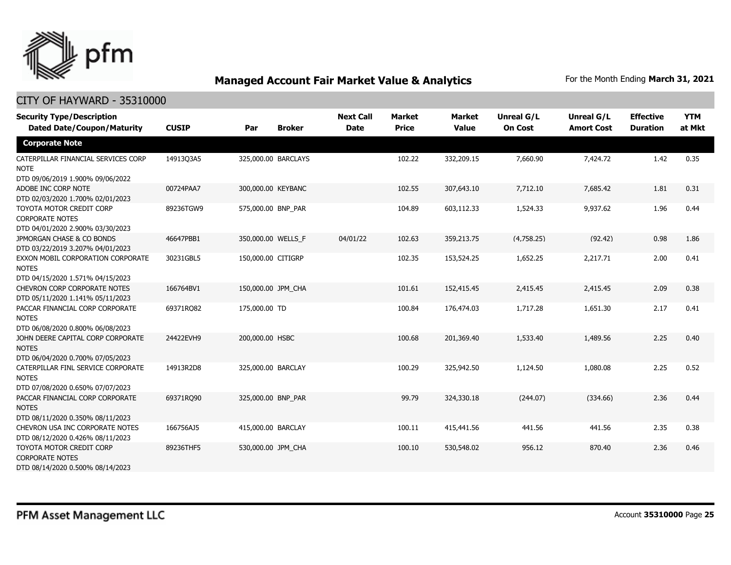

| <b>Security Type/Description</b><br><b>Dated Date/Coupon/Maturity</b>                             | <b>CUSIP</b> | Par                 | <b>Broker</b> | <b>Next Call</b><br><b>Date</b> | <b>Market</b><br><b>Price</b> | Market<br><b>Value</b> | <b>Unreal G/L</b><br><b>On Cost</b> | Unreal G/L<br><b>Amort Cost</b> | <b>Effective</b><br><b>Duration</b> | <b>YTM</b><br>at Mkt |
|---------------------------------------------------------------------------------------------------|--------------|---------------------|---------------|---------------------------------|-------------------------------|------------------------|-------------------------------------|---------------------------------|-------------------------------------|----------------------|
| <b>Corporate Note</b>                                                                             |              |                     |               |                                 |                               |                        |                                     |                                 |                                     |                      |
| CATERPILLAR FINANCIAL SERVICES CORP<br><b>NOTE</b><br>DTD 09/06/2019 1.900% 09/06/2022            | 14913Q3A5    | 325,000.00 BARCLAYS |               |                                 | 102.22                        | 332,209.15             | 7,660.90                            | 7,424.72                        | 1.42                                | 0.35                 |
| ADOBE INC CORP NOTE<br>DTD 02/03/2020 1.700% 02/01/2023                                           | 00724PAA7    | 300,000.00 KEYBANC  |               |                                 | 102.55                        | 307,643.10             | 7,712.10                            | 7,685.42                        | 1.81                                | 0.31                 |
| TOYOTA MOTOR CREDIT CORP<br><b>CORPORATE NOTES</b>                                                | 89236TGW9    | 575,000.00 BNP_PAR  |               |                                 | 104.89                        | 603,112.33             | 1,524.33                            | 9,937.62                        | 1.96                                | 0.44                 |
| DTD 04/01/2020 2.900% 03/30/2023<br>JPMORGAN CHASE & CO BONDS<br>DTD 03/22/2019 3.207% 04/01/2023 | 46647PBB1    | 350,000.00 WELLS_F  |               | 04/01/22                        | 102.63                        | 359,213.75             | (4,758.25)                          | (92.42)                         | 0.98                                | 1.86                 |
| EXXON MOBIL CORPORATION CORPORATE<br><b>NOTES</b><br>DTD 04/15/2020 1.571% 04/15/2023             | 30231GBL5    | 150,000.00 CITIGRP  |               |                                 | 102.35                        | 153,524.25             | 1,652.25                            | 2,217.71                        | 2.00                                | 0.41                 |
| CHEVRON CORP CORPORATE NOTES<br>DTD 05/11/2020 1.141% 05/11/2023                                  | 166764BV1    | 150,000.00 JPM_CHA  |               |                                 | 101.61                        | 152,415.45             | 2,415.45                            | 2,415.45                        | 2.09                                | 0.38                 |
| PACCAR FINANCIAL CORP CORPORATE<br><b>NOTES</b><br>DTD 06/08/2020 0.800% 06/08/2023               | 69371RO82    | 175,000.00 TD       |               |                                 | 100.84                        | 176,474.03             | 1,717.28                            | 1,651.30                        | 2.17                                | 0.41                 |
| JOHN DEERE CAPITAL CORP CORPORATE<br><b>NOTES</b><br>DTD 06/04/2020 0.700% 07/05/2023             | 24422EVH9    | 200,000.00 HSBC     |               |                                 | 100.68                        | 201,369.40             | 1,533.40                            | 1,489.56                        | 2.25                                | 0.40                 |
| CATERPILLAR FINL SERVICE CORPORATE<br><b>NOTES</b><br>DTD 07/08/2020 0.650% 07/07/2023            | 14913R2D8    | 325,000.00 BARCLAY  |               |                                 | 100.29                        | 325,942.50             | 1,124.50                            | 1,080.08                        | 2.25                                | 0.52                 |
| PACCAR FINANCIAL CORP CORPORATE<br><b>NOTES</b><br>DTD 08/11/2020 0.350% 08/11/2023               | 69371RQ90    | 325,000.00 BNP_PAR  |               |                                 | 99.79                         | 324,330.18             | (244.07)                            | (334.66)                        | 2.36                                | 0.44                 |
| CHEVRON USA INC CORPORATE NOTES<br>DTD 08/12/2020 0.426% 08/11/2023                               | 166756AJ5    | 415,000.00 BARCLAY  |               |                                 | 100.11                        | 415,441.56             | 441.56                              | 441.56                          | 2.35                                | 0.38                 |
| TOYOTA MOTOR CREDIT CORP<br><b>CORPORATE NOTES</b><br>DTD 08/14/2020 0.500% 08/14/2023            | 89236THF5    | 530,000.00 JPM_CHA  |               |                                 | 100.10                        | 530,548.02             | 956.12                              | 870.40                          | 2.36                                | 0.46                 |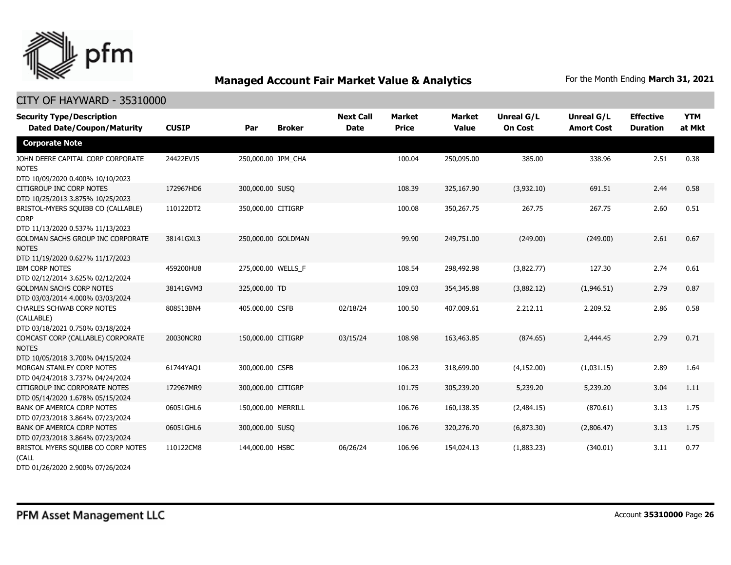

| <b>Security Type/Description</b><br><b>Dated Date/Coupon/Maturity</b>                                                     | <b>CUSIP</b> | Par                | <b>Broker</b>      | <b>Next Call</b><br><b>Date</b> | <b>Market</b><br><b>Price</b> | <b>Market</b><br><b>Value</b> | <b>Unreal G/L</b><br><b>On Cost</b> | Unreal G/L<br><b>Amort Cost</b> | <b>Effective</b><br><b>Duration</b> | <b>YTM</b><br>at Mkt |
|---------------------------------------------------------------------------------------------------------------------------|--------------|--------------------|--------------------|---------------------------------|-------------------------------|-------------------------------|-------------------------------------|---------------------------------|-------------------------------------|----------------------|
| <b>Corporate Note</b>                                                                                                     |              |                    |                    |                                 |                               |                               |                                     |                                 |                                     |                      |
| JOHN DEERE CAPITAL CORP CORPORATE<br><b>NOTES</b><br>DTD 10/09/2020 0.400% 10/10/2023                                     | 24422EVJ5    | 250,000.00 JPM_CHA |                    |                                 | 100.04                        | 250,095.00                    | 385.00                              | 338.96                          | 2.51                                | 0.38                 |
| CITIGROUP INC CORP NOTES<br>DTD 10/25/2013 3.875% 10/25/2023                                                              | 172967HD6    | 300,000.00 SUSQ    |                    |                                 | 108.39                        | 325,167.90                    | (3,932.10)                          | 691.51                          | 2.44                                | 0.58                 |
| BRISTOL-MYERS SQUIBB CO (CALLABLE)<br><b>CORP</b>                                                                         | 110122DT2    | 350,000.00 CITIGRP |                    |                                 | 100.08                        | 350,267.75                    | 267.75                              | 267.75                          | 2.60                                | 0.51                 |
| DTD 11/13/2020 0.537% 11/13/2023<br>GOLDMAN SACHS GROUP INC CORPORATE<br><b>NOTES</b><br>DTD 11/19/2020 0.627% 11/17/2023 | 38141GXL3    |                    | 250,000.00 GOLDMAN |                                 | 99.90                         | 249,751.00                    | (249.00)                            | (249.00)                        | 2.61                                | 0.67                 |
| <b>IBM CORP NOTES</b><br>DTD 02/12/2014 3.625% 02/12/2024                                                                 | 459200HU8    | 275,000.00 WELLS_F |                    |                                 | 108.54                        | 298,492.98                    | (3,822.77)                          | 127.30                          | 2.74                                | 0.61                 |
| <b>GOLDMAN SACHS CORP NOTES</b><br>DTD 03/03/2014 4.000% 03/03/2024                                                       | 38141GVM3    | 325,000.00 TD      |                    |                                 | 109.03                        | 354,345.88                    | (3,882.12)                          | (1,946.51)                      | 2.79                                | 0.87                 |
| <b>CHARLES SCHWAB CORP NOTES</b><br>(CALLABLE)<br>DTD 03/18/2021 0.750% 03/18/2024                                        | 808513BN4    | 405,000.00 CSFB    |                    | 02/18/24                        | 100.50                        | 407,009.61                    | 2,212.11                            | 2,209.52                        | 2.86                                | 0.58                 |
| COMCAST CORP (CALLABLE) CORPORATE<br><b>NOTES</b><br>DTD 10/05/2018 3.700% 04/15/2024                                     | 20030NCR0    | 150,000.00 CITIGRP |                    | 03/15/24                        | 108.98                        | 163,463.85                    | (874.65)                            | 2,444.45                        | 2.79                                | 0.71                 |
| MORGAN STANLEY CORP NOTES<br>DTD 04/24/2018 3.737% 04/24/2024                                                             | 61744YAQ1    | 300,000.00 CSFB    |                    |                                 | 106.23                        | 318,699.00                    | (4, 152.00)                         | (1,031.15)                      | 2.89                                | 1.64                 |
| CITIGROUP INC CORPORATE NOTES<br>DTD 05/14/2020 1.678% 05/15/2024                                                         | 172967MR9    | 300,000.00 CITIGRP |                    |                                 | 101.75                        | 305,239.20                    | 5,239.20                            | 5,239.20                        | 3.04                                | 1.11                 |
| BANK OF AMERICA CORP NOTES<br>DTD 07/23/2018 3.864% 07/23/2024                                                            | 06051GHL6    | 150,000.00 MERRILL |                    |                                 | 106.76                        | 160,138.35                    | (2,484.15)                          | (870.61)                        | 3.13                                | 1.75                 |
| <b>BANK OF AMERICA CORP NOTES</b><br>DTD 07/23/2018 3.864% 07/23/2024                                                     | 06051GHL6    | 300,000.00 SUSQ    |                    |                                 | 106.76                        | 320,276.70                    | (6,873.30)                          | (2,806.47)                      | 3.13                                | 1.75                 |
| BRISTOL MYERS SQUIBB CO CORP NOTES<br>(CALL<br>DTD 01/26/2020 2.900% 07/26/2024                                           | 110122CM8    | 144,000.00 HSBC    |                    | 06/26/24                        | 106.96                        | 154,024.13                    | (1,883.23)                          | (340.01)                        | 3.11                                | 0.77                 |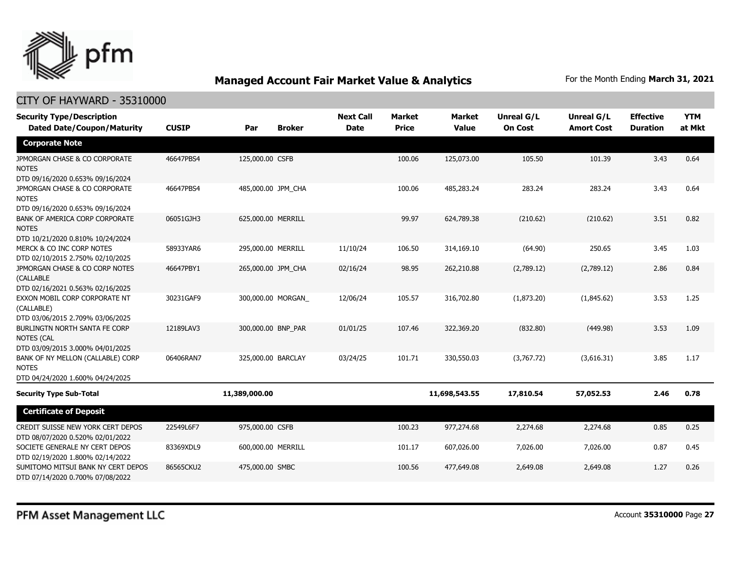

| <b>Security Type/Description</b><br><b>Dated Date/Coupon/Maturity</b>                     | <b>CUSIP</b> | Par                | <b>Broker</b> | <b>Next Call</b><br><b>Date</b> | <b>Market</b><br><b>Price</b> | <b>Market</b><br><b>Value</b> | Unreal G/L<br><b>On Cost</b> | <b>Unreal G/L</b><br><b>Amort Cost</b> | <b>Effective</b><br><b>Duration</b> | <b>YTM</b><br>at Mkt |
|-------------------------------------------------------------------------------------------|--------------|--------------------|---------------|---------------------------------|-------------------------------|-------------------------------|------------------------------|----------------------------------------|-------------------------------------|----------------------|
| <b>Corporate Note</b>                                                                     |              |                    |               |                                 |                               |                               |                              |                                        |                                     |                      |
| JPMORGAN CHASE & CO CORPORATE<br><b>NOTES</b><br>DTD 09/16/2020 0.653% 09/16/2024         | 46647PBS4    | 125,000.00 CSFB    |               |                                 | 100.06                        | 125,073.00                    | 105.50                       | 101.39                                 | 3.43                                | 0.64                 |
| JPMORGAN CHASE & CO CORPORATE<br><b>NOTES</b><br>DTD 09/16/2020 0.653% 09/16/2024         | 46647PBS4    | 485,000.00 JPM CHA |               |                                 | 100.06                        | 485,283.24                    | 283.24                       | 283.24                                 | 3.43                                | 0.64                 |
| <b>BANK OF AMERICA CORP CORPORATE</b><br><b>NOTES</b><br>DTD 10/21/2020 0.810% 10/24/2024 | 06051GJH3    | 625,000.00 MERRILL |               |                                 | 99.97                         | 624,789.38                    | (210.62)                     | (210.62)                               | 3.51                                | 0.82                 |
| MERCK & CO INC CORP NOTES<br>DTD 02/10/2015 2.750% 02/10/2025                             | 58933YAR6    | 295,000.00 MERRILL |               | 11/10/24                        | 106.50                        | 314,169.10                    | (64.90)                      | 250.65                                 | 3.45                                | 1.03                 |
| JPMORGAN CHASE & CO CORP NOTES<br>(CALLABLE<br>DTD 02/16/2021 0.563% 02/16/2025           | 46647PBY1    | 265,000.00 JPM CHA |               | 02/16/24                        | 98.95                         | 262,210.88                    | (2,789.12)                   | (2,789.12)                             | 2.86                                | 0.84                 |
| EXXON MOBIL CORP CORPORATE NT<br>(CALLABLE)<br>DTD 03/06/2015 2.709% 03/06/2025           | 30231GAF9    | 300,000.00 MORGAN  |               | 12/06/24                        | 105.57                        | 316,702.80                    | (1,873.20)                   | (1.845.62)                             | 3.53                                | 1.25                 |
| BURLINGTN NORTH SANTA FE CORP<br><b>NOTES (CAL</b><br>DTD 03/09/2015 3.000% 04/01/2025    | 12189LAV3    | 300,000.00 BNP_PAR |               | 01/01/25                        | 107.46                        | 322,369.20                    | (832.80)                     | (449.98)                               | 3.53                                | 1.09                 |
| BANK OF NY MELLON (CALLABLE) CORP<br><b>NOTES</b><br>DTD 04/24/2020 1.600% 04/24/2025     | 06406RAN7    | 325,000.00 BARCLAY |               | 03/24/25                        | 101.71                        | 330,550.03                    | (3,767.72)                   | (3,616.31)                             | 3.85                                | 1.17                 |
| <b>Security Type Sub-Total</b>                                                            |              | 11,389,000.00      |               |                                 |                               | 11,698,543.55                 | 17,810.54                    | 57,052.53                              | 2.46                                | 0.78                 |
| <b>Certificate of Deposit</b>                                                             |              |                    |               |                                 |                               |                               |                              |                                        |                                     |                      |
| CREDIT SUISSE NEW YORK CERT DEPOS<br>DTD 08/07/2020 0.520% 02/01/2022                     | 22549L6F7    | 975,000.00 CSFB    |               |                                 | 100.23                        | 977,274.68                    | 2,274.68                     | 2,274.68                               | 0.85                                | 0.25                 |
| SOCIETE GENERALE NY CERT DEPOS<br>DTD 02/19/2020 1.800% 02/14/2022                        | 83369XDL9    | 600,000.00 MERRILL |               |                                 | 101.17                        | 607,026.00                    | 7,026.00                     | 7,026.00                               | 0.87                                | 0.45                 |
| SUMITOMO MITSUI BANK NY CERT DEPOS<br>DTD 07/14/2020 0.700% 07/08/2022                    | 86565CKU2    | 475,000.00 SMBC    |               |                                 | 100.56                        | 477,649.08                    | 2,649.08                     | 2,649.08                               | 1.27                                | 0.26                 |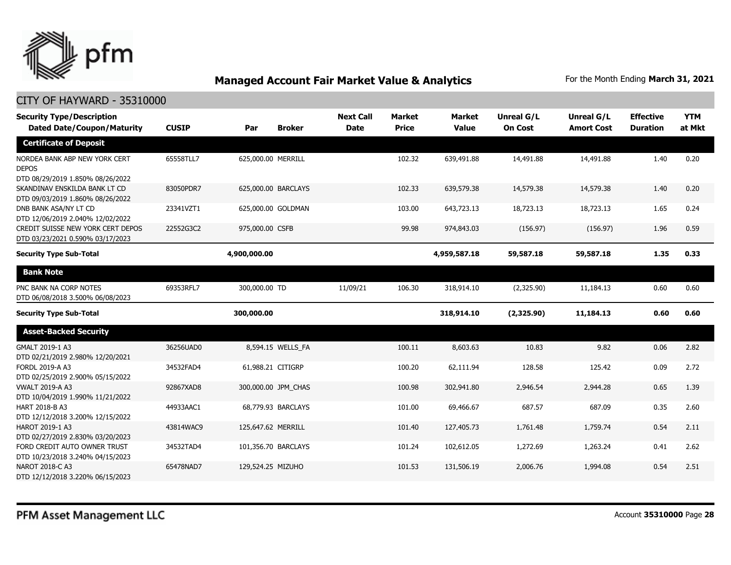

| <b>Security Type/Description</b><br><b>Dated Date/Coupon/Maturity</b>             | <b>CUSIP</b> | <b>Broker</b><br>Par | <b>Next Call</b><br><b>Date</b> | <b>Market</b><br><b>Price</b> | <b>Market</b><br><b>Value</b> | <b>Unreal G/L</b><br><b>On Cost</b> | Unreal G/L<br><b>Amort Cost</b> | <b>Effective</b><br><b>Duration</b> | <b>YTM</b><br>at Mkt |
|-----------------------------------------------------------------------------------|--------------|----------------------|---------------------------------|-------------------------------|-------------------------------|-------------------------------------|---------------------------------|-------------------------------------|----------------------|
| <b>Certificate of Deposit</b>                                                     |              |                      |                                 |                               |                               |                                     |                                 |                                     |                      |
| NORDEA BANK ABP NEW YORK CERT<br><b>DEPOS</b><br>DTD 08/29/2019 1.850% 08/26/2022 | 65558TLL7    | 625,000.00 MERRILL   |                                 | 102.32                        | 639,491.88                    | 14,491.88                           | 14,491.88                       | 1.40                                | 0.20                 |
| SKANDINAV ENSKILDA BANK LT CD<br>DTD 09/03/2019 1.860% 08/26/2022                 | 83050PDR7    | 625,000.00 BARCLAYS  |                                 | 102.33                        | 639,579.38                    | 14,579.38                           | 14,579.38                       | 1.40                                | 0.20                 |
| DNB BANK ASA/NY LT CD<br>DTD 12/06/2019 2.040% 12/02/2022                         | 23341VZT1    | 625,000.00 GOLDMAN   |                                 | 103.00                        | 643,723.13                    | 18,723.13                           | 18,723.13                       | 1.65                                | 0.24                 |
| CREDIT SUISSE NEW YORK CERT DEPOS<br>DTD 03/23/2021 0.590% 03/17/2023             | 22552G3C2    | 975,000.00 CSFB      |                                 | 99.98                         | 974,843.03                    | (156.97)                            | (156.97)                        | 1.96                                | 0.59                 |
| <b>Security Type Sub-Total</b>                                                    |              | 4,900,000.00         |                                 |                               | 4,959,587.18                  | 59,587.18                           | 59,587.18                       | 1.35                                | 0.33                 |
| <b>Bank Note</b>                                                                  |              |                      |                                 |                               |                               |                                     |                                 |                                     |                      |
| PNC BANK NA CORP NOTES<br>DTD 06/08/2018 3.500% 06/08/2023                        | 69353RFL7    | 300,000.00 TD        | 11/09/21                        | 106.30                        | 318,914.10                    | (2,325.90)                          | 11,184.13                       | 0.60                                | 0.60                 |
| <b>Security Type Sub-Total</b>                                                    |              | 300,000.00           |                                 |                               | 318,914.10                    | (2,325.90)                          | 11,184.13                       | 0.60                                | 0.60                 |
| <b>Asset-Backed Security</b>                                                      |              |                      |                                 |                               |                               |                                     |                                 |                                     |                      |
| GMALT 2019-1 A3<br>DTD 02/21/2019 2.980% 12/20/2021                               | 36256UAD0    | 8,594.15 WELLS FA    |                                 | 100.11                        | 8,603.63                      | 10.83                               | 9.82                            | 0.06                                | 2.82                 |
| FORDL 2019-A A3<br>DTD 02/25/2019 2.900% 05/15/2022                               | 34532FAD4    | 61,988.21 CITIGRP    |                                 | 100.20                        | 62,111.94                     | 128.58                              | 125.42                          | 0.09                                | 2.72                 |
| <b>VWALT 2019-A A3</b><br>DTD 10/04/2019 1.990% 11/21/2022                        | 92867XAD8    | 300,000.00 JPM_CHAS  |                                 | 100.98                        | 302,941.80                    | 2,946.54                            | 2,944.28                        | 0.65                                | 1.39                 |
| HART 2018-B A3<br>DTD 12/12/2018 3.200% 12/15/2022                                | 44933AAC1    | 68,779.93 BARCLAYS   |                                 | 101.00                        | 69,466.67                     | 687.57                              | 687.09                          | 0.35                                | 2.60                 |
| HAROT 2019-1 A3<br>DTD 02/27/2019 2.830% 03/20/2023                               | 43814WAC9    | 125,647.62 MERRILL   |                                 | 101.40                        | 127,405.73                    | 1,761.48                            | 1,759.74                        | 0.54                                | 2.11                 |
| FORD CREDIT AUTO OWNER TRUST<br>DTD 10/23/2018 3.240% 04/15/2023                  | 34532TAD4    | 101,356.70 BARCLAYS  |                                 | 101.24                        | 102,612.05                    | 1,272.69                            | 1,263.24                        | 0.41                                | 2.62                 |
| <b>NAROT 2018-C A3</b><br>DTD 12/12/2018 3.220% 06/15/2023                        | 65478NAD7    | 129,524.25 MIZUHO    |                                 | 101.53                        | 131,506.19                    | 2,006.76                            | 1,994.08                        | 0.54                                | 2.51                 |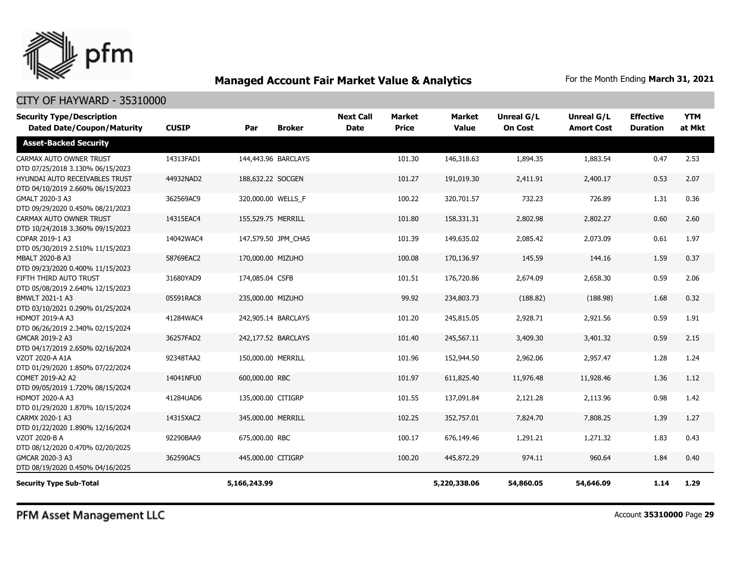

### CITY OF HAYWARD - 35310000

| <b>Security Type/Description</b><br><b>Dated Date/Coupon/Maturity</b> | <b>CUSIP</b> | Par                | <b>Broker</b>       | <b>Next Call</b><br><b>Date</b> | <b>Market</b><br><b>Price</b> | <b>Market</b><br>Value | <b>Unreal G/L</b><br><b>On Cost</b> | <b>Unreal G/L</b><br><b>Amort Cost</b> | <b>Effective</b><br><b>Duration</b> | <b>YTM</b><br>at Mkt |
|-----------------------------------------------------------------------|--------------|--------------------|---------------------|---------------------------------|-------------------------------|------------------------|-------------------------------------|----------------------------------------|-------------------------------------|----------------------|
| <b>Asset-Backed Security</b>                                          |              |                    |                     |                                 |                               |                        |                                     |                                        |                                     |                      |
| CARMAX AUTO OWNER TRUST<br>DTD 07/25/2018 3.130% 06/15/2023           | 14313FAD1    |                    | 144,443.96 BARCLAYS |                                 | 101.30                        | 146,318.63             | 1,894.35                            | 1,883.54                               | 0.47                                | 2.53                 |
| HYUNDAI AUTO RECEIVABLES TRUST<br>DTD 04/10/2019 2.660% 06/15/2023    | 44932NAD2    | 188,632.22 SOCGEN  |                     |                                 | 101.27                        | 191,019.30             | 2,411.91                            | 2,400.17                               | 0.53                                | 2.07                 |
| GMALT 2020-3 A3<br>DTD 09/29/2020 0.450% 08/21/2023                   | 362569AC9    | 320,000.00 WELLS_F |                     |                                 | 100.22                        | 320,701.57             | 732.23                              | 726.89                                 | 1.31                                | 0.36                 |
| CARMAX AUTO OWNER TRUST<br>DTD 10/24/2018 3.360% 09/15/2023           | 14315EAC4    | 155,529.75 MERRILL |                     |                                 | 101.80                        | 158,331.31             | 2,802.98                            | 2,802.27                               | 0.60                                | 2.60                 |
| COPAR 2019-1 A3<br>DTD 05/30/2019 2.510% 11/15/2023                   | 14042WAC4    |                    | 147,579.50 JPM CHAS |                                 | 101.39                        | 149,635.02             | 2,085.42                            | 2,073.09                               | 0.61                                | 1.97                 |
| MBALT 2020-B A3<br>DTD 09/23/2020 0.400% 11/15/2023                   | 58769EAC2    | 170,000.00 MIZUHO  |                     |                                 | 100.08                        | 170,136.97             | 145.59                              | 144.16                                 | 1.59                                | 0.37                 |
| FIFTH THIRD AUTO TRUST<br>DTD 05/08/2019 2.640% 12/15/2023            | 31680YAD9    | 174,085.04 CSFB    |                     |                                 | 101.51                        | 176,720.86             | 2,674.09                            | 2,658.30                               | 0.59                                | 2.06                 |
| BMWLT 2021-1 A3<br>DTD 03/10/2021 0.290% 01/25/2024                   | 05591RAC8    | 235,000.00 MIZUHO  |                     |                                 | 99.92                         | 234,803.73             | (188.82)                            | (188.98)                               | 1.68                                | 0.32                 |
| HDMOT 2019-A A3<br>DTD 06/26/2019 2.340% 02/15/2024                   | 41284WAC4    |                    | 242,905.14 BARCLAYS |                                 | 101.20                        | 245,815.05             | 2,928.71                            | 2,921.56                               | 0.59                                | 1.91                 |
| GMCAR 2019-2 A3<br>DTD 04/17/2019 2.650% 02/16/2024                   | 36257FAD2    |                    | 242,177.52 BARCLAYS |                                 | 101.40                        | 245,567.11             | 3,409.30                            | 3,401.32                               | 0.59                                | 2.15                 |
| VZOT 2020-A A1A<br>DTD 01/29/2020 1.850% 07/22/2024                   | 92348TAA2    | 150,000.00 MERRILL |                     |                                 | 101.96                        | 152,944.50             | 2,962.06                            | 2,957.47                               | 1.28                                | 1.24                 |
| COMET 2019-A2 A2<br>DTD 09/05/2019 1.720% 08/15/2024                  | 14041NFU0    | 600,000.00 RBC     |                     |                                 | 101.97                        | 611,825.40             | 11,976.48                           | 11,928.46                              | 1.36                                | 1.12                 |
| <b>HDMOT 2020-A A3</b><br>DTD 01/29/2020 1.870% 10/15/2024            | 41284UAD6    | 135,000.00 CITIGRP |                     |                                 | 101.55                        | 137,091.84             | 2,121.28                            | 2,113.96                               | 0.98                                | 1.42                 |
| CARMX 2020-1 A3<br>DTD 01/22/2020 1.890% 12/16/2024                   | 14315XAC2    | 345,000.00 MERRILL |                     |                                 | 102.25                        | 352,757.01             | 7,824.70                            | 7,808.25                               | 1.39                                | 1.27                 |
| VZOT 2020-B A<br>DTD 08/12/2020 0.470% 02/20/2025                     | 92290BAA9    | 675,000.00 RBC     |                     |                                 | 100.17                        | 676,149.46             | 1,291.21                            | 1,271.32                               | 1.83                                | 0.43                 |
| GMCAR 2020-3 A3<br>DTD 08/19/2020 0.450% 04/16/2025                   | 362590AC5    | 445,000.00 CITIGRP |                     |                                 | 100.20                        | 445,872.29             | 974.11                              | 960.64                                 | 1.84                                | 0.40                 |
| <b>Security Type Sub-Total</b>                                        |              | 5,166,243.99       |                     |                                 |                               | 5,220,338.06           | 54,860.05                           | 54,646.09                              | 1.14                                | 1.29                 |

PFM Asset Management LLC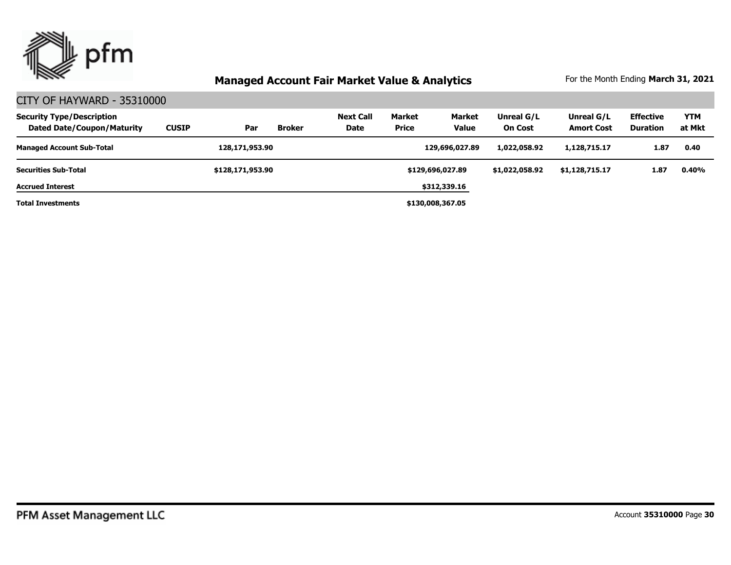

| <b>Security Type/Description</b><br><b>Dated Date/Coupon/Maturity</b> | <b>CUSIP</b> | Par              | <b>Broker</b> | <b>Next Call</b><br>Date | <b>Market</b><br><b>Price</b> | <b>Market</b><br><b>Value</b> | Unreal G/L<br><b>On Cost</b> | Unreal G/L<br><b>Amort Cost</b> | <b>Effective</b><br><b>Duration</b> | <b>YTM</b><br>at Mkt |
|-----------------------------------------------------------------------|--------------|------------------|---------------|--------------------------|-------------------------------|-------------------------------|------------------------------|---------------------------------|-------------------------------------|----------------------|
| <b>Managed Account Sub-Total</b>                                      |              | 128,171,953.90   |               |                          |                               | 129,696,027.89                | 1,022,058.92                 | 1,128,715.17                    | 1.87                                | 0.40                 |
| <b>Securities Sub-Total</b>                                           |              | \$128,171,953.90 |               |                          |                               | \$129,696,027.89              | \$1,022,058.92               | \$1,128,715.17                  | 1.87                                | 0.40%                |
| <b>Accrued Interest</b>                                               |              |                  |               |                          |                               | \$312,339.16                  |                              |                                 |                                     |                      |
| <b>Total Investments</b>                                              |              |                  |               |                          |                               | \$130,008,367.05              |                              |                                 |                                     |                      |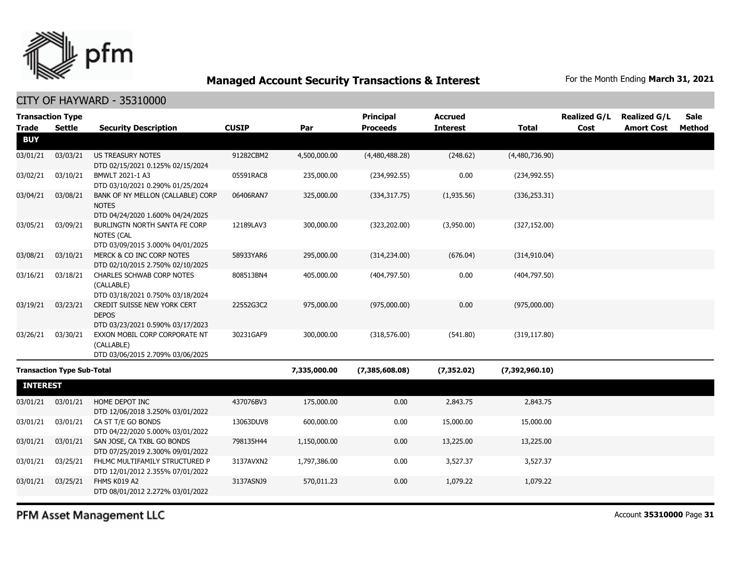

### CITY OF HAYWARD - 35310000

|                 | <b>Transaction Type</b>           |                                                                                        |              |              | <b>Principal</b> | <b>Accrued</b>  |                | <b>Realized G/L</b> | <b>Realized G/L</b> | <b>Sale</b> |
|-----------------|-----------------------------------|----------------------------------------------------------------------------------------|--------------|--------------|------------------|-----------------|----------------|---------------------|---------------------|-------------|
| <b>Trade</b>    | <b>Settle</b>                     | <b>Security Description</b>                                                            | <b>CUSIP</b> | Par          | <b>Proceeds</b>  | <b>Interest</b> | <b>Total</b>   | Cost                | <b>Amort Cost</b>   | Method      |
| <b>BUY</b>      |                                   |                                                                                        |              |              |                  |                 |                |                     |                     |             |
| 03/01/21        | 03/03/21                          | <b>US TREASURY NOTES</b><br>DTD 02/15/2021 0.125% 02/15/2024                           | 91282CBM2    | 4,500,000.00 | (4,480,488.28)   | (248.62)        | (4,480,736.90) |                     |                     |             |
| 03/02/21        | 03/10/21                          | BMWLT 2021-1 A3<br>DTD 03/10/2021 0.290% 01/25/2024                                    | 05591RAC8    | 235,000.00   | (234, 992.55)    | 0.00            | (234, 992.55)  |                     |                     |             |
| 03/04/21        | 03/08/21                          | BANK OF NY MELLON (CALLABLE) CORP<br><b>NOTES</b><br>DTD 04/24/2020 1.600% 04/24/2025  | 06406RAN7    | 325,000.00   | (334, 317.75)    | (1,935.56)      | (336, 253.31)  |                     |                     |             |
| 03/05/21        | 03/09/21                          | BURLINGTN NORTH SANTA FE CORP<br><b>NOTES (CAL</b><br>DTD 03/09/2015 3.000% 04/01/2025 | 12189LAV3    | 300,000.00   | (323, 202.00)    | (3,950.00)      | (327, 152.00)  |                     |                     |             |
| 03/08/21        | 03/10/21                          | MERCK & CO INC CORP NOTES<br>DTD 02/10/2015 2.750% 02/10/2025                          | 58933YAR6    | 295,000.00   | (314, 234.00)    | (676.04)        | (314, 910.04)  |                     |                     |             |
| 03/16/21        | 03/18/21                          | <b>CHARLES SCHWAB CORP NOTES</b><br>(CALLABLE)<br>DTD 03/18/2021 0.750% 03/18/2024     | 808513BN4    | 405,000.00   | (404, 797.50)    | 0.00            | (404, 797.50)  |                     |                     |             |
| 03/19/21        | 03/23/21                          | CREDIT SUISSE NEW YORK CERT<br><b>DEPOS</b><br>DTD 03/23/2021 0.590% 03/17/2023        | 22552G3C2    | 975,000.00   | (975,000.00)     | 0.00            | (975,000.00)   |                     |                     |             |
| 03/26/21        | 03/30/21                          | EXXON MOBIL CORP CORPORATE NT<br>(CALLABLE)<br>DTD 03/06/2015 2.709% 03/06/2025        | 30231GAF9    | 300,000.00   | (318, 576.00)    | (541.80)        | (319, 117.80)  |                     |                     |             |
|                 | <b>Transaction Type Sub-Total</b> |                                                                                        |              | 7,335,000.00 | (7,385,608.08)   | (7, 352.02)     | (7,392,960.10) |                     |                     |             |
| <b>INTEREST</b> |                                   |                                                                                        |              |              |                  |                 |                |                     |                     |             |
| 03/01/21        | 03/01/21                          | HOME DEPOT INC<br>DTD 12/06/2018 3.250% 03/01/2022                                     | 437076BV3    | 175,000.00   | 0.00             | 2,843.75        | 2,843.75       |                     |                     |             |
| 03/01/21        | 03/01/21                          | CA ST T/E GO BONDS<br>DTD 04/22/2020 5.000% 03/01/2022                                 | 13063DUV8    | 600,000.00   | 0.00             | 15,000.00       | 15,000.00      |                     |                     |             |
| 03/01/21        | 03/01/21                          | SAN JOSE, CA TXBL GO BONDS<br>DTD 07/25/2019 2.300% 09/01/2022                         | 798135H44    | 1,150,000.00 | 0.00             | 13,225.00       | 13,225.00      |                     |                     |             |
| 03/01/21        | 03/25/21                          | FHLMC MULTIFAMILY STRUCTURED P<br>DTD 12/01/2012 2.355% 07/01/2022                     | 3137AVXN2    | 1,797,386.00 | 0.00             | 3,527.37        | 3,527.37       |                     |                     |             |
| 03/01/21        | 03/25/21                          | FHMS K019 A2<br>DTD 08/01/2012 2.272% 03/01/2022                                       | 3137ASNJ9    | 570,011.23   | 0.00             | 1,079.22        | 1,079.22       |                     |                     |             |
|                 |                                   |                                                                                        |              |              |                  |                 |                |                     |                     |             |

PFM Asset Management LLC

Account **35310000** Page **31**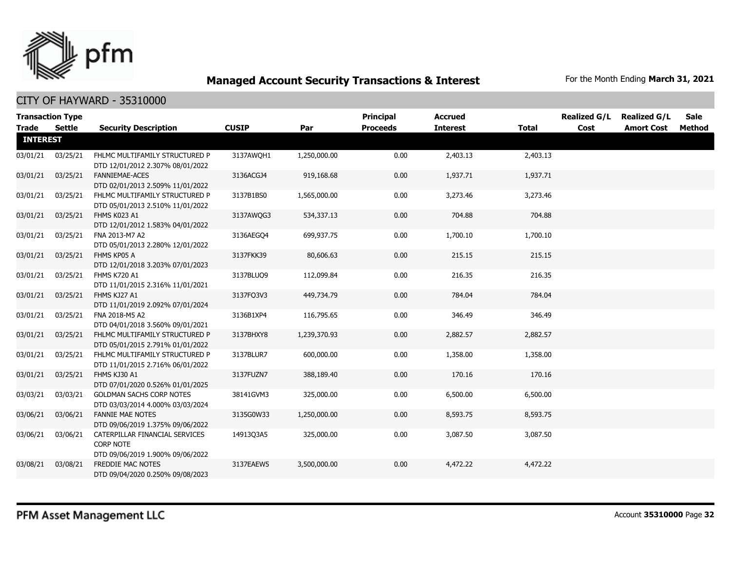

|                 | <b>Transaction Type</b> |                                                                                        |              |              | <b>Principal</b> | <b>Accrued</b>  |              | <b>Realized G/L</b> | <b>Realized G/L</b> | <b>Sale</b> |
|-----------------|-------------------------|----------------------------------------------------------------------------------------|--------------|--------------|------------------|-----------------|--------------|---------------------|---------------------|-------------|
| Trade           | Settle                  | <b>Security Description</b>                                                            | <b>CUSIP</b> | Par          | <b>Proceeds</b>  | <b>Interest</b> | <b>Total</b> | Cost                | <b>Amort Cost</b>   | Method      |
| <b>INTEREST</b> |                         |                                                                                        |              |              |                  |                 |              |                     |                     |             |
| 03/01/21        | 03/25/21                | FHLMC MULTIFAMILY STRUCTURED P<br>DTD 12/01/2012 2.307% 08/01/2022                     | 3137AWQH1    | 1,250,000.00 | 0.00             | 2,403.13        | 2,403.13     |                     |                     |             |
| 03/01/21        | 03/25/21                | FANNIEMAE-ACES<br>DTD 02/01/2013 2.509% 11/01/2022                                     | 3136ACGJ4    | 919,168.68   | 0.00             | 1,937.71        | 1,937.71     |                     |                     |             |
| 03/01/21        | 03/25/21                | FHLMC MULTIFAMILY STRUCTURED P<br>DTD 05/01/2013 2.510% 11/01/2022                     | 3137B1BS0    | 1,565,000.00 | 0.00             | 3,273.46        | 3,273.46     |                     |                     |             |
| 03/01/21        | 03/25/21                | FHMS K023 A1<br>DTD 12/01/2012 1.583% 04/01/2022                                       | 3137AWQG3    | 534,337.13   | 0.00             | 704.88          | 704.88       |                     |                     |             |
| 03/01/21        | 03/25/21                | FNA 2013-M7 A2<br>DTD 05/01/2013 2.280% 12/01/2022                                     | 3136AEGO4    | 699,937.75   | 0.00             | 1,700.10        | 1,700.10     |                     |                     |             |
| 03/01/21        | 03/25/21                | FHMS KP05 A<br>DTD 12/01/2018 3.203% 07/01/2023                                        | 3137FKK39    | 80,606.63    | 0.00             | 215.15          | 215.15       |                     |                     |             |
| 03/01/21        | 03/25/21                | <b>FHMS K720 A1</b><br>DTD 11/01/2015 2.316% 11/01/2021                                | 3137BLUQ9    | 112,099.84   | 0.00             | 216.35          | 216.35       |                     |                     |             |
| 03/01/21        | 03/25/21                | FHMS KJ27 A1<br>DTD 11/01/2019 2.092% 07/01/2024                                       | 3137F03V3    | 449,734.79   | 0.00             | 784.04          | 784.04       |                     |                     |             |
| 03/01/21        | 03/25/21                | FNA 2018-M5 A2<br>DTD 04/01/2018 3.560% 09/01/2021                                     | 3136B1XP4    | 116,795.65   | 0.00             | 346.49          | 346.49       |                     |                     |             |
| 03/01/21        | 03/25/21                | FHLMC MULTIFAMILY STRUCTURED P<br>DTD 05/01/2015 2.791% 01/01/2022                     | 3137BHXY8    | 1,239,370.93 | 0.00             | 2,882.57        | 2,882.57     |                     |                     |             |
| 03/01/21        | 03/25/21                | FHLMC MULTIFAMILY STRUCTURED P<br>DTD 11/01/2015 2.716% 06/01/2022                     | 3137BLUR7    | 600,000.00   | 0.00             | 1,358.00        | 1,358.00     |                     |                     |             |
| 03/01/21        | 03/25/21                | FHMS KJ30 A1<br>DTD 07/01/2020 0.526% 01/01/2025                                       | 3137FUZN7    | 388,189.40   | 0.00             | 170.16          | 170.16       |                     |                     |             |
| 03/03/21        | 03/03/21                | <b>GOLDMAN SACHS CORP NOTES</b><br>DTD 03/03/2014 4.000% 03/03/2024                    | 38141GVM3    | 325,000.00   | 0.00             | 6,500.00        | 6,500.00     |                     |                     |             |
| 03/06/21        | 03/06/21                | <b>FANNIE MAE NOTES</b><br>DTD 09/06/2019 1.375% 09/06/2022                            | 3135G0W33    | 1,250,000.00 | 0.00             | 8,593.75        | 8,593.75     |                     |                     |             |
| 03/06/21        | 03/06/21                | CATERPILLAR FINANCIAL SERVICES<br><b>CORP NOTE</b><br>DTD 09/06/2019 1.900% 09/06/2022 | 1491303A5    | 325,000.00   | 0.00             | 3,087.50        | 3,087.50     |                     |                     |             |
| 03/08/21        | 03/08/21                | FREDDIE MAC NOTES<br>DTD 09/04/2020 0.250% 09/08/2023                                  | 3137EAEW5    | 3,500,000.00 | 0.00             | 4,472.22        | 4,472.22     |                     |                     |             |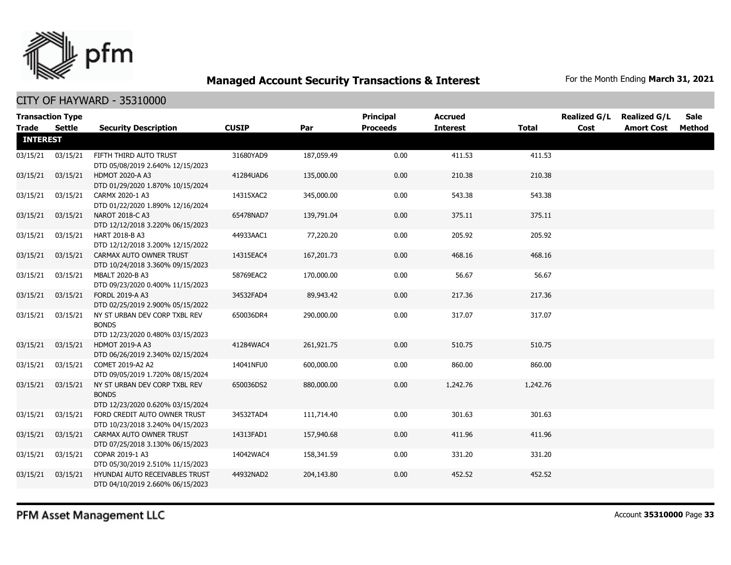

| <b>Transaction Type</b><br><b>Trade</b> | Settle   | <b>Security Description</b>                                                                    | <b>CUSIP</b> | Par        | <b>Principal</b><br><b>Proceeds</b> | <b>Accrued</b><br><b>Interest</b> | Total    | <b>Realized G/L</b><br>Cost | <b>Realized G/L</b><br><b>Amort Cost</b> | <b>Sale</b><br>Method |
|-----------------------------------------|----------|------------------------------------------------------------------------------------------------|--------------|------------|-------------------------------------|-----------------------------------|----------|-----------------------------|------------------------------------------|-----------------------|
| <b>INTEREST</b>                         |          |                                                                                                |              |            |                                     |                                   |          |                             |                                          |                       |
| 03/15/21                                | 03/15/21 | FIFTH THIRD AUTO TRUST<br>DTD 05/08/2019 2.640% 12/15/2023                                     | 31680YAD9    | 187,059.49 | 0.00                                | 411.53                            | 411.53   |                             |                                          |                       |
| 03/15/21                                | 03/15/21 | <b>HDMOT 2020-A A3</b><br>DTD 01/29/2020 1.870% 10/15/2024                                     | 41284UAD6    | 135,000.00 | 0.00                                | 210.38                            | 210.38   |                             |                                          |                       |
| 03/15/21                                | 03/15/21 | CARMX 2020-1 A3<br>DTD 01/22/2020 1.890% 12/16/2024                                            | 14315XAC2    | 345,000.00 | 0.00                                | 543.38                            | 543.38   |                             |                                          |                       |
| 03/15/21                                | 03/15/21 | NAROT 2018-C A3<br>DTD 12/12/2018 3.220% 06/15/2023                                            | 65478NAD7    | 139,791.04 | 0.00                                | 375.11                            | 375.11   |                             |                                          |                       |
| 03/15/21                                | 03/15/21 | HART 2018-B A3<br>DTD 12/12/2018 3.200% 12/15/2022                                             | 44933AAC1    | 77,220.20  | 0.00                                | 205.92                            | 205.92   |                             |                                          |                       |
| 03/15/21                                | 03/15/21 | CARMAX AUTO OWNER TRUST<br>DTD 10/24/2018 3.360% 09/15/2023                                    | 14315EAC4    | 167,201.73 | 0.00                                | 468.16                            | 468.16   |                             |                                          |                       |
| 03/15/21                                | 03/15/21 | MBALT 2020-B A3<br>DTD 09/23/2020 0.400% 11/15/2023                                            | 58769EAC2    | 170,000.00 | 0.00                                | 56.67                             | 56.67    |                             |                                          |                       |
| 03/15/21                                | 03/15/21 | <b>FORDL 2019-A A3</b><br>DTD 02/25/2019 2.900% 05/15/2022                                     | 34532FAD4    | 89,943.42  | 0.00                                | 217.36                            | 217.36   |                             |                                          |                       |
| 03/15/21                                | 03/15/21 | NY ST URBAN DEV CORP TXBL REV<br><b>BONDS</b>                                                  | 650036DR4    | 290,000.00 | 0.00                                | 317.07                            | 317.07   |                             |                                          |                       |
| 03/15/21                                | 03/15/21 | DTD 12/23/2020 0.480% 03/15/2023<br><b>HDMOT 2019-A A3</b><br>DTD 06/26/2019 2.340% 02/15/2024 | 41284WAC4    | 261,921.75 | 0.00                                | 510.75                            | 510.75   |                             |                                          |                       |
| 03/15/21                                | 03/15/21 | COMET 2019-A2 A2<br>DTD 09/05/2019 1.720% 08/15/2024                                           | 14041NFU0    | 600,000.00 | 0.00                                | 860.00                            | 860.00   |                             |                                          |                       |
| 03/15/21                                | 03/15/21 | NY ST URBAN DEV CORP TXBL REV<br><b>BONDS</b><br>DTD 12/23/2020 0.620% 03/15/2024              | 650036DS2    | 880,000.00 | 0.00                                | 1,242.76                          | 1,242.76 |                             |                                          |                       |
| 03/15/21                                | 03/15/21 | FORD CREDIT AUTO OWNER TRUST<br>DTD 10/23/2018 3.240% 04/15/2023                               | 34532TAD4    | 111,714.40 | 0.00                                | 301.63                            | 301.63   |                             |                                          |                       |
| 03/15/21                                | 03/15/21 | CARMAX AUTO OWNER TRUST<br>DTD 07/25/2018 3.130% 06/15/2023                                    | 14313FAD1    | 157,940.68 | 0.00                                | 411.96                            | 411.96   |                             |                                          |                       |
| 03/15/21                                | 03/15/21 | COPAR 2019-1 A3<br>DTD 05/30/2019 2.510% 11/15/2023                                            | 14042WAC4    | 158,341.59 | 0.00                                | 331.20                            | 331.20   |                             |                                          |                       |
| 03/15/21                                | 03/15/21 | HYUNDAI AUTO RECEIVABLES TRUST<br>DTD 04/10/2019 2.660% 06/15/2023                             | 44932NAD2    | 204,143.80 | 0.00                                | 452.52                            | 452.52   |                             |                                          |                       |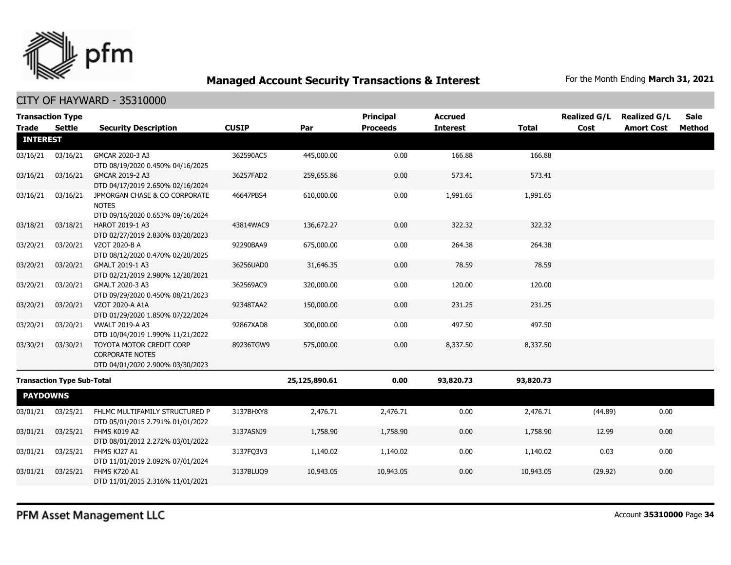

| <b>Transaction Type</b> |                                   |                                                                                               |              |               | Principal       | <b>Accrued</b>  |              | <b>Realized G/L</b> | <b>Realized G/L</b> | Sale   |
|-------------------------|-----------------------------------|-----------------------------------------------------------------------------------------------|--------------|---------------|-----------------|-----------------|--------------|---------------------|---------------------|--------|
| <b>Trade</b>            | <b>Settle</b>                     | <b>Security Description</b>                                                                   | <b>CUSIP</b> | Par           | <b>Proceeds</b> | <b>Interest</b> | <b>Total</b> | Cost                | <b>Amort Cost</b>   | Method |
| <b>INTEREST</b>         |                                   |                                                                                               |              |               |                 |                 |              |                     |                     |        |
| 03/16/21                | 03/16/21                          | GMCAR 2020-3 A3<br>DTD 08/19/2020 0.450% 04/16/2025                                           | 362590AC5    | 445,000.00    | 0.00            | 166.88          | 166.88       |                     |                     |        |
| 03/16/21                | 03/16/21                          | GMCAR 2019-2 A3<br>DTD 04/17/2019 2.650% 02/16/2024                                           | 36257FAD2    | 259,655.86    | 0.00            | 573.41          | 573.41       |                     |                     |        |
| 03/16/21                | 03/16/21                          | JPMORGAN CHASE & CO CORPORATE<br><b>NOTES</b><br>DTD 09/16/2020 0.653% 09/16/2024             | 46647PBS4    | 610,000.00    | 0.00            | 1,991.65        | 1,991.65     |                     |                     |        |
| 03/18/21                | 03/18/21                          | HAROT 2019-1 A3<br>DTD 02/27/2019 2.830% 03/20/2023                                           | 43814WAC9    | 136,672.27    | 0.00            | 322.32          | 322.32       |                     |                     |        |
| 03/20/21                | 03/20/21                          | VZOT 2020-B A<br>DTD 08/12/2020 0.470% 02/20/2025                                             | 92290BAA9    | 675,000.00    | 0.00            | 264.38          | 264.38       |                     |                     |        |
| 03/20/21                | 03/20/21                          | GMALT 2019-1 A3<br>DTD 02/21/2019 2.980% 12/20/2021                                           | 36256UAD0    | 31,646.35     | 0.00            | 78.59           | 78.59        |                     |                     |        |
| 03/20/21                | 03/20/21                          | GMALT 2020-3 A3<br>DTD 09/29/2020 0.450% 08/21/2023                                           | 362569AC9    | 320,000.00    | 0.00            | 120.00          | 120.00       |                     |                     |        |
| 03/20/21                | 03/20/21                          | VZOT 2020-A A1A<br>DTD 01/29/2020 1.850% 07/22/2024                                           | 92348TAA2    | 150,000.00    | 0.00            | 231.25          | 231.25       |                     |                     |        |
| 03/20/21                | 03/20/21                          | <b>VWALT 2019-A A3</b><br>DTD 10/04/2019 1.990% 11/21/2022                                    | 92867XAD8    | 300,000.00    | 0.00            | 497.50          | 497.50       |                     |                     |        |
| 03/30/21                | 03/30/21                          | <b>TOYOTA MOTOR CREDIT CORP</b><br><b>CORPORATE NOTES</b><br>DTD 04/01/2020 2.900% 03/30/2023 | 89236TGW9    | 575,000.00    | 0.00            | 8,337.50        | 8,337.50     |                     |                     |        |
|                         | <b>Transaction Type Sub-Total</b> |                                                                                               |              | 25,125,890.61 | 0.00            | 93,820.73       | 93,820.73    |                     |                     |        |
| <b>PAYDOWNS</b>         |                                   |                                                                                               |              |               |                 |                 |              |                     |                     |        |
| 03/01/21                | 03/25/21                          | FHLMC MULTIFAMILY STRUCTURED P<br>DTD 05/01/2015 2.791% 01/01/2022                            | 3137BHXY8    | 2,476.71      | 2,476.71        | 0.00            | 2,476.71     | (44.89)             | 0.00                |        |
| 03/01/21                | 03/25/21                          | FHMS K019 A2<br>DTD 08/01/2012 2.272% 03/01/2022                                              | 3137ASNJ9    | 1,758.90      | 1,758.90        | 0.00            | 1,758.90     | 12.99               | 0.00                |        |
| 03/01/21                | 03/25/21                          | FHMS KJ27 A1<br>DTD 11/01/2019 2.092% 07/01/2024                                              | 3137FO3V3    | 1,140.02      | 1,140.02        | 0.00            | 1,140.02     | 0.03                | 0.00                |        |
| 03/01/21                | 03/25/21                          | <b>FHMS K720 A1</b><br>DTD 11/01/2015 2.316% 11/01/2021                                       | 3137BLUQ9    | 10,943.05     | 10,943.05       | 0.00            | 10,943.05    | (29.92)             | 0.00                |        |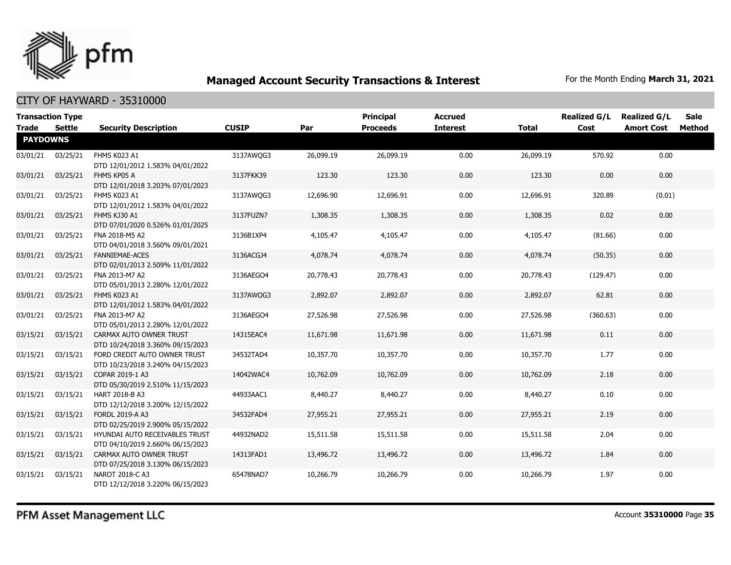

| <b>Trade</b>    | <b>Transaction Type</b><br>Settle | <b>Security Description</b>                                        | <b>CUSIP</b> | Par       | <b>Principal</b><br><b>Proceeds</b> | <b>Accrued</b><br><b>Interest</b> | <b>Total</b> | <b>Realized G/L</b><br>Cost | <b>Realized G/L</b><br><b>Amort Cost</b> | <b>Sale</b><br>Method |
|-----------------|-----------------------------------|--------------------------------------------------------------------|--------------|-----------|-------------------------------------|-----------------------------------|--------------|-----------------------------|------------------------------------------|-----------------------|
| <b>PAYDOWNS</b> |                                   |                                                                    |              |           |                                     |                                   |              |                             |                                          |                       |
| 03/01/21        | 03/25/21                          | FHMS K023 A1<br>DTD 12/01/2012 1.583% 04/01/2022                   | 3137AWQG3    | 26,099.19 | 26,099.19                           | 0.00                              | 26,099.19    | 570.92                      | 0.00                                     |                       |
| 03/01/21        | 03/25/21                          | FHMS KP05 A<br>DTD 12/01/2018 3.203% 07/01/2023                    | 3137FKK39    | 123.30    | 123.30                              | 0.00                              | 123.30       | 0.00                        | 0.00                                     |                       |
| 03/01/21        | 03/25/21                          | FHMS K023 A1<br>DTD 12/01/2012 1.583% 04/01/2022                   | 3137AWQG3    | 12,696.90 | 12,696.91                           | 0.00                              | 12,696.91    | 320.89                      | (0.01)                                   |                       |
| 03/01/21        | 03/25/21                          | FHMS KJ30 A1<br>DTD 07/01/2020 0.526% 01/01/2025                   | 3137FUZN7    | 1,308.35  | 1,308.35                            | 0.00                              | 1,308.35     | 0.02                        | 0.00                                     |                       |
| 03/01/21        | 03/25/21                          | FNA 2018-M5 A2<br>DTD 04/01/2018 3.560% 09/01/2021                 | 3136B1XP4    | 4,105.47  | 4,105.47                            | 0.00                              | 4,105.47     | (81.66)                     | 0.00                                     |                       |
| 03/01/21        | 03/25/21                          | <b>FANNIEMAE-ACES</b><br>DTD 02/01/2013 2.509% 11/01/2022          | 3136ACGJ4    | 4,078.74  | 4,078.74                            | 0.00                              | 4,078.74     | (50.35)                     | 0.00                                     |                       |
| 03/01/21        | 03/25/21                          | FNA 2013-M7 A2<br>DTD 05/01/2013 2.280% 12/01/2022                 | 3136AEGO4    | 20,778.43 | 20,778.43                           | 0.00                              | 20,778.43    | (129.47)                    | 0.00                                     |                       |
| 03/01/21        | 03/25/21                          | FHMS K023 A1<br>DTD 12/01/2012 1.583% 04/01/2022                   | 3137AWQG3    | 2,892.07  | 2,892.07                            | 0.00                              | 2,892.07     | 62.81                       | 0.00                                     |                       |
| 03/01/21        | 03/25/21                          | FNA 2013-M7 A2<br>DTD 05/01/2013 2.280% 12/01/2022                 | 3136AEGO4    | 27,526.98 | 27,526.98                           | 0.00                              | 27,526.98    | (360.63)                    | 0.00                                     |                       |
| 03/15/21        | 03/15/21                          | CARMAX AUTO OWNER TRUST<br>DTD 10/24/2018 3.360% 09/15/2023        | 14315EAC4    | 11,671.98 | 11,671.98                           | 0.00                              | 11,671.98    | 0.11                        | 0.00                                     |                       |
| 03/15/21        | 03/15/21                          | FORD CREDIT AUTO OWNER TRUST<br>DTD 10/23/2018 3.240% 04/15/2023   | 34532TAD4    | 10,357.70 | 10,357.70                           | 0.00                              | 10,357.70    | 1.77                        | 0.00                                     |                       |
| 03/15/21        | 03/15/21                          | COPAR 2019-1 A3<br>DTD 05/30/2019 2.510% 11/15/2023                | 14042WAC4    | 10,762.09 | 10,762.09                           | 0.00                              | 10,762.09    | 2.18                        | 0.00                                     |                       |
| 03/15/21        | 03/15/21                          | HART 2018-B A3<br>DTD 12/12/2018 3.200% 12/15/2022                 | 44933AAC1    | 8,440.27  | 8,440.27                            | 0.00                              | 8,440.27     | 0.10                        | 0.00                                     |                       |
| 03/15/21        | 03/15/21                          | FORDL 2019-A A3<br>DTD 02/25/2019 2.900% 05/15/2022                | 34532FAD4    | 27,955.21 | 27,955.21                           | 0.00                              | 27,955.21    | 2.19                        | 0.00                                     |                       |
| 03/15/21        | 03/15/21                          | HYUNDAI AUTO RECEIVABLES TRUST<br>DTD 04/10/2019 2.660% 06/15/2023 | 44932NAD2    | 15,511.58 | 15,511.58                           | 0.00                              | 15,511.58    | 2.04                        | 0.00                                     |                       |
| 03/15/21        | 03/15/21                          | CARMAX AUTO OWNER TRUST<br>DTD 07/25/2018 3.130% 06/15/2023        | 14313FAD1    | 13,496.72 | 13,496.72                           | 0.00                              | 13,496.72    | 1.84                        | 0.00                                     |                       |
| 03/15/21        | 03/15/21                          | NAROT 2018-C A3<br>DTD 12/12/2018 3.220% 06/15/2023                | 65478NAD7    | 10,266.79 | 10,266.79                           | 0.00                              | 10,266.79    | 1.97                        | 0.00                                     |                       |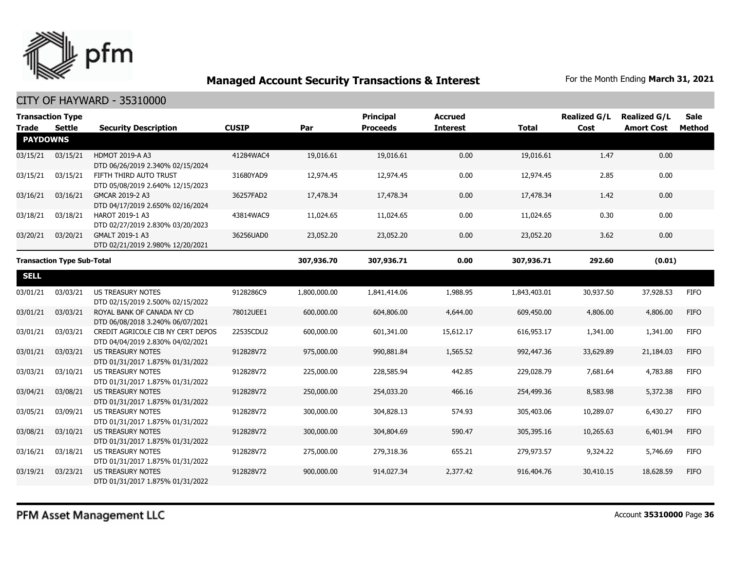

| <b>Transaction Type</b> |                                   |                                                                       |              |              | <b>Principal</b> | <b>Accrued</b>  |              | <b>Realized G/L</b> | <b>Realized G/L</b> | <b>Sale</b> |
|-------------------------|-----------------------------------|-----------------------------------------------------------------------|--------------|--------------|------------------|-----------------|--------------|---------------------|---------------------|-------------|
| <b>Trade</b>            | <b>Settle</b>                     | <b>Security Description</b>                                           | <b>CUSIP</b> | Par          | <b>Proceeds</b>  | <b>Interest</b> | <b>Total</b> | Cost                | <b>Amort Cost</b>   | Method      |
| <b>PAYDOWNS</b>         |                                   |                                                                       |              |              |                  |                 |              |                     |                     |             |
| 03/15/21                | 03/15/21                          | HDMOT 2019-A A3<br>DTD 06/26/2019 2.340% 02/15/2024                   | 41284WAC4    | 19,016.61    | 19,016.61        | 0.00            | 19,016.61    | 1.47                | 0.00                |             |
| 03/15/21                | 03/15/21                          | FIFTH THIRD AUTO TRUST<br>DTD 05/08/2019 2.640% 12/15/2023            | 31680YAD9    | 12,974.45    | 12,974.45        | 0.00            | 12,974.45    | 2.85                | 0.00                |             |
| 03/16/21                | 03/16/21                          | GMCAR 2019-2 A3<br>DTD 04/17/2019 2.650% 02/16/2024                   | 36257FAD2    | 17,478.34    | 17,478.34        | 0.00            | 17,478.34    | 1.42                | 0.00                |             |
| 03/18/21                | 03/18/21                          | HAROT 2019-1 A3<br>DTD 02/27/2019 2.830% 03/20/2023                   | 43814WAC9    | 11,024.65    | 11,024.65        | 0.00            | 11,024.65    | 0.30                | 0.00                |             |
| 03/20/21                | 03/20/21                          | GMALT 2019-1 A3<br>DTD 02/21/2019 2.980% 12/20/2021                   | 36256UAD0    | 23,052.20    | 23,052.20        | 0.00            | 23,052.20    | 3.62                | 0.00                |             |
|                         | <b>Transaction Type Sub-Total</b> |                                                                       |              | 307,936.70   | 307,936.71       | 0.00            | 307,936.71   | 292.60              | (0.01)              |             |
| <b>SELL</b>             |                                   |                                                                       |              |              |                  |                 |              |                     |                     |             |
| 03/01/21                | 03/03/21                          | <b>US TREASURY NOTES</b><br>DTD 02/15/2019 2.500% 02/15/2022          | 9128286C9    | 1,800,000.00 | 1,841,414.06     | 1,988.95        | 1,843,403.01 | 30,937.50           | 37,928.53           | <b>FIFO</b> |
| 03/01/21                | 03/03/21                          | ROYAL BANK OF CANADA NY CD<br>DTD 06/08/2018 3.240% 06/07/2021        | 78012UEE1    | 600,000,00   | 604,806.00       | 4,644.00        | 609,450.00   | 4,806.00            | 4,806.00            | <b>FIFO</b> |
| 03/01/21                | 03/03/21                          | CREDIT AGRICOLE CIB NY CERT DEPOS<br>DTD 04/04/2019 2.830% 04/02/2021 | 22535CDU2    | 600,000.00   | 601,341.00       | 15,612.17       | 616,953.17   | 1,341.00            | 1,341.00            | <b>FIFO</b> |
| 03/01/21                | 03/03/21                          | <b>US TREASURY NOTES</b><br>DTD 01/31/2017 1.875% 01/31/2022          | 912828V72    | 975,000.00   | 990,881.84       | 1,565.52        | 992,447.36   | 33,629.89           | 21,184.03           | <b>FIFO</b> |
| 03/03/21                | 03/10/21                          | <b>US TREASURY NOTES</b><br>DTD 01/31/2017 1.875% 01/31/2022          | 912828V72    | 225,000.00   | 228,585.94       | 442.85          | 229,028.79   | 7,681.64            | 4,783.88            | <b>FIFO</b> |
| 03/04/21                | 03/08/21                          | <b>US TREASURY NOTES</b><br>DTD 01/31/2017 1.875% 01/31/2022          | 912828V72    | 250,000.00   | 254,033.20       | 466.16          | 254,499.36   | 8,583.98            | 5,372.38            | <b>FIFO</b> |
| 03/05/21                | 03/09/21                          | <b>US TREASURY NOTES</b><br>DTD 01/31/2017 1.875% 01/31/2022          | 912828V72    | 300,000.00   | 304,828.13       | 574.93          | 305,403.06   | 10,289.07           | 6,430.27            | <b>FIFO</b> |
| 03/08/21                | 03/10/21                          | <b>US TREASURY NOTES</b><br>DTD 01/31/2017 1.875% 01/31/2022          | 912828V72    | 300,000.00   | 304,804.69       | 590.47          | 305,395.16   | 10,265.63           | 6,401.94            | <b>FIFO</b> |
| 03/16/21                | 03/18/21                          | US TREASURY NOTES<br>DTD 01/31/2017 1.875% 01/31/2022                 | 912828V72    | 275,000.00   | 279,318.36       | 655.21          | 279,973.57   | 9,324.22            | 5,746.69            | FIFO        |
| 03/19/21                | 03/23/21                          | <b>US TREASURY NOTES</b><br>DTD 01/31/2017 1.875% 01/31/2022          | 912828V72    | 900,000.00   | 914,027.34       | 2,377.42        | 916,404.76   | 30,410.15           | 18,628.59           | <b>FIFO</b> |